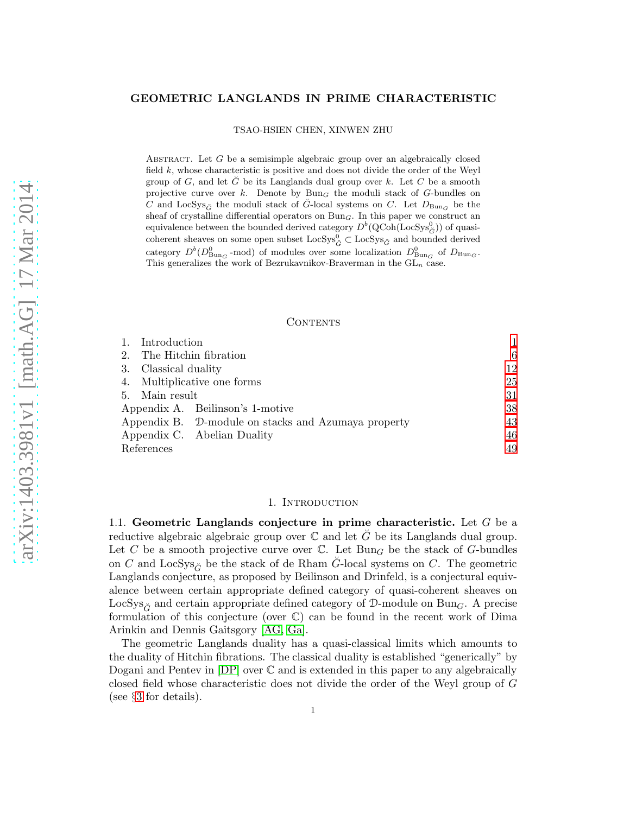#### GEOMETRIC LANGLANDS IN PRIME CHARACTERISTIC

TSAO-HSIEN CHEN, XINWEN ZHU

ABSTRACT. Let  $G$  be a semisimple algebraic group over an algebraically closed field  $k$ , whose characteristic is positive and does not divide the order of the Weyl group of G, and let  $\check{G}$  be its Langlands dual group over k. Let C be a smooth projective curve over k. Denote by  $Bun<sub>G</sub>$  the moduli stack of G-bundles on C and LocSys<sub> $\check{G}$ </sub> the moduli stack of  $\check{G}$ -local systems on C. Let  $D_{\text{Bun}_G}$  be the sheaf of crystalline differential operators on  $Bun<sub>G</sub>$ . In this paper we construct an equivalence between the bounded derived category  $D^b(\text{QCoh}(\text{LocSys}^0_{\check{G}}))$  of quasicoherent sheaves on some open subset  $\textsc{LocSys}^0_{\check G} \subset \textsc{LocSys}_{\check G}$  and bounded derived category  $D^b(D_{\text{Bun}_G}^0$ -mod) of modules over some localization  $D_{\text{Bun}_G}^0$  of  $D_{\text{Bun}_G}$ . This generalizes the work of Bezrukavnikov-Braverman in the  $GL_n$  case.

#### CONTENTS

|                                  | Introduction                |                                                     |    |
|----------------------------------|-----------------------------|-----------------------------------------------------|----|
| 2.                               | The Hitchin fibration       |                                                     | 6  |
| 3.                               | Classical duality           |                                                     | 12 |
|                                  | 4. Multiplicative one forms |                                                     | 25 |
|                                  | 5. Main result              |                                                     | 31 |
| Appendix A. Beilinson's 1-motive |                             |                                                     | 38 |
|                                  |                             | Appendix B. D-module on stacks and Azumaya property | 43 |
|                                  |                             | Appendix C. Abelian Duality                         | 46 |
| References                       |                             |                                                     | 49 |

## 1. INTRODUCTION

<span id="page-0-0"></span>1.1. Geometric Langlands conjecture in prime characteristic. Let  $G$  be a reductive algebraic algebraic group over  $\mathbb C$  and let  $\tilde{G}$  be its Langlands dual group. Let C be a smooth projective curve over  $\mathbb C$ . Let Bun<sub>G</sub> be the stack of G-bundles on C and LocSys<sub> $\check{C}$ </sub> be the stack of de Rham G-local systems on C. The geometric Langlands conjecture, as proposed by Beilinson and Drinfeld, is a conjectural equivalence between certain appropriate defined category of quasi-coherent sheaves on LocSys<sub> $\check{G}$ </sub> and certain appropriate defined category of D-module on Bun<sub>G</sub>. A precise formulation of this conjecture (over C) can be found in the recent work of Dima Arinkin and Dennis Gaitsgory [\[AG,](#page-48-1) [Ga\]](#page-48-2).

The geometric Langlands duality has a quasi-classical limits which amounts to the duality of Hitchin fibrations. The classical duality is established "generically" by Dogani and Pentev in [\[DP\]](#page-48-3) over C and is extended in this paper to any algebraically closed field whose characteristic does not divide the order of the Weyl group of G (see §[3](#page-11-0) for details).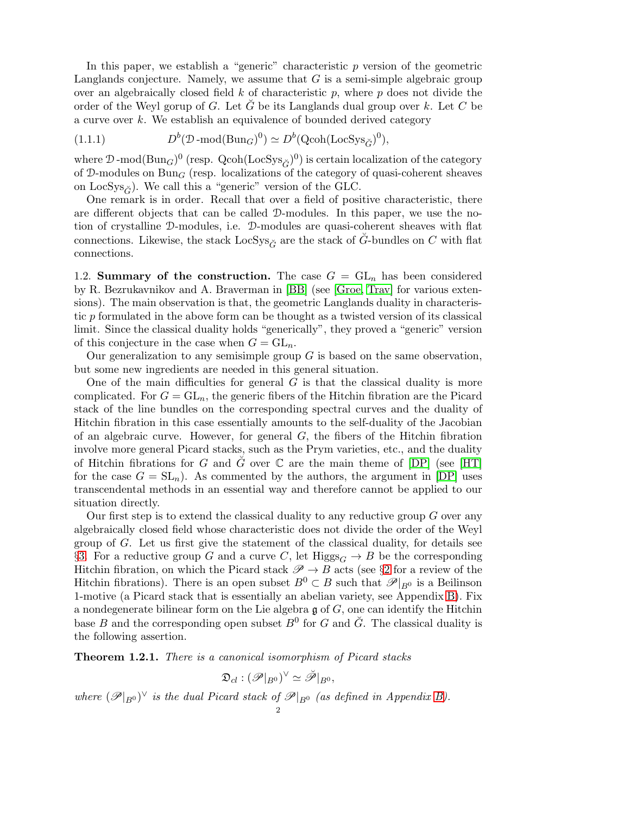In this paper, we establish a "generic" characteristic  $p$  version of the geometric Langlands conjecture. Namely, we assume that  $G$  is a semi-simple algebraic group over an algebraically closed field  $k$  of characteristic  $p$ , where  $p$  does not divide the order of the Weyl gorup of G. Let  $\tilde{G}$  be its Langlands dual group over k. Let C be a curve over k. We establish an equivalence of bounded derived category

<span id="page-1-1"></span>(1.1.1) 
$$
D^{b}(\mathcal{D}\text{-mod}(\text{Bun}_G)^0) \simeq D^{b}(\text{Qcoh}(\text{LocSys}_{\check{G}})^0),
$$

where  $\mathcal{D}$ -mod(Bun<sub>G</sub>)<sup>0</sup> (resp. Qcoh(LocSys<sub> $\check{G}$ </sub>)<sup>0</sup>) is certain localization of the category of  $\mathcal{D}\text{-modules on } \text{Bun}_G$  (resp. localizations of the category of quasi-coherent sheaves on LocSys<sub> $\check{G}$ </sub>). We call this a "generic" version of the GLC.

One remark is in order. Recall that over a field of positive characteristic, there are different objects that can be called D-modules. In this paper, we use the notion of crystalline D-modules, i.e. D-modules are quasi-coherent sheaves with flat connections. Likewise, the stack LocSys<sub> $\tilde{C}$ </sub> are the stack of G-bundles on C with flat connections.

1.2. Summary of the construction. The case  $G = GL_n$  has been considered by R. Bezrukavnikov and A. Braverman in [\[BB\]](#page-48-4) (see [\[Groe,](#page-48-5) [Trav\]](#page-49-0) for various extensions). The main observation is that, the geometric Langlands duality in characteristic p formulated in the above form can be thought as a twisted version of its classical limit. Since the classical duality holds "generically", they proved a "generic" version of this conjecture in the case when  $G = GL_n$ .

Our generalization to any semisimple group  $G$  is based on the same observation, but some new ingredients are needed in this general situation.

One of the main difficulties for general  $G$  is that the classical duality is more complicated. For  $G = GL_n$ , the generic fibers of the Hitchin fibration are the Picard stack of the line bundles on the corresponding spectral curves and the duality of Hitchin fibration in this case essentially amounts to the self-duality of the Jacobian of an algebraic curve. However, for general  $G$ , the fibers of the Hitchin fibration involve more general Picard stacks, such as the Prym varieties, etc., and the duality of Hitchin fibrations for G and G over  $\mathbb C$  are the main theme of  $[DP]$  (see  $[HT]$ ) for the case  $G = SL_n$ ). As commented by the authors, the argument in [\[DP\]](#page-48-3) uses transcendental methods in an essential way and therefore cannot be applied to our situation directly.

Our first step is to extend the classical duality to any reductive group  $G$  over any algebraically closed field whose characteristic does not divide the order of the Weyl group of  $G$ . Let us first give the statement of the classical duality, for details see §[3.](#page-11-0) For a reductive group G and a curve C, let Higgs<sub>G</sub>  $\rightarrow$  B be the corresponding Hitchin fibration, on which the Picard stack  $\mathscr{P} \to B$  acts (see §[2](#page-5-0) for a review of the Hitchin fibrations). There is an open subset  $B^0 \subset B$  such that  $\mathscr{P}|_{B^0}$  is a Beilinson 1-motive (a Picard stack that is essentially an abelian variety, see Appendix [B\)](#page-42-0). Fix a nondegenerate bilinear form on the Lie algebra  $\mathfrak g$  of  $G$ , one can identify the Hitchin base B and the corresponding open subset  $B^0$  for G and  $\check{G}$ . The classical duality is the following assertion.

<span id="page-1-0"></span>**Theorem 1.2.1.** There is a canonical isomorphism of Picard stacks

$$
\mathfrak{D}_{cl}:(\mathscr{P}|_{B^0})^\vee\simeq\breve{\mathscr{P}}|_{B^0},
$$

where  $(\mathscr{P}|_{B^0})^{\vee}$  is the dual Picard stack of  $\mathscr{P}|_{B^0}$  (as defined in Appendix [B\)](#page-42-0).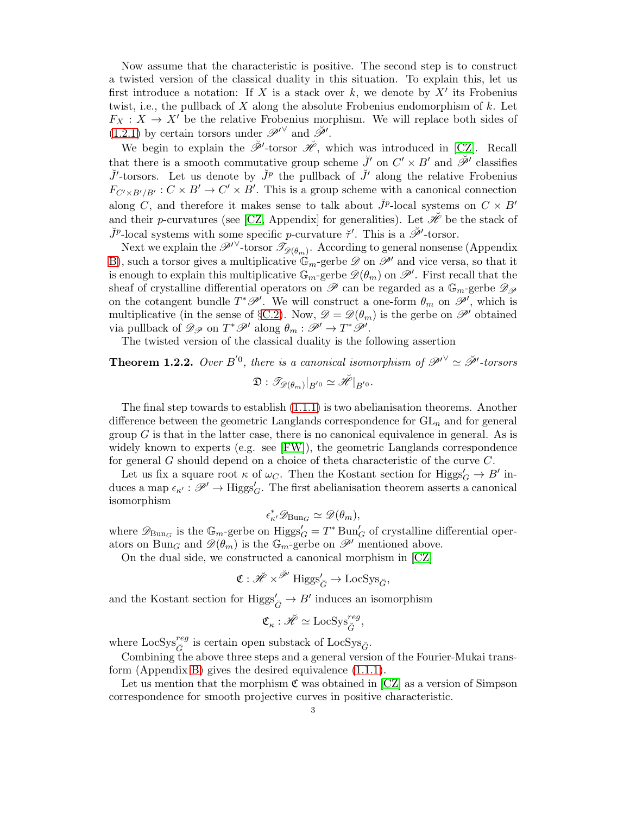Now assume that the characteristic is positive. The second step is to construct a twisted version of the classical duality in this situation. To explain this, let us first introduce a notation: If X is a stack over  $k$ , we denote by  $X'$  its Frobenius twist, i.e., the pullback of  $X$  along the absolute Frobenius endomorphism of  $k$ . Let  $F_X: X \to X'$  be the relative Frobenius morphism. We will replace both sides of [\(1.2.1\)](#page-1-0) by certain torsors under  $\mathscr{P}'^{\vee}$  and  $\check{\mathscr{P}}'$ .

We begin to explain the  $\check{\mathscr{P}}'$ -torsor  $\check{\mathscr{H}}$ , which was introduced in [\[CZ\]](#page-48-7). Recall that there is a smooth commutative group scheme  $\check{J}'$  on  $C' \times B'$  and  $\check{\mathscr{P}}'$  classifies  $\check{J}'$ -torsors. Let us denote by  $\check{J}^p$  the pullback of  $\check{J}'$  along the relative Frobenius  $F_{C' \times B'/B'} : C \times B' \to C' \times B'$ . This is a group scheme with a canonical connection along C, and therefore it makes sense to talk about  $\check{J}^p$ -local systems on  $C \times B'$ and their p-curvatures (see [\[CZ,](#page-48-7) Appendix] for generalities). Let  $\mathscr H$  be the stack of  $\check{J}^p$ -local systems with some specific p-curvature  $\check{\tau}'$ . This is a  $\check{\mathscr{P}}'$ -torsor.

Next we explain the  $\mathscr{P}'^{\vee}$ -torsor  $\mathscr{T}_{\mathscr{D}(\theta_m)}$ . According to general nonsense (Appendix [B\)](#page-42-0), such a torsor gives a multiplicative  $\mathbb{G}_m$ -gerbe  $\mathscr{D}$  on  $\mathscr{P}'$  and vice versa, so that it is enough to explain this multiplicative  $\mathbb{G}_m$ -gerbe  $\mathscr{D}(\theta_m)$  on  $\mathscr{P}'$ . First recall that the sheaf of crystalline differential operators on  $\mathscr P$  can be regarded as a  $\mathbb{G}_m$ -gerbe  $\mathscr{D}_{\mathscr P}$ on the cotangent bundle  $T^*\mathscr{P}'$ . We will construct a one-form  $\theta_m$  on  $\mathscr{P}'$ , which is multiplicative (in the sense of §[C.2\)](#page-47-0). Now,  $\mathscr{D} = \mathscr{D}(\theta_m)$  is the gerbe on  $\mathscr{P}'$  obtained via pullback of  $\mathscr{D}_{\mathscr{P}}$  on  $T^{\ast}\mathscr{P}'$  along  $\theta_m:\mathscr{P}'\to T^{\ast}\mathscr{P}'.$ 

The twisted version of the classical duality is the following assertion

**Theorem 1.2.2.** Over B<sup>'0</sup>, there is a canonical isomorphism of  $\mathscr{P}'^{\vee} \simeq \check{\mathscr{P}}'$ -torsors  $\mathfrak{D}:\mathscr{T}_{\mathscr{D}(\theta_{m})}|_{B^{'0}}\simeq\breve{\mathscr{H}}|_{B^{'0}}.$ 

The final step towards to establish [\(1.1.1\)](#page-1-1) is two abelianisation theorems. Another difference between the geometric Langlands correspondence for  $GL_n$  and for general group  $G$  is that in the latter case, there is no canonical equivalence in general. As is widely known to experts (e.g. see [\[FW\]](#page-48-8)), the geometric Langlands correspondence for general G should depend on a choice of theta characteristic of the curve C.

Let us fix a square root  $\kappa$  of  $\omega_C$ . Then the Kostant section for  $Higgs'_G \to B'$  induces a map  $\epsilon_{\kappa'} : \mathscr{P}' \to \text{Higgs}'_G$ . The first abelianisation theorem asserts a canonical isomorphism

$$
\epsilon^*_{\kappa'} \mathscr{D}_{\mathrm{Bun}_G} \simeq \mathscr{D}(\theta_m),
$$

where  $\mathscr{D}_{Bun_G}$  is the  $\mathbb{G}_m$ -gerbe on  $\text{Higgs}'_G = T^* \text{Bun}'_G$  of crystalline differential operators on Bun<sub>G</sub> and  $\mathscr{D}(\theta_m)$  is the  $\mathbb{G}_m$ -gerbe on  $\mathscr{P}'$  mentioned above.

On the dual side, we constructed a canonical morphism in [\[CZ\]](#page-48-7)

$$
\mathfrak{C}: \check{\mathscr{H}}\times^{\check{\mathscr{P}}'}\mathrm{Higgs}_{\check{G}}'\to \mathrm{LocSys}_{\check{G}},
$$

and the Kostant section for  $\text{Higgs}'_{\check{G}}\to B'$  induces an isomorphism

$$
\mathfrak{C}_{\kappa} : \check{\mathscr{H}} \simeq \mathrm{LocSys}_{\check{G}}^{reg},
$$

where  $\text{LocSys}_{\check{G}}^{reg}$  is certain open substack of  $\text{LocSys}_{\check{G}}$ .

Combining the above three steps and a general version of the Fourier-Mukai transform (Appendix [B\)](#page-42-0) gives the desired equivalence [\(1.1.1\)](#page-1-1).

Let us mention that the morphism  $\mathfrak C$  was obtained in  $\mathfrak [CZ]$  $\mathfrak [CZ]$  as a version of Simpson correspondence for smooth projective curves in positive characteristic.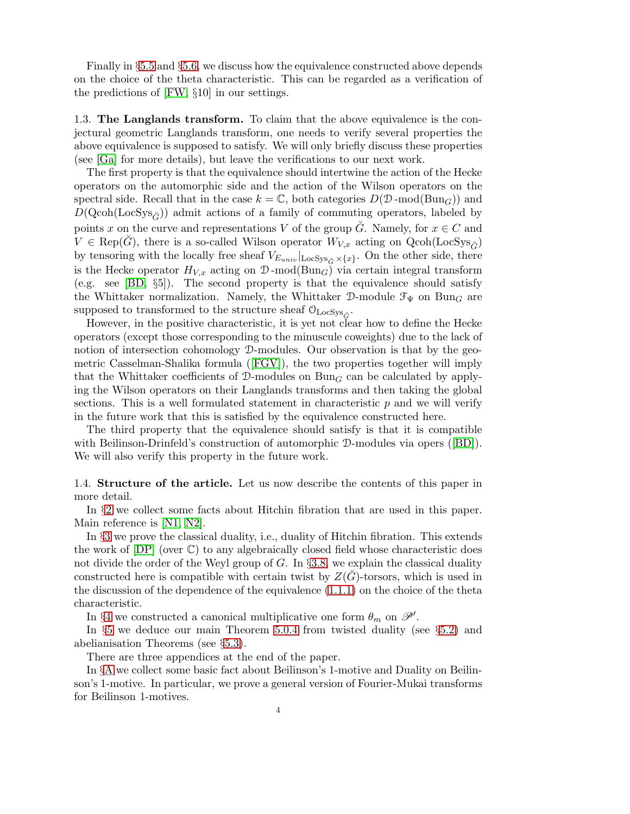Finally in §[5.5](#page-33-0) and §[5.6,](#page-34-0) we discuss how the equivalence constructed above depends on the choice of the theta characteristic. This can be regarded as a verification of the predictions of [\[FW,](#page-48-8) §10] in our settings.

1.3. The Langlands transform. To claim that the above equivalence is the conjectural geometric Langlands transform, one needs to verify several properties the above equivalence is supposed to satisfy. We will only briefly discuss these properties (see [\[Ga\]](#page-48-2) for more details), but leave the verifications to our next work.

The first property is that the equivalence should intertwine the action of the Hecke operators on the automorphic side and the action of the Wilson operators on the spectral side. Recall that in the case  $k = \mathbb{C}$ , both categories  $D(\mathcal{D} \text{-mod(Bun}_G))$  and  $D(Qcoh(LocSys<sub>c</sub>))$  admit actions of a family of commuting operators, labeled by points x on the curve and representations V of the group  $\tilde{G}$ . Namely, for  $x \in C$  and  $V \in \text{Rep}(\hat{G})$ , there is a so-called Wilson operator  $W_{V,x}$  acting on  $\text{Qcoh}(\text{LocSys}_{\hat{G}})$ by tensoring with the locally free sheaf  $V_{E_{univ}}|_{\text{LocSys}_{\check{G}} \times \{x\}}$ . On the other side, there is the Hecke operator  $H_{V,x}$  acting on  $\mathcal{D}\text{-mod}(\text{Bun}_G)$  via certain integral transform (e.g. see [\[BD,](#page-48-9) §5]). The second property is that the equivalence should satisfy the Whittaker normalization. Namely, the Whittaker D-module  $\mathcal{F}_{\Psi}$  on Bun<sub>G</sub> are supposed to transformed to the structure sheaf  $\mathcal{O}_{\rm LocSys_{\check G}}.$ 

However, in the positive characteristic, it is yet not clear how to define the Hecke operators (except those corresponding to the minuscule coweights) due to the lack of notion of intersection cohomology  $\mathcal{D}$ -modules. Our observation is that by the geometric Casselman-Shalika formula([\[FGV\]](#page-48-10)), the two properties together will imply that the Whittaker coefficients of D-modules on  $Bun<sub>G</sub>$  can be calculated by applying the Wilson operators on their Langlands transforms and then taking the global sections. This is a well formulated statement in characteristic  $p$  and we will verify in the future work that this is satisfied by the equivalence constructed here.

The third property that the equivalence should satisfy is that it is compatible withBeilinson-Drinfeld's construction of automorphic D-modules via opers ([\[BD\]](#page-48-9)). We will also verify this property in the future work.

1.4. Structure of the article. Let us now describe the contents of this paper in more detail.

In §[2](#page-5-0) we collect some facts about Hitchin fibration that are used in this paper. Main reference is [\[N1,](#page-48-11) [N2\]](#page-49-1).

In §[3](#page-11-0) we prove the classical duality, i.e., duality of Hitchin fibration. This extends the work of  $[DP]$  (over  $\mathbb{C}$ ) to any algebraically closed field whose characteristic does not divide the order of the Weyl group of  $G$ . In §[3.8,](#page-21-0) we explain the classical duality constructed here is compatible with certain twist by  $Z(\tilde{G})$ -torsors, which is used in the discussion of the dependence of the equivalence [\(1.1.1\)](#page-1-1) on the choice of the theta characteristic.

In §[4](#page-24-0) we constructed a canonical multiplicative one form  $\theta_m$  on  $\mathscr{P}'$ .

In §[5](#page-30-0) we deduce our main Theorem [5.0.4](#page-30-1) from twisted duality (see §[5.2\)](#page-31-0) and abelianisation Theorems (see §[5.3\)](#page-32-0).

There are three appendices at the end of the paper.

In §[A](#page-37-0) we collect some basic fact about Beilinson's 1-motive and Duality on Beilinson's 1-motive. In particular, we prove a general version of Fourier-Mukai transforms for Beilinson 1-motives.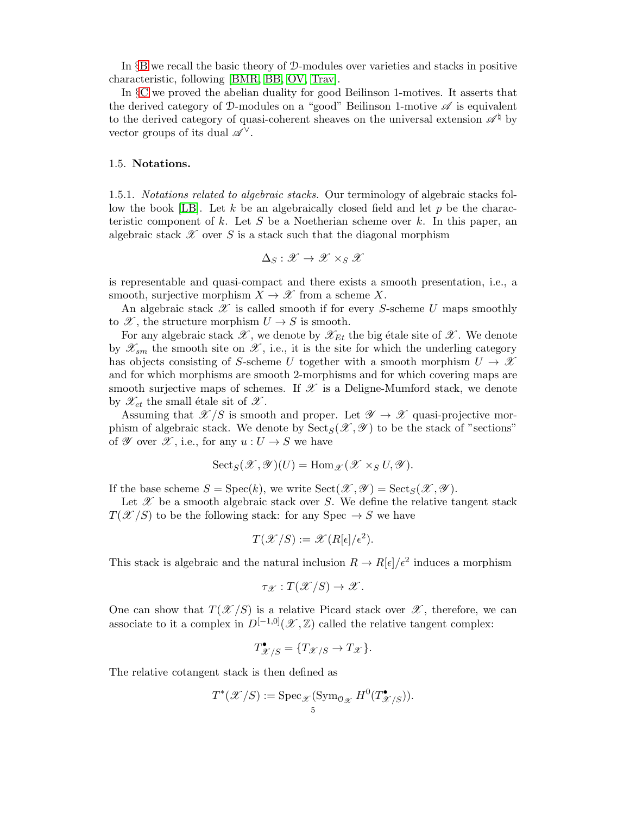In §[B](#page-42-0) we recall the basic theory of D-modules over varieties and stacks in positive characteristic, following [\[BMR,](#page-48-12) [BB,](#page-48-4) [OV,](#page-49-2) [Trav\]](#page-49-0).

In §[C](#page-45-0) we proved the abelian duality for good Beilinson 1-motives. It asserts that the derived category of D-modules on a "good" Beilinson 1-motive  $\mathscr A$  is equivalent to the derived category of quasi-coherent sheaves on the universal extension  $\mathscr{A}^{\natural}$  by vector groups of its dual  $\mathscr{A}^{\vee}$ .

### 1.5. Notations.

1.5.1. Notations related to algebraic stacks. Our terminology of algebraic stacks fol-low the book [\[LB\]](#page-48-13). Let k be an algebraically closed field and let  $p$  be the characteristic component of k. Let S be a Noetherian scheme over k. In this paper, an algebraic stack  $\mathscr X$  over S is a stack such that the diagonal morphism

$$
\Delta_S:\mathscr{X}\to\mathscr{X}\times_S\mathscr{X}
$$

is representable and quasi-compact and there exists a smooth presentation, i.e., a smooth, surjective morphism  $X \to \mathscr{X}$  from a scheme X.

An algebraic stack  $\mathscr X$  is called smooth if for every S-scheme U maps smoothly to  $\mathscr{X}$ , the structure morphism  $U \to S$  is smooth.

For any algebraic stack  $\mathscr{X}$ , we denote by  $\mathscr{X}_{Et}$  the big étale site of  $\mathscr{X}$ . We denote by  $\mathscr{X}_{sm}$  the smooth site on  $\mathscr{X}$ , i.e., it is the site for which the underling category has objects consisting of S-scheme U together with a smooth morphism  $U \to \mathcal{X}$ and for which morphisms are smooth 2-morphisms and for which covering maps are smooth surjective maps of schemes. If  $\mathscr X$  is a Deligne-Mumford stack, we denote by  $\mathscr{X}_{et}$  the small étale sit of  $\mathscr{X}$ .

Assuming that  $\mathscr{X}/S$  is smooth and proper. Let  $\mathscr{Y} \to \mathscr{X}$  quasi-projective morphism of algebraic stack. We denote by  $\text{Sect}_{S}(\mathscr{X}, \mathscr{Y})$  to be the stack of "sections" of  $\mathscr Y$  over  $\mathscr X$ , i.e., for any  $u: U \to S$  we have

$$
{\rm Sect}_S({\mathscr X},{\mathscr Y})(U)={\rm Hom}_{{\mathscr X}}({\mathscr X} \times_S U,{\mathscr Y}).
$$

If the base scheme  $S = \text{Spec}(k)$ , we write  $\text{Sect}(\mathscr{X}, \mathscr{Y}) = \text{Sect}_S(\mathscr{X}, \mathscr{Y})$ .

Let  $\mathscr X$  be a smooth algebraic stack over S. We define the relative tangent stack  $T(\mathcal{X}/S)$  to be the following stack: for any Spec  $\rightarrow$  S we have

$$
T(\mathcal{X}/S) := \mathcal{X}(R[\epsilon]/\epsilon^2).
$$

This stack is algebraic and the natural inclusion  $R \to R[\epsilon]/\epsilon^2$  induces a morphism

$$
\tau_{\mathscr{X}}:T(\mathscr{X}/S)\to\mathscr{X}.
$$

One can show that  $T(\mathcal{X}/S)$  is a relative Picard stack over  $\mathcal{X}$ , therefore, we can associate to it a complex in  $D^{[-1,0]}(\mathscr{X},\mathbb{Z})$  called the relative tangent complex:

$$
T_{\mathcal{X}/S}^{\bullet} = \{T_{\mathcal{X}/S} \to T_{\mathcal{X}}\}.
$$

The relative cotangent stack is then defined as

$$
T^*(\mathcal{X}/S) := \operatorname{Spec}_{\mathcal{X}} (\operatorname{Sym}_{\mathcal{O}_{\mathcal{X}}} H^0(T^{\bullet}_{\mathcal{X}/S})).
$$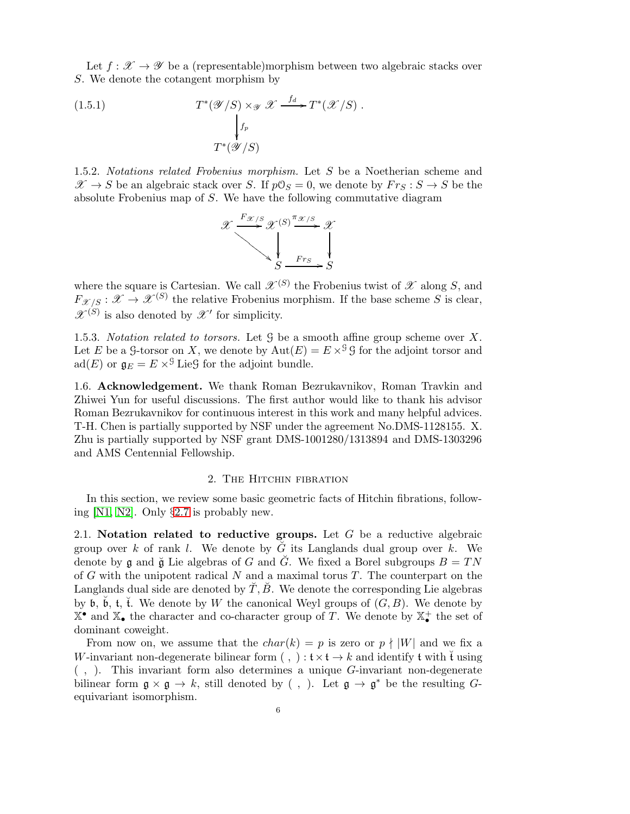Let  $f: \mathcal{X} \to \mathcal{Y}$  be a (representable)morphism between two algebraic stacks over S. We denote the cotangent morphism by

(1.5.1) 
$$
T^*(\mathscr{Y}/S) \times_{\mathscr{Y}} \mathscr{X} \xrightarrow{f_d} T^*(\mathscr{X}/S).
$$

$$
\downarrow_{f_p} f^*(\mathscr{Y}/S)
$$

$$
T^*(\mathscr{Y}/S)
$$

1.5.2. Notations related Frobenius morphism. Let S be a Noetherian scheme and  $\mathscr{X} \to S$  be an algebraic stack over S. If  $p\mathcal{O}_S = 0$ , we denote by  $F r_S : S \to S$  be the absolute Frobenius map of S. We have the following commutative diagram

$$
\mathscr{X} \xrightarrow{F_{\mathscr{X}/S}} \mathscr{X}^{(S)} \xrightarrow{\pi_{\mathscr{X}/S}} \mathscr{X}
$$
\n
$$
\downarrow
$$
\n
$$
S \xrightarrow{F_{TS}} S
$$

where the square is Cartesian. We call  $\mathscr{X}^{(S)}$  the Frobenius twist of  $\mathscr{X}$  along S, and  $F_{\mathscr{X}/S}: \mathscr{X} \to \mathscr{X}^{(S)}$  the relative Frobenius morphism. If the base scheme S is clear,  $\mathscr{X}^{(S)}$  is also denoted by  $\mathscr{X}'$  for simplicity.

1.5.3. Notation related to torsors. Let  $\mathcal G$  be a smooth affine group scheme over X. Let E be a G-torsor on X, we denote by  $Aut(E) = E \times S^{\mathcal{G}} G$  for the adjoint torsor and ad(E) or  $\mathfrak{g}_E = E \times^{\mathfrak{g}}$  Lieg for the adjoint bundle.

1.6. Acknowledgement. We thank Roman Bezrukavnikov, Roman Travkin and Zhiwei Yun for useful discussions. The first author would like to thank his advisor Roman Bezrukavnikov for continuous interest in this work and many helpful advices. T-H. Chen is partially supported by NSF under the agreement No.DMS-1128155. X. Zhu is partially supported by NSF grant DMS-1001280/1313894 and DMS-1303296 and AMS Centennial Fellowship.

# 2. The Hitchin fibration

<span id="page-5-0"></span>In this section, we review some basic geometric facts of Hitchin fibrations, following [\[N1,](#page-48-11) [N2\]](#page-49-1). Only §[2.7](#page-9-0) is probably new.

<span id="page-5-1"></span>2.1. Notation related to reductive groups. Let  $G$  be a reductive algebraic group over k of rank l. We denote by  $\check{G}$  its Langlands dual group over k. We denote by g and  $\breve{\mathfrak{g}}$  Lie algebras of G and  $\breve{G}$ . We fixed a Borel subgroups  $B = TN$ of  $G$  with the unipotent radical  $N$  and a maximal torus  $T$ . The counterpart on the Langlands dual side are denoted by  $\tilde{T}, \tilde{B}$ . We denote the corresponding Lie algebras by  $\mathfrak b$ ,  $\breve{\mathfrak b}$ ,  $\breve{\mathfrak t}$ ,  $\breve{\mathfrak t}$ . We denote by W the canonical Weyl groups of  $(G, B)$ . We denote by  $\mathbb{X}^{\bullet}$  and  $\mathbb{X}_{\bullet}$  the character and co-character group of T. We denote by  $\mathbb{X}_{\bullet}^{+}$  the set of dominant coweight.

From now on, we assume that the  $char(k) = p$  is zero or  $p \nmid |W|$  and we fix a W-invariant non-degenerate bilinear form (,)  $: \mathfrak{t} \times \mathfrak{t} \to k$  and identify  $\mathfrak{t}$  with  $\mathfrak{t}$  using  $($ ,  $)$ . This invariant form also determines a unique  $G$ -invariant non-degenerate bilinear form  $\mathfrak{g} \times \mathfrak{g} \to k$ , still denoted by (, ). Let  $\mathfrak{g} \to \mathfrak{g}^*$  be the resulting Gequivariant isomorphism.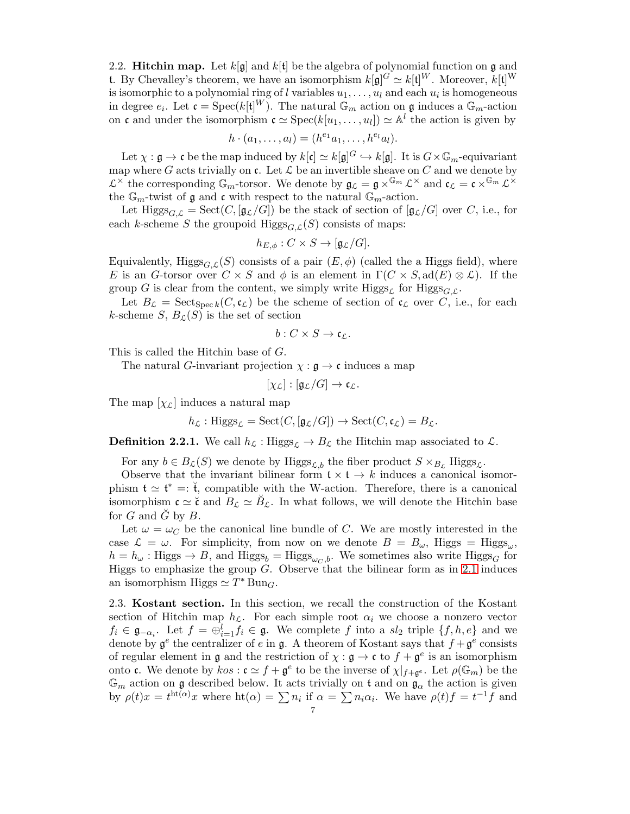2.2. **Hitchin map.** Let  $k[\mathfrak{g}]$  and  $k[\mathfrak{t}]$  be the algebra of polynomial function on g and t. By Chevalley's theorem, we have an isomorphism  $k[\mathfrak{g}]^G \simeq k[\mathfrak{t}]^W$ . Moreover,  $k[\mathfrak{t}]^W$ is isomorphic to a polynomial ring of l variables  $u_1, \ldots, u_l$  and each  $u_i$  is homogeneous in degree  $e_i$ . Let  $\mathfrak{c} = \text{Spec}(k[\mathfrak{t}]^W)$ . The natural  $\mathbb{G}_m$  action on  $\mathfrak{g}$  induces a  $\mathbb{G}_m$ -action on c and under the isomorphism  $\mathfrak{c} \simeq \operatorname{Spec}(k[u_1, \ldots, u_l]) \simeq \mathbb{A}^l$  the action is given by

$$
h \cdot (a_1, \ldots, a_l) = (h^{e_1} a_1, \ldots, h^{e_l} a_l).
$$

Let  $\chi: \mathfrak{g} \to \mathfrak{c}$  be the map induced by  $k[\mathfrak{c}] \simeq k[\mathfrak{g}]^G \hookrightarrow k[\mathfrak{g}]$ . It is  $G \times \mathbb{G}_m$ -equivariant map where G acts trivially on  $\mathfrak c$ . Let  $\mathcal L$  be an invertible sheave on C and we denote by  $\mathcal{L}^{\times}$  the corresponding  $\mathbb{G}_m$ -torsor. We denote by  $\mathfrak{g}_{\mathcal{L}} = \mathfrak{g} \times^{\mathbb{G}_m} \mathcal{L}^{\times}$  and  $\mathfrak{c}_{\mathcal{L}} = \mathfrak{c} \times^{\mathbb{G}_m} \mathcal{L}^{\times}$ the  $\mathbb{G}_m$ -twist of  $\mathfrak g$  and  $\mathfrak c$  with respect to the natural  $\mathbb{G}_m$ -action.

Let Higgs $_{G,\mathcal{L}} = \text{Sect}(C, [\mathfrak{g}_{\mathcal{L}}/G])$  be the stack of section of  $[\mathfrak{g}_{\mathcal{L}}/G]$  over C, i.e., for each k-scheme S the groupoid  $\text{Higgs}_{G,\mathcal{L}}(S)$  consists of maps:

$$
h_{E,\phi}: C \times S \to [\mathfrak{g}_{\mathcal{L}}/G].
$$

Equivalently, Higgs $_{G,\mathcal{L}}(S)$  consists of a pair  $(E,\phi)$  (called the a Higgs field), where E is an G-torsor over  $C \times S$  and  $\phi$  is an element in  $\Gamma(C \times S, \text{ad}(E) \otimes \mathcal{L})$ . If the group G is clear from the content, we simply write  $Higgs_{\mathcal{L}}$  for  $Higgs_{\mathcal{GL}}$ .

Let  $B_{\mathcal{L}} = \operatorname{Sect}_{\operatorname{Spec} k}(C, \mathfrak{c}_{\mathcal{L}})$  be the scheme of section of  $\mathfrak{c}_{\mathcal{L}}$  over C, i.e., for each k-scheme  $S, B_{\mathcal{L}}(S)$  is the set of section

$$
b:C\times S\to\mathfrak{c}_L.
$$

This is called the Hitchin base of G.

The natural *G*-invariant projection  $\chi : \mathfrak{g} \to \mathfrak{c}$  induces a map

 $[\chi_{\mathcal{L}}] : [\mathfrak{g}_{\mathcal{L}}/G] \to \mathfrak{c}_{\mathcal{L}}.$ 

The map  $[\chi_{\mathcal{L}}]$  induces a natural map

$$
h_{\mathcal{L}}: \text{Higgs}_{\mathcal{L}} = \text{Sect}(C, [\mathfrak{g}_{\mathcal{L}}/G]) \to \text{Sect}(C, \mathfrak{c}_{\mathcal{L}}) = B_{\mathcal{L}}.
$$

**Definition 2.2.1.** We call  $h_{\mathcal{L}}$ : Higgs<sub>L</sub>  $\rightarrow$  B<sub>L</sub> the Hitchin map associated to L.

For any  $b \in B_{\mathcal{L}}(S)$  we denote by  $\text{Higgs}_{\mathcal{L},b}$  the fiber product  $S \times_{B_{\mathcal{L}}} \text{Higgs}_{\mathcal{L}}$ .

Observe that the invariant bilinear form  $\mathfrak{t} \times \mathfrak{t} \to k$  induces a canonical isomorphism  $\mathfrak{t} \simeq \mathfrak{t}^* =: \mathfrak{t}$ , compatible with the W-action. Therefore, there is a canonical isomorphism  $\mathfrak{c} \simeq \check{\mathfrak{c}}$  and  $B_{\mathcal{L}} \simeq \check{B}_{\mathcal{L}}$ . In what follows, we will denote the Hitchin base for  $G$  and  $\tilde{G}$  by  $B$ .

Let  $\omega = \omega_C$  be the canonical line bundle of C. We are mostly interested in the case  $\mathcal{L} = \omega$ . For simplicity, from now on we denote  $B = B_{\omega}$ , Higgs = Higgs<sub> $\omega$ </sub>,  $h = h_{\omega}$ : Higgs  $\rightarrow B$ , and Higgs<sub>b</sub> = Higgs<sub> $\omega_{C}$ , We sometimes also write Higgs<sub>G</sub> for</sub> Higgs to emphasize the group  $G$ . Observe that the bilinear form as in [2.1](#page-5-1) induces an isomorphism Higgs  $\simeq T^*$  Bun<sub>G</sub>.

2.3. Kostant section. In this section, we recall the construction of the Kostant section of Hitchin map  $h_{\mathcal{L}}$ . For each simple root  $\alpha_i$  we choose a nonzero vector  $f_i \in \mathfrak{g}_{-\alpha_i}$ . Let  $f = \bigoplus_{i=1}^l f_i \in \mathfrak{g}$ . We complete f into a  $sl_2$  triple  $\{f, h, e\}$  and we denote by  $\mathfrak{g}^e$  the centralizer of e in  $\mathfrak{g}$ . A theorem of Kostant says that  $f + \mathfrak{g}^e$  consists of regular element in  $\mathfrak g$  and the restriction of  $\chi : \mathfrak g \to \mathfrak c$  to  $f + \mathfrak g^e$  is an isomorphism onto **c**. We denote by  $\text{cos} : \mathfrak{c} \simeq f + \mathfrak{g}^e$  to be the inverse of  $\chi|_{f+\mathfrak{g}^e}$ . Let  $\rho(\mathbb{G}_m)$  be the  $\mathbb{G}_m$  action on g described below. It acts trivially on t and on  $\mathfrak{g}_{\alpha}$  the action is given by  $\rho(t)x = t^{\text{ht}(\alpha)}x$  where  $\text{ht}(\alpha) = \sum n_i$  if  $\alpha = \sum n_i \alpha_i$ . We have  $\rho(t)f = t^{-1} \tilde{f}$  and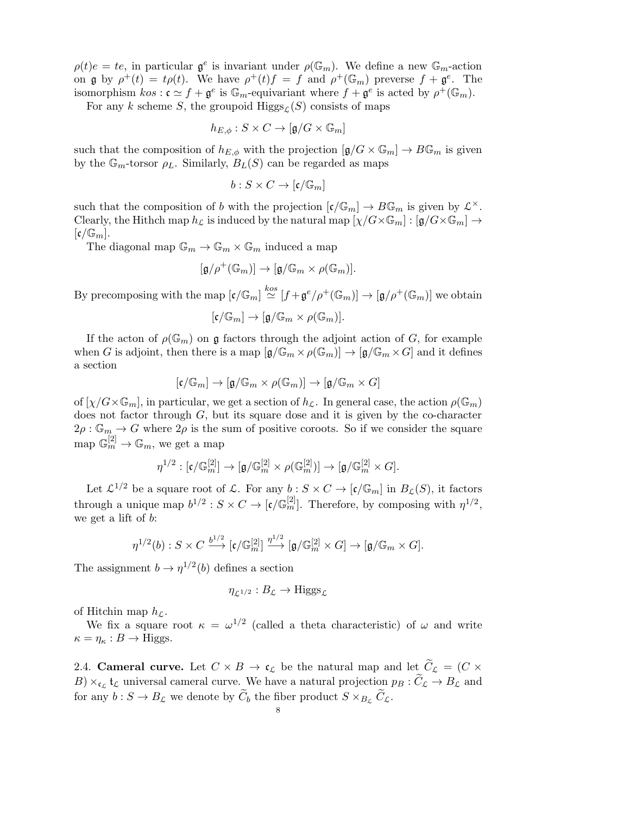$\rho(t)e = te$ , in particular  $\mathfrak{g}^e$  is invariant under  $\rho(\mathbb{G}_m)$ . We define a new  $\mathbb{G}_m$ -action on  $\mathfrak g$  by  $\rho^+(t) = t\rho(t)$ . We have  $\rho^+(t)f = f$  and  $\rho^+(\mathbb{G}_m)$  preverse  $f + \mathfrak g^e$ . The isomorphism  $\text{cos} : \mathfrak{c} \simeq f + \mathfrak{g}^e$  is  $\mathbb{G}_m$ -equivariant where  $f + \mathfrak{g}^e$  is acted by  $\rho^+(\mathbb{G}_m)$ .

For any k scheme S, the groupoid  $\text{Higgs}_{L}(S)$  consists of maps

$$
h_{E,\phi}: S \times C \rightarrow [\mathfrak{g}/G \times \mathbb{G}_m]
$$

such that the composition of  $h_{E,\phi}$  with the projection  $[\mathfrak{g}/G \times \mathbb{G}_m] \to B\mathbb{G}_m$  is given by the  $\mathbb{G}_m$ -torsor  $\rho_L$ . Similarly,  $B_L(S)$  can be regarded as maps

$$
b:S\times C\to [\mathfrak{c}/\mathbb{G}_m]
$$

such that the composition of b with the projection  $[\mathfrak{c}/\mathbb{G}_m] \to B\mathbb{G}_m$  is given by  $\mathcal{L}^{\times}$ . Clearly, the Hithch map  $h_{\mathcal{L}}$  is induced by the natural map  $[\chi/G \times \mathbb{G}_m] : [\mathfrak{g}/G \times \mathbb{G}_m] \to$  $\lbrack \mathfrak{c}/\mathbb{G}_{m} \rbrack$ .

The diagonal map  $\mathbb{G}_m \to \mathbb{G}_m \times \mathbb{G}_m$  induced a map

$$
[\mathfrak{g}/\rho^+(\mathbb{G}_m)]\to [\mathfrak{g}/\mathbb{G}_m\times \rho(\mathbb{G}_m)].
$$

By precomposing with the map  $[\mathfrak{c}/\mathbb{G}_m] \stackrel{kos}{\simeq} [f + \mathfrak{g}^e/\rho^+(\mathbb{G}_m)] \to [\mathfrak{g}/\rho^+(\mathbb{G}_m)]$  we obtain

$$
[\mathfrak{c}/\mathbb{G}_m] \to [\mathfrak{g}/\mathbb{G}_m \times \rho(\mathbb{G}_m)].
$$

If the acton of  $\rho(\mathbb{G}_m)$  on g factors through the adjoint action of G, for example when G is adjoint, then there is a map  $[\mathfrak{g}/\mathbb{G}_m \times \rho(\mathbb{G}_m)] \to [\mathfrak{g}/\mathbb{G}_m \times G]$  and it defines a section

$$
[\mathfrak{c}/\mathbb{G}_m]\to [\mathfrak{g}/\mathbb{G}_m\times \rho(\mathbb{G}_m)]\to [\mathfrak{g}/\mathbb{G}_m\times G]
$$

of  $[\chi/G \times \mathbb{G}_m]$ , in particular, we get a section of  $h_{\mathcal{L}}$ . In general case, the action  $\rho(\mathbb{G}_m)$ does not factor through  $G$ , but its square dose and it is given by the co-character  $2\rho : \mathbb{G}_m \to G$  where  $2\rho$  is the sum of positive coroots. So if we consider the square map  $\mathbb{G}_m^{[2]} \to \mathbb{G}_m$ , we get a map

$$
\eta^{1/2}:[\mathfrak{c}/\mathbb{G}_m^{[2]}]\to[\mathfrak{g}/\mathbb{G}_m^{[2]}\times\rho(\mathbb{G}_m^{[2]})]\to[\mathfrak{g}/\mathbb{G}_m^{[2]}\times G].
$$

Let  $\mathcal{L}^{1/2}$  be a square root of  $\mathcal{L}$ . For any  $b: S \times C \to [\mathfrak{c}/\mathbb{G}_m]$  in  $B_{\mathcal{L}}(S)$ , it factors through a unique map  $b^{1/2}: S \times C \to [\mathfrak{c}/\mathbb{G}_m^{[2]}]$ . Therefore, by composing with  $\eta^{1/2}$ , we get a lift of b:

$$
\eta^{1/2}(b): S \times C \xrightarrow{b^{1/2}} [\mathfrak{c} / \mathbb{G}_m^{[2]}] \xrightarrow{\eta^{1/2}} [\mathfrak{g} / \mathbb{G}_m^{[2]} \times G] \to [\mathfrak{g} / \mathbb{G}_m \times G].
$$

The assignment  $b \to \eta^{1/2}(b)$  defines a section

$$
\eta_{\mathcal{L}^{1/2}}:B_{\mathcal{L}}\to\mathrm{Higgs}_{\mathcal{L}}
$$

of Hitchin map  $h_{\mathcal{L}}$ .

We fix a square root  $\kappa = \omega^{1/2}$  (called a theta characteristic) of  $\omega$  and write  $\kappa = \eta_{\kappa} : B \to Higgs.$ 

2.4. Cameral curve. Let  $C \times B \to \mathfrak{c}_{\mathcal{L}}$  be the natural map and let  $C_{\mathcal{L}} = (C \times$  $B) \times_{\mathfrak{c}_\mathcal{L}} \mathfrak{t}_\mathcal{L}$  universal cameral curve. We have a natural projection  $p_B : C_\mathcal{L} \to B_\mathcal{L}$  and for any  $b: S \to B_{\mathcal{L}}$  we denote by  $C_b$  the fiber product  $S \times_{B_{\mathcal{L}}} C_{\mathcal{L}}$ .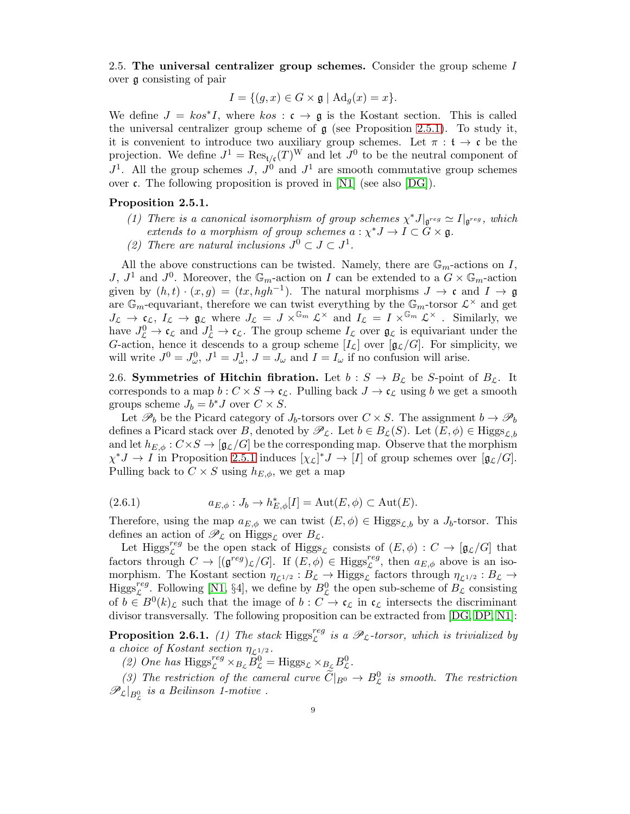<span id="page-8-1"></span>2.5. The universal centralizer group schemes. Consider the group scheme  $I$ over g consisting of pair

$$
I = \{ (g, x) \in G \times \mathfrak{g} \mid \mathrm{Ad}_g(x) = x \}.
$$

We define  $J = k \omega^* I$ , where  $k \omega : \mathfrak{c} \to \mathfrak{g}$  is the Kostant section. This is called the universal centralizer group scheme of  $\mathfrak g$  (see Proposition [2.5.1\)](#page-8-0). To study it, it is convenient to introduce two auxiliary group schemes. Let  $\pi : \mathfrak{t} \to \mathfrak{c}$  be the projection. We define  $J^1 = \text{Res}_{t/\mathfrak{c}}(T)^W$  and let  $J^0$  to be the neutral component of  $J^1$ . All the group schemes  $J, J^0$  and  $J^1$  are smooth commutative group schemes over  $\mathfrak c$ . The following proposition is proved in [\[N1\]](#page-48-11) (see also [\[DG\]](#page-48-14)).

## <span id="page-8-0"></span>Proposition 2.5.1.

- (1) There is a canonical isomorphism of group schemes  $\chi^* J|_{\mathfrak{g}^{reg}} \simeq I|_{\mathfrak{g}^{reg}}$ , which extends to a morphism of group schemes  $a: \chi^* J \to I \subset G \times \mathfrak{g}$ .
- (2) There are natural inclusions  $J^0 \subset J \subset J^1$ .

All the above constructions can be twisted. Namely, there are  $\mathbb{G}_m$ -actions on I, J,  $J^1$  and  $J^0$ . Moreover, the  $\mathbb{G}_m$ -action on I can be extended to a  $G \times \mathbb{G}_m$ -action given by  $(h, t) \cdot (x, g) = (tx, hgh^{-1})$ . The natural morphisms  $J \to \mathfrak{c}$  and  $I \to \mathfrak{g}$ are  $\mathbb{G}_m$ -equvariant, therefore we can twist everything by the  $\mathbb{G}_m$ -torsor  $\mathcal{L}^{\times}$  and get  $J_{\mathcal{L}} \to \mathfrak{c}_{\mathcal{L}}, L_{\mathcal{L}} \to \mathfrak{g}_{\mathcal{L}}$  where  $J_{\mathcal{L}} = J \times^{\mathbb{G}_m} {\mathcal{L}}^{\times}$  and  $I_{\mathcal{L}} = I \times^{\mathbb{G}_m} {\mathcal{L}}^{\times}$ . Similarly, we have  $J^0_{\mathcal{L}} \to \mathfrak{c}_{\mathcal{L}}$  and  $J^1_{\mathcal{L}} \to \mathfrak{c}_{\mathcal{L}}$ . The group scheme  $I_{\mathcal{L}}$  over  $\mathfrak{g}_{\mathcal{L}}$  is equivariant under the G-action, hence it descends to a group scheme  $[I_{\mathcal{L}}]$  over  $[g_{\mathcal{L}}/G]$ . For simplicity, we will write  $J^0 = J^0_\omega$ ,  $J^1 = J^1_\omega$ ,  $J = J_\omega$  and  $I = I_\omega$  if no confusion will arise.

2.6. Symmetries of Hitchin fibration. Let  $b : S \to B_{\mathcal{L}}$  be S-point of  $B_{\mathcal{L}}$ . It corresponds to a map  $b: C \times S \to \mathfrak{c}_{\mathcal{L}}$ . Pulling back  $J \to \mathfrak{c}_{\mathcal{L}}$  using b we get a smooth groups scheme  $J_b = b^* J$  over  $C \times S$ .

Let  $\mathscr{P}_b$  be the Picard category of  $J_b$ -torsors over  $C \times S$ . The assignment  $b \to \mathscr{P}_b$ defines a Picard stack over B, denoted by  $\mathscr{P}_{\mathcal{L}}$ . Let  $b \in B_{\mathcal{L}}(S)$ . Let  $(E, \phi) \in Higgs_{\mathcal{L},b}$ and let  $h_{E,\phi}: C \times S \to [\mathfrak{g}_{\mathcal{L}}/G]$  be the corresponding map. Observe that the morphism  $\chi^*J \to I$  in Proposition [2.5.1](#page-8-0) induces  $[\chi_{\mathcal{L}}]^*J \to [I]$  of group schemes over  $[\mathfrak{g}_{\mathcal{L}}/G]$ . Pulling back to  $C \times S$  using  $h_{E, \phi}$ , we get a map

<span id="page-8-3"></span>(2.6.1) 
$$
a_{E,\phi}: J_b \to h_{E,\phi}^*[I] = \mathrm{Aut}(E,\phi) \subset \mathrm{Aut}(E).
$$

Therefore, using the map  $a_{E,\phi}$  we can twist  $(E, \phi) \in Higgs_{\mathcal{L},b}$  by a  $J_b$ -torsor. This defines an action of  $\mathscr{P}_\mathcal{L}$  on Higgs<sub>L</sub> over  $B_\mathcal{L}$ .

Let Higgs<sup>reg</sup> be the open stack of Higgs<sub>L</sub> consists of  $(E, \phi) : C \to [\mathfrak{g}_L/G]$  that factors through  $C \to [(\mathfrak{g}^{reg})_{\mathcal{L}}/G]$ . If  $(E, \phi) \in \text{Higgs}_{\mathcal{L}}^{reg}$ , then  $a_{E,\phi}$  above is an isomorphism. The Kostant section  $\eta_{\mathcal{L}^{1/2}} : B_{\mathcal{L}} \to \text{Higgs}_{\mathcal{L}}$  factors through  $\eta_{\mathcal{L}^{1/2}} : B_{\mathcal{L}} \to$  $\text{Higgs}_{\mathcal{L}}^{reg}$ . Following [\[N1,](#page-48-11) §4], we define by  $B_{\mathcal{L}}^{0}$  the open sub-scheme of  $B_{\mathcal{L}}$  consisting of  $b \in B^0(k)$ <sub>c</sub> such that the image of  $b : C \to \mathfrak{c}_{\mathcal{L}}$  in  $\mathfrak{c}_{\mathcal{L}}$  intersects the discriminant divisor transversally. The following proposition can be extracted from [\[DG,](#page-48-14) [DP,](#page-48-3) [N1\]](#page-48-11):

<span id="page-8-2"></span>**Proposition 2.6.1.** (1) The stack  $Higgs_{\mathcal{L}}^{reg}$  is a  $\mathscr{P}_{\mathcal{L}}$ -torsor, which is trivialized by a choice of Kostant section  $\eta_{\mathcal{L}^{1/2}}$ .

(2) One has  $\text{Higgs}_{\mathcal{L}}^{reg} \times_{B_{\mathcal{L}}} \widetilde{B}_{\mathcal{L}}^0 = \text{Higgs}_{\mathcal{L}} \times_{B_{\mathcal{L}}} B_{\mathcal{L}}^0.$ 

(3) The restriction of the cameral curve  $\widetilde{C}|_{B^0} \to B^0_{\mathcal{L}}$  is smooth. The restriction  $\mathscr{P}_\mathcal{L}|_{B_\mathcal{L}^0}$  is a Beilinson 1-motive.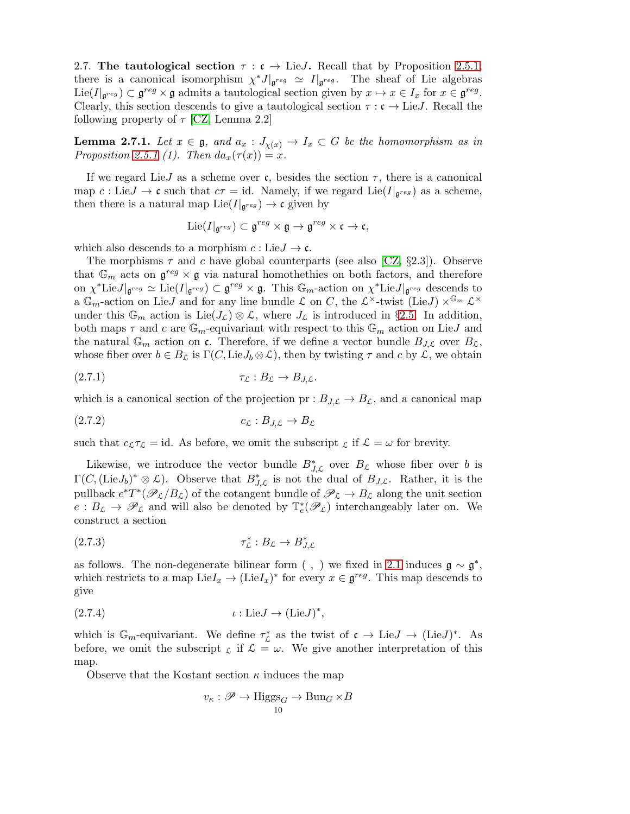<span id="page-9-0"></span>2.7. The tautological section  $\tau : \mathfrak{c} \to \text{Lie}J$ . Recall that by Proposition [2.5.1,](#page-8-0) there is a canonical isomorphism  $\chi^* J|_{\mathfrak{g}^{reg}} \simeq I|_{\mathfrak{g}^{reg}}$ . The sheaf of Lie algebras Lie( $I|_{\mathfrak{g}^{reg}}$ )  $\subset \mathfrak{g}^{reg} \times \mathfrak{g}$  admits a tautological section given by  $x \mapsto x \in I_x$  for  $x \in \mathfrak{g}^{reg}$ . Clearly, this section descends to give a tautological section  $\tau : \mathfrak{c} \to \text{Lie}J$ . Recall the following property of  $\tau$  [\[CZ,](#page-48-7) Lemma 2.2]

**Lemma 2.7.1.** Let  $x \in \mathfrak{g}$ , and  $a_x : J_{\chi(x)} \to I_x \subset G$  be the homomorphism as in Proposition [2.5.1](#page-8-0) (1). Then  $da_x(\tau(x)) = x$ .

If we regard LieJ as a scheme over c, besides the section  $\tau$ , there is a canonical map  $c: \text{Lie}J \to \mathfrak{c}$  such that  $c\tau = \text{id}$ . Namely, if we regard  $\text{Lie}(I|_{\mathfrak{g}^{reg}})$  as a scheme, then there is a natural map  $\text{Lie}(I|_{\mathfrak{g}^{reg}}) \to \mathfrak{c}$  given by

$$
\mathrm{Lie}(I|_{\mathfrak{g}^{reg}})\subset\mathfrak{g}^{reg}\times\mathfrak{g}\rightarrow\mathfrak{g}^{reg}\times\mathfrak{c}\rightarrow\mathfrak{c},
$$

which also descends to a morphism  $c : Lie J \to \mathfrak{c}$ .

The morphisms  $\tau$  and c have global counterparts (see also [\[CZ,](#page-48-7) §2.3]). Observe that  $\mathbb{G}_m$  acts on  $\mathfrak{g}^{reg} \times \mathfrak{g}$  via natural homothethies on both factors, and therefore on  $\chi^*$ Lie $J|_{\mathfrak{g}^{reg}} \simeq \text{Lie}(I|_{\mathfrak{g}^{reg}}) \subset \mathfrak{g}^{reg} \times \mathfrak{g}$ . This  $\mathbb{G}_m$ -action on  $\chi^*$ Lie $J|_{\mathfrak{g}^{reg}}$  descends to a  $\mathbb{G}_m$ -action on Lie J and for any line bundle  $\mathcal L$  on C, the  $\mathcal L^\times$ -twist (Lie J)  $\times^{\mathbb{G}_m} \mathcal L^\times$ under this  $\mathbb{G}_m$  action is Lie( $J_{\mathcal{L}}$ )  $\otimes$  L, where  $J_{\mathcal{L}}$  is introduced in §[2.5.](#page-8-1) In addition, both maps  $\tau$  and c are  $\mathbb{G}_m$ -equivariant with respect to this  $\mathbb{G}_m$  action on LieJ and the natural  $\mathbb{G}_m$  action on c. Therefore, if we define a vector bundle  $B_{J,\mathcal{L}}$  over  $B_{\mathcal{L}}$ , whose fiber over  $b \in B_{\mathcal{L}}$  is  $\Gamma(C, \text{Lie}J_b \otimes \mathcal{L})$ , then by twisting  $\tau$  and  $c$  by  $\mathcal{L}$ , we obtain

$$
\tau_{\mathcal{L}} : B_{\mathcal{L}} \to B_{J,\mathcal{L}}.
$$

which is a canonical section of the projection  $pr: B_{J,\mathcal{L}} \to B_{\mathcal{L}}$ , and a canonical map

$$
(2.7.2) \t\t c_{\mathcal{L}} : B_{J,\mathcal{L}} \to B_{\mathcal{L}}
$$

such that  $c_{\mathcal{L}}\tau_{\mathcal{L}} = id$ . As before, we omit the subscript  $_{\mathcal{L}}$  if  $\mathcal{L} = \omega$  for brevity.

Likewise, we introduce the vector bundle  $B_{J,\mathcal{L}}^*$  over  $B_{\mathcal{L}}$  whose fiber over b is  $\Gamma(C, (\text{Lie}J_b)^* \otimes \mathcal{L})$ . Observe that  $B_{J,\mathcal{L}}^*$  is not the dual of  $B_{J,\mathcal{L}}$ . Rather, it is the pullback  $e^*T^*(\mathscr{P}_\mathcal{L}/B_\mathcal{L})$  of the cotangent bundle of  $\mathscr{P}_\mathcal{L} \to B_\mathcal{L}$  along the unit section  $e: B_{\mathcal{L}} \to \mathscr{P}_{\mathcal{L}}$  and will also be denoted by  $\mathbb{T}_{e}^{*}(\mathscr{P}_{\mathcal{L}})$  interchangeably later on. We construct a section

$$
(2.7.3) \t\t\t\t\t\tau_{\mathcal{L}}^* : B_{\mathcal{L}} \to B_{J,\mathcal{L}}^*
$$

as follows. The non-degenerate bilinear form (, ) we fixed in [2.1](#page-5-1) induces  $\mathfrak{g} \sim \mathfrak{g}^*,$ which restricts to a map  $\text{Lie}I_x \to (\text{Lie}I_x)^*$  for every  $x \in \mathfrak{g}^{reg}$ . This map descends to give

(2.7.4) ι : LieJ → (LieJ) ∗ ,

which is  $\mathbb{G}_m$ -equivariant. We define  $\tau_{\mathcal{L}}^*$  as the twist of  $\mathfrak{c} \to \text{Lie} J \to (\text{Lie} J)^*$ . As before, we omit the subscript  $\zeta$  if  $\mathcal{L} = \omega$ . We give another interpretation of this map.

Observe that the Kostant section  $\kappa$  induces the map

<span id="page-9-1"></span>
$$
v_{\kappa}: \mathscr{P} \to \text{Higgs}_G \to \text{Bun}_G \times B
$$
  

$$
v_{\kappa}: \mathscr{P} \to \text{Higgs}_G \to \text{Bun}_G \times B
$$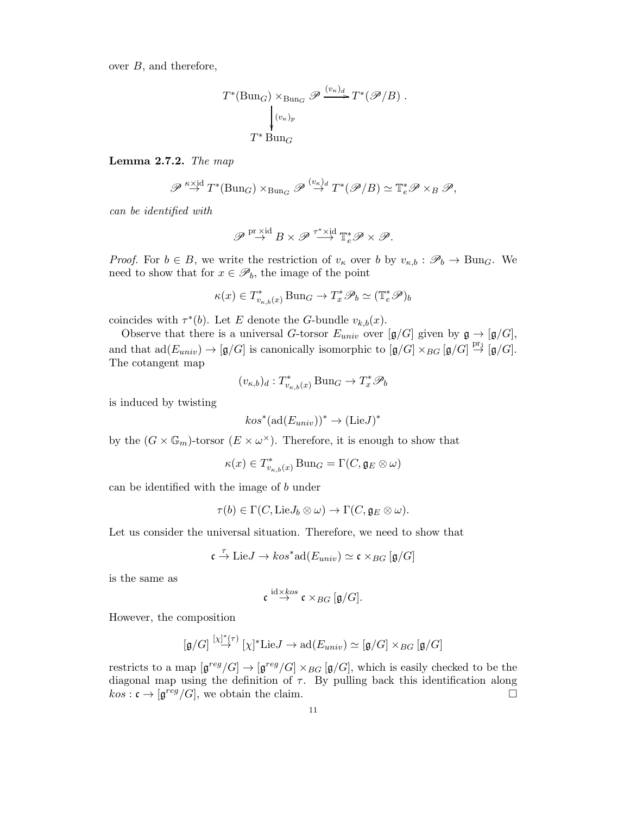over B, and therefore,

$$
T^{*}(\text{Bun}_{G}) \times_{\text{Bun}_{G}} \mathscr{P} \xrightarrow{(v_{\kappa})_{d}} T^{*}(\mathscr{P}/B).
$$

$$
\downarrow^{(v_{\kappa})_{p}}
$$

$$
T^{*} \text{Bun}_{G}
$$

<span id="page-10-0"></span>Lemma 2.7.2. The map

$$
\mathscr{P} \stackrel{\kappa \times \mathrm{id}}{\rightarrow} T^*(B\mathrm{un}_G) \times_{B\mathrm{un}_G} \mathscr{P} \stackrel{(v_{\kappa})_d}{\rightarrow} T^*(\mathscr{P}/B) \simeq \mathbb{T}_e^* \mathscr{P} \times_B \mathscr{P},
$$

can be identified with

$$
\mathscr{P}\overset{\mathrm{pr}\, \times \mathrm{id}}{\rightarrow} B\times \mathscr{P}\overset{\tau^\ast\times \mathrm{id}}{\longrightarrow} \mathbb{T}^\ast_e\mathscr{P}\times \mathscr{P}.
$$

*Proof.* For  $b \in B$ , we write the restriction of  $v_{\kappa}$  over b by  $v_{\kappa,b} : \mathscr{P}_b \to \text{Bun}_G$ . We need to show that for  $x \in \mathscr{P}_b$ , the image of the point

$$
\kappa(x) \in T^*_{v_{\kappa,b}(x)} \operatorname{Bun}_G \to T^*_x \mathscr{P}_b \simeq (\mathbb{T}_e^* \mathscr{P})_b
$$

coincides with  $\tau^*(b)$ . Let E denote the G-bundle  $v_{k,b}(x)$ .

Observe that there is a universal G-torsor  $E_{univ}$  over  $[g/G]$  given by  $\mathfrak{g} \to [ \mathfrak{g}/G ]$ , and that  $\text{ad}(E_{univ}) \to [\mathfrak{g}/G]$  is canonically isomorphic to  $[\mathfrak{g}/G] \times_{BG} [\mathfrak{g}/G] \stackrel{\text{pr}_1}{\to} [\mathfrak{g}/G]$ . The cotangent map

$$
(v_{\kappa,b})_d:T^*_{v_{\kappa,b}(x)}\operatorname{Bun}_G\to T^*_x\mathscr{P}_b
$$

is induced by twisting

$$
kos^*(\mathrm{ad}(E_{univ}))^* \to (\mathrm{Lie}J)^*
$$

by the  $(G \times \mathbb{G}_m)$ -torsor  $(E \times \omega^\times)$ . Therefore, it is enough to show that

$$
\kappa(x) \in T^*_{v_{\kappa,b}(x)} \operatorname{Bun}_G = \Gamma(C, \mathfrak{g}_E \otimes \omega)
$$

can be identified with the image of b under

$$
\tau(b) \in \Gamma(C, \mathrm{Lie} J_b \otimes \omega) \to \Gamma(C, \mathfrak{g}_E \otimes \omega).
$$

Let us consider the universal situation. Therefore, we need to show that

$$
\mathfrak{c} \stackrel{\tau}{\rightarrow} \mathrm{Lie} J \rightarrow \mathit{kos}^*\mathrm{ad}(E_{univ}) \simeq \mathfrak{c} \times_{BG} [\mathfrak{g}/G]
$$

is the same as

$$
\mathfrak{c} \stackrel{\mathrm{id} \times kos}{\rightarrow} \mathfrak{c} \times_{BG} [\mathfrak{g}/G].
$$

However, the composition

$$
[\mathfrak{g}/G] \stackrel{[\chi]^*}{\rightarrow} [\chi]^* \text{Lie} J \rightarrow \text{ad}(E_{univ}) \simeq [\mathfrak{g}/G] \times_{BG} [\mathfrak{g}/G]
$$

restricts to a map  $[\mathfrak{g}^{reg}/G] \to [\mathfrak{g}^{reg}/G] \times_{BG} [\mathfrak{g}/G]$ , which is easily checked to be the diagonal map using the definition of  $\tau$ . By pulling back this identification along  $kos: \mathfrak{c} \to [\mathfrak{g}^{reg}/G],$  we obtain the claim.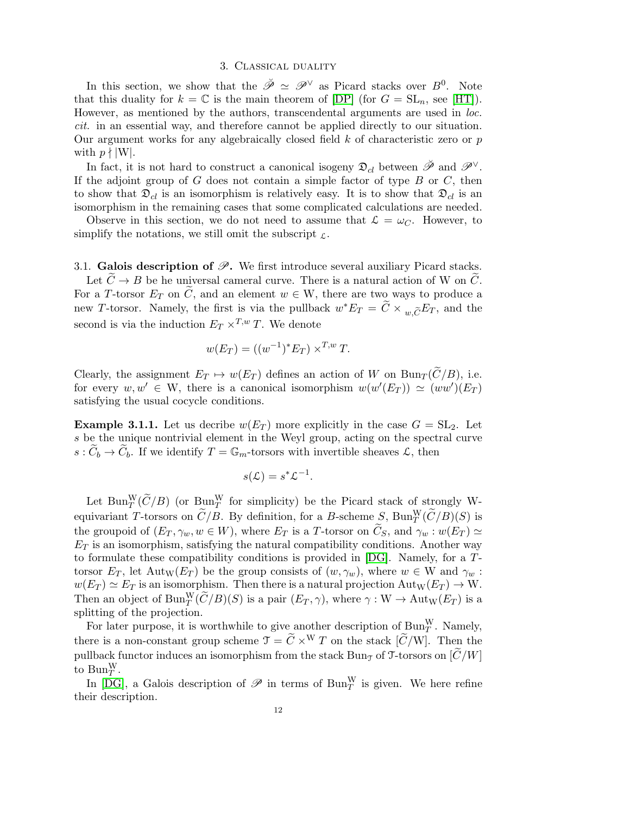#### 3. Classical duality

<span id="page-11-0"></span>In this section, we show that the  $\check{\mathscr{P}} \simeq \mathscr{P}^{\vee}$  as Picard stacks over  $B^0$ . Note that this duality for  $k = \mathbb{C}$  is the main theorem of  $[DP]$  (for  $G = SL_n$ , see  $[HT]$ ). However, as mentioned by the authors, transcendental arguments are used in loc. cit. in an essential way, and therefore cannot be applied directly to our situation. Our argument works for any algebraically closed field  $k$  of characteristic zero or  $p$ with  $p \nmid |W|$ .

In fact, it is not hard to construct a canonical isogeny  $\mathfrak{D}_{cl}$  between  $\check{\mathscr{P}}$  and  $\mathscr{P}^{\vee}$ . If the adjoint group of  $G$  does not contain a simple factor of type  $B$  or  $C$ , then to show that  $\mathfrak{D}_{cl}$  is an isomorphism is relatively easy. It is to show that  $\mathfrak{D}_{cl}$  is an isomorphism in the remaining cases that some complicated calculations are needed.

Observe in this section, we do not need to assume that  $\mathcal{L} = \omega_C$ . However, to simplify the notations, we still omit the subscript  $\mathcal{L}$ .

3.1. Galois description of  $\mathscr{P}$ . We first introduce several auxiliary Picard stacks.

Let  $C \to B$  be he universal cameral curve. There is a natural action of W on C. For a T-torsor  $E_T$  on C, and an element  $w \in W$ , there are two ways to produce a new T-torsor. Namely, the first is via the pullback  $w^* E_T = \tilde{C} \times_{w,\tilde{C}} E_T$ , and the second is via the induction  $E_T \times^{T,w} T$ . We denote

$$
w(E_T) = ((w^{-1})^* E_T) \times^{T,w} T.
$$

Clearly, the assignment  $E_T \mapsto w(E_T)$  defines an action of W on  $Bun_T(\widetilde{C}/B)$ , i.e. for every  $w, w' \in W$ , there is a canonical isomorphism  $w(w'(E_T)) \simeq (ww')(E_T)$ satisfying the usual cocycle conditions.

**Example 3.1.1.** Let us decribe  $w(E_T)$  more explicitly in the case  $G = SL_2$ . Let s be the unique nontrivial element in the Weyl group, acting on the spectral curve  $s: C_b \to C_b$ . If we identify  $T = \mathbb{G}_m$ -torsors with invertible sheaves  $\mathcal{L}$ , then

$$
s(\mathcal{L}) = s^* \mathcal{L}^{-1}.
$$

Let Bun $_T^W(\widetilde{C}/B)$  (or Bun $_T^W$  for simplicity) be the Picard stack of strongly Wequivariant T-torsors on  $\tilde{C}/B$ . By definition, for a B-scheme  $S$ ,  $\text{Bun}_T^W(\tilde{C}/B)(S)$  is the groupoid of  $(E_T, \gamma_w, w \in W)$ , where  $E_T$  is a T-torsor on  $\widetilde{C}_S$ , and  $\gamma_w : w(E_T) \simeq$  $E_T$  is an isomorphism, satisfying the natural compatibility conditions. Another way to formulate these compatibility conditions is provided in [\[DG\]](#page-48-14). Namely, for a Ttorsor  $E_T$ , let Aut<sub>W</sub>( $E_T$ ) be the group consists of  $(w, \gamma_w)$ , where  $w \in W$  and  $\gamma_w$ :  $w(E_T) \simeq E_T$  is an isomorphism. Then there is a natural projection  ${\rm Aut}_W(E_T) \to W$ . Then an object of  $\text{Bun}_T^W(\widetilde{C}/B)(S)$  is a pair  $(E_T, \gamma)$ , where  $\gamma : W \to \text{Aut}_W(E_T)$  is a splitting of the projection.

For later purpose, it is worthwhile to give another description of  $\text{Bun}_T^W$ . Namely, there is a non-constant group scheme  $\mathcal{T} = \tilde{C} \times^W T$  on the stack  $[\tilde{C}/W]$ . Then the pullback functor induces an isomorphism from the stack Bung of  $\mathcal{T}$ -torsors on  $|\tilde{C}/W|$ to  $\text{Bun}_T^W$ .

In [\[DG\]](#page-48-14), a Galois description of  $\mathscr P$  in terms of  $\text{Bun}_T^W$  is given. We here refine their description.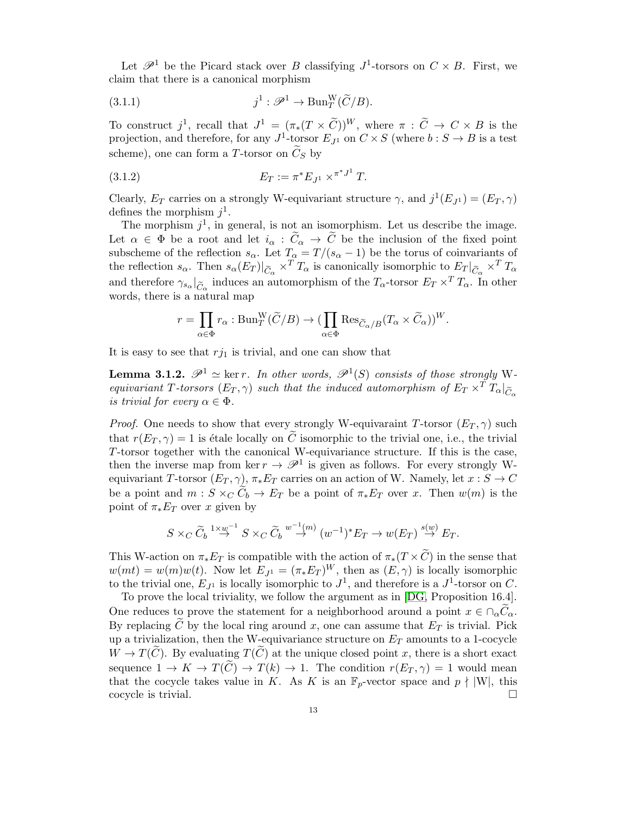Let  $\mathscr{P}^1$  be the Picard stack over B classifying  $J^1$ -torsors on  $C \times B$ . First, we claim that there is a canonical morphism

(3.1.1) 
$$
j^1 : \mathscr{P}^1 \to \text{Bun}_T^W(\widetilde{C}/B).
$$

To construct j<sup>1</sup>, recall that  $J^1 = (\pi_*(T \times \tilde{C}))^W$ , where  $\pi : \tilde{C} \to C \times B$  is the projection, and therefore, for any  $J^1$ -torsor  $E_{J^1}$  on  $C \times S$  (where  $b : S \to B$  is a test scheme), one can form a T-torsor on  $\tilde{C}_S$  by

<span id="page-12-1"></span>(3.1.2) 
$$
E_T := \pi^* E_{J^1} \times^{\pi^* J^1} T.
$$

Clearly,  $E_T$  carries on a strongly W-equivariant structure  $\gamma$ , and  $j^1(E_{J^1}) = (E_T, \gamma)$ defines the morphism  $j^1$ .

The morphism  $j^1$ , in general, is not an isomorphism. Let us describe the image. Let  $\alpha \in \Phi$  be a root and let  $i_{\alpha} : \tilde{C}_{\alpha} \to \tilde{C}$  be the inclusion of the fixed point subscheme of the reflection  $s_{\alpha}$ . Let  $T_{\alpha} = T/(s_{\alpha} - 1)$  be the torus of coinvariants of the reflection  $s_{\alpha}$ . Then  $s_{\alpha}(E_T)|_{\widetilde{C}_{\alpha}} \times^T T_{\alpha}$  is canonically isomorphic to  $E_T|_{\widetilde{C}_{\alpha}} \times^T T_{\alpha}$ and therefore  $\gamma_{s_\alpha}|_{\widetilde C_\alpha}$  induces an automorphism of the  $T_\alpha$ -torsor  $E_T \times^T T_\alpha$ . In other words, there is a natural map

$$
r=\prod_{\alpha\in \Phi}r_{\alpha}:\mathrm{Bun}^{\mathrm{W}}_{T}(\widetilde{C}/B) \to (\prod_{\alpha\in \Phi}\mathrm{Res}_{\widetilde{C}_{\alpha}/B}(T_{\alpha}\times \widetilde{C}_{\alpha}))^{W}.
$$

It is easy to see that  $r_{j1}$  is trivial, and one can show that

<span id="page-12-0"></span>**Lemma 3.1.2.**  $\mathscr{P}^1 \simeq \ker r$ . In other words,  $\mathscr{P}^1(S)$  consists of those strongly Wequivariant T-torsors  $(E_T, \gamma)$  such that the induced automorphism of  $E_T \times^T T_\alpha|_{\widetilde{C}_R}$ is trivial for every  $\alpha \in \Phi$ .

*Proof.* One needs to show that every strongly W-equivaraint T-torsor  $(E_T, \gamma)$  such that  $r(E_T, \gamma) = 1$  is étale locally on  $\tilde{C}$  isomorphic to the trivial one, i.e., the trivial T-torsor together with the canonical W-equivariance structure. If this is the case, then the inverse map from ker  $r \to \mathcal{P}^1$  is given as follows. For every strongly Wequivariant T-torsor  $(E_T, \gamma)$ ,  $\pi_* E_T$  carries on an action of W. Namely, let  $x : S \to C$ be a point and  $m: S \times_C C_b \to E_T$  be a point of  $\pi_* E_T$  over x. Then  $w(m)$  is the point of  $\pi_* E_T$  over x given by

$$
S \times_C \widetilde{C}_b \stackrel{1 \times w^{-1}}{\to} S \times_C \widetilde{C}_b \stackrel{w^{-1}(m)}{\to} (w^{-1})^* E_T \to w(E_T) \stackrel{s(w)}{\to} E_T.
$$

This W-action on  $\pi_* E_T$  is compatible with the action of  $\pi_*(T \times C)$  in the sense that  $w(mt) = w(m)w(t)$ . Now let  $E_{J1} = (\pi_* E_T)^W$ , then as  $(E, \gamma)$  is locally isomorphic to the trivial one,  $E_{J^1}$  is locally isomorphic to  $J^1$ , and therefore is a  $J^1$ -torsor on C.

To prove the local triviality, we follow the argument as in [\[DG,](#page-48-14) Proposition 16.4]. One reduces to prove the statement for a neighborhood around a point  $x \in \bigcap_{\alpha} C_{\alpha}$ . By replacing  $\overline{C}$  by the local ring around x, one can assume that  $E_T$  is trivial. Pick up a trivialization, then the W-equivariance structure on  $E_T$  amounts to a 1-cocycle  $W \to T(\tilde{C})$ . By evaluating  $T(\tilde{C})$  at the unique closed point x, there is a short exact sequence  $1 \to K \to T(\tilde{C}) \to T(k) \to 1$ . The condition  $r(E_T, \gamma) = 1$  would mean that the cocycle takes value in K. As K is an  $\mathbb{F}_p$ -vector space and  $p \nmid |W|$ , this cocycle is trivial.  $\Box$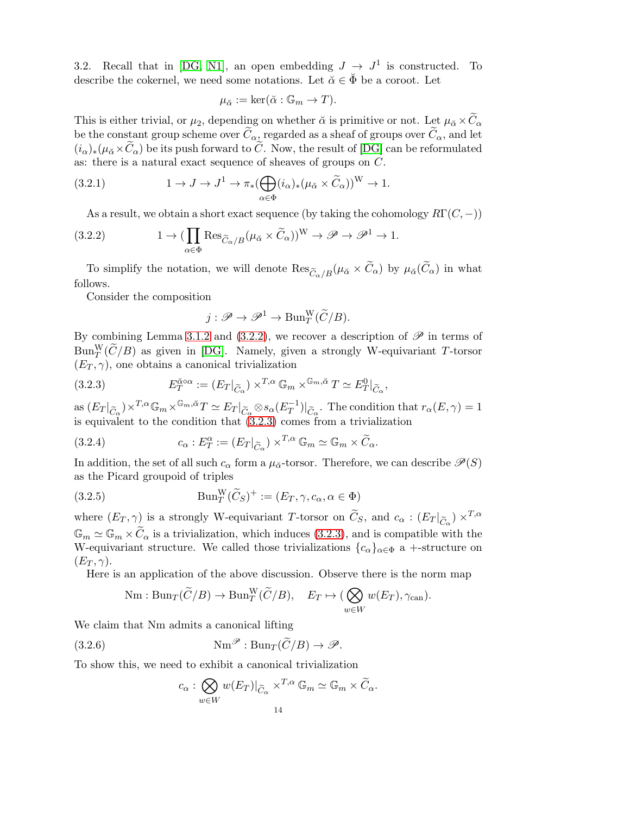<span id="page-13-3"></span>3.2. Recall that in [\[DG,](#page-48-14) [N1\]](#page-48-11), an open embedding  $J \to J^1$  is constructed. To describe the cokernel, we need some notations. Let  $\check{\alpha} \in \check{\Phi}$  be a coroot. Let

$$
\mu_{\check{\alpha}} := \ker(\check{\alpha} : \mathbb{G}_m \to T).
$$

This is either trivial, or  $\mu_2$ , depending on whether  $\alpha$  is primitive or not. Let  $\mu_{\alpha} \times C_{\alpha}$ be the constant group scheme over  $\tilde{C}_{\alpha}$ , regarded as a sheaf of groups over  $\tilde{C}_{\alpha}$ , and let  $(i_{\alpha})_*(\mu_{\alpha} \times \widetilde{C}_{\alpha})$  be its push forward to  $\widetilde{C}$ . Now, the result of [\[DG\]](#page-48-14) can be reformulated as: there is a natural exact sequence of sheaves of groups on C.

(3.2.1) 
$$
1 \to J \to J^1 \to \pi_*(\bigoplus_{\alpha \in \Phi} (i_{\alpha})_*(\mu_{\check{\alpha}} \times \widetilde{C}_{\alpha}))^W \to 1.
$$

<span id="page-13-4"></span><span id="page-13-0"></span>As a result, we obtain a short exact sequence (by taking the cohomology  $R\Gamma(C, -)$ )

(3.2.2) 
$$
1 \to (\prod_{\alpha \in \Phi} \text{Res}_{\widetilde{C}_{\alpha}/B}(\mu_{\check{\alpha}} \times \widetilde{C}_{\alpha}))^{\mathcal{W}} \to \mathscr{P} \to \mathscr{P}^1 \to 1.
$$

To simplify the notation, we will denote  $\text{Res}_{\widetilde{C}_{\alpha}/B}(\mu_{\alpha} \times \widetilde{C}_{\alpha})$  by  $\mu_{\alpha}(\widetilde{C}_{\alpha})$  in what follows.

Consider the composition

<span id="page-13-1"></span>
$$
j: \mathscr{P} \to \mathscr{P}^1 \to \text{Bun}_T^W(\widetilde{C}/B).
$$

By combining Lemma [3.1.2](#page-12-0) and [\(3.2.2\)](#page-13-0), we recover a description of  $\mathscr P$  in terms of  $\text{Bun}_T^W(\widetilde{C}/B)$  as given in [\[DG\]](#page-48-14). Namely, given a strongly W-equivariant T-torsor  $(E_T, \gamma)$ , one obtains a canonical trivialization

(3.2.3) 
$$
E_T^{\check{\alpha} \circ \alpha} := (E_T|_{\widetilde{C}_\alpha}) \times^{T,\alpha} \mathbb{G}_m \times^{\mathbb{G}_m, \check{\alpha}} T \simeq E_T^0|_{\widetilde{C}_\alpha},
$$

as  $(E_T|_{\widetilde{C}_\alpha}) \times^{T,\alpha} \mathbb{G}_m \times^{\mathbb{G}_m, \check{\alpha}} T \simeq E_T|_{\widetilde{C}_\alpha} \otimes s_\alpha(E_T^{-1})$  $\left[\overline{T}^{-1}\right]_{\widetilde{C}_{\alpha}}$ . The condition that  $r_{\alpha}(E, \gamma) = 1$ is equivalent to the condition that  $(3.2.3)$  comes from a trivialization

<span id="page-13-2"></span>(3.2.4) 
$$
c_{\alpha}: E_{T}^{\alpha} := (E_{T}|_{\widetilde{C}_{\alpha}}) \times^{T,\alpha} \mathbb{G}_{m} \simeq \mathbb{G}_{m} \times \widetilde{C}_{\alpha}.
$$

In addition, the set of all such  $c_{\alpha}$  form a  $\mu_{\alpha}$ -torsor. Therefore, we can describe  $\mathscr{P}(S)$ as the Picard groupoid of triples

(3.2.5) 
$$
\text{Bun}_T^W(\widetilde{C}_S)^+ := (E_T, \gamma, c_\alpha, \alpha \in \Phi)
$$

where  $(E_T, \gamma)$  is a strongly W-equivariant T-torsor on  $\tilde{C}_S$ , and  $c_\alpha : (E_T|_{\tilde{C}_\alpha}) \times^{T,\alpha}$  $\mathbb{G}_m \simeq \mathbb{G}_m \times \widetilde{C}_{\alpha}$  is a trivialization, which induces [\(3.2.3\)](#page-13-1), and is compatible with the W-equivariant structure. We called those trivializations  ${c_{\alpha}}_{\alpha \in \Phi}$  a +-structure on  $(E_T, \gamma)$ .

Here is an application of the above discussion. Observe there is the norm map

$$
\text{Nm}: \text{Bun}_{T}(\widetilde{C}/B) \to \text{Bun}_{T}^{\text{W}}(\widetilde{C}/B), \quad E_{T} \mapsto (\bigotimes_{w \in W} w(E_{T}), \gamma_{\text{can}}).
$$

We claim that Nm admits a canonical lifting

(3.2.6) 
$$
\text{Nm}^{\mathscr{P}}:\text{Bun}_{T}(\widetilde{C}/B)\to\mathscr{P}.
$$

To show this, we need to exhibit a canonical trivialization

$$
c_{\alpha}: \bigotimes_{w \in W} w(E_T)|_{\widetilde{C}_{\alpha}} \times^{T, \alpha} \mathbb{G}_m \simeq \mathbb{G}_m \times \widetilde{C}_{\alpha}.
$$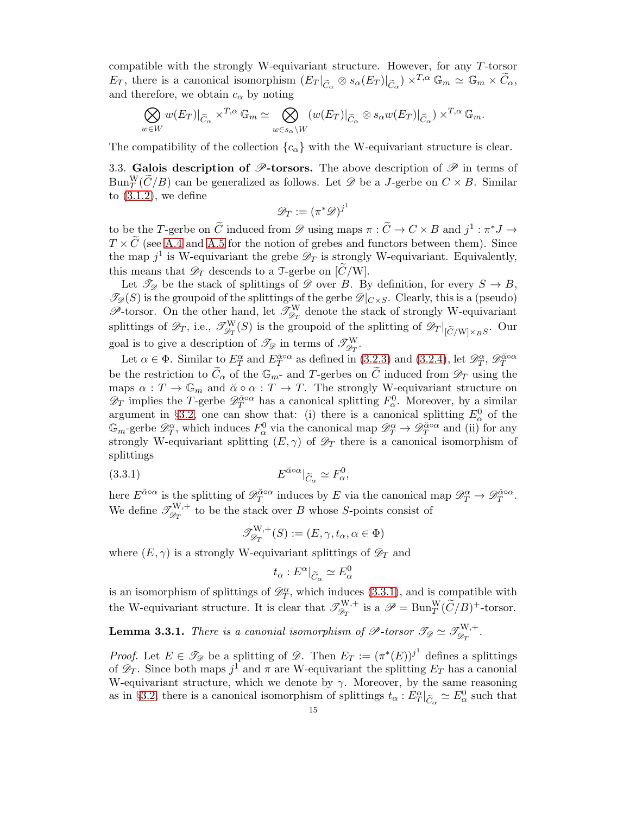compatible with the strongly W-equivariant structure. However, for any T-torsor  $E_T$ , there is a canonical isomorphism  $(E_T|_{\widetilde{C}_\alpha} \otimes s_\alpha(E_T)|_{\widetilde{C}_\alpha}) \times^{T,\alpha} \mathbb{G}_m \simeq \mathbb{G}_m \times \widetilde{C}_\alpha$ , and therefore, we obtain  $c_{\alpha}$  by noting

$$
\bigotimes_{w \in W} w(E_T)|_{\widetilde{C}_{\alpha}} \times^{T,\alpha} \mathbb{G}_m \simeq \bigotimes_{w \in s_{\alpha} \backslash W} (w(E_T)|_{\widetilde{C}_{\alpha}} \otimes s_{\alpha}w(E_T)|_{\widetilde{C}_{\alpha}}) \times^{T,\alpha} \mathbb{G}_m.
$$

The compatibility of the collection  ${c_{\alpha}}$  with the W-equivariant structure is clear.

3.3. Galois description of  $\mathscr{P}$ -torsors. The above description of  $\mathscr{P}$  in terms of  $\text{Bun}_T^W(\widetilde{C}/B)$  can be generalized as follows. Let  $\mathscr{D}$  be a J-gerbe on  $C \times B$ . Similar to  $(3.1.2)$ , we define

$$
\mathscr{D}_T := (\pi^* \mathscr{D})^{j^1}
$$

to be the T-gerbe on  $\widetilde{C}$  induced from  $\mathscr{D}$  using maps  $\pi : \widetilde{C} \to C \times B$  and  $j^1 : \pi^* J \to$  $T \times \widetilde{C}$  (see [A.4](#page-40-0) and [A.5](#page-41-0) for the notion of grebes and functors between them). Since the map  $j^1$  is W-equivariant the grebe  $\mathscr{D}_T$  is strongly W-equivariant. Equivalently, this means that  $\mathscr{D}_T$  descends to a T-gerbe on  $[\tilde{C}/W]$ .

Let  $\mathcal{T}_{\mathscr{D}}$  be the stack of splittings of  $\mathscr{D}$  over B. By definition, for every  $S \to B$ ,  $\mathcal{I}_{\mathscr{D}}(S)$  is the groupoid of the splittings of the gerbe  $\mathscr{D}|_{C\times S}$ . Clearly, this is a (pseudo)  $\mathscr{P}$ -torsor. On the other hand, let  $\mathscr{T}^W_{\mathscr{D}_T}$  denote the stack of strongly W-equivariant splittings of  $\mathscr{D}_T$ , i.e.,  $\mathscr{T}^{\rm W}_{\mathscr{D}_T}(S)$  is the groupoid of the splitting of  $\mathscr{D}_T|_{[\tilde{C}/\rm W]\times_B S}$ . Our goal is to give a description of  $\mathscr{T}_{\mathscr{D}}$  in terms of  $\mathscr{T}^{\mathrm{W}}_{\mathscr{D}_T}$ .

Let  $\alpha \in \Phi$ . Similar to  $E_T^{\alpha}$  and  $E_T^{\alpha \circ \alpha}$  as defined in [\(3.2.3\)](#page-13-1) and [\(3.2.4\)](#page-13-2), let  $\mathscr{D}_T^{\alpha}$ ,  $\mathscr{D}_T^{\alpha \circ \alpha}$ be the restriction to  $\tilde{C}_{\alpha}$  of the  $\mathbb{G}_{m}$ - and T-gerbes on  $\tilde{C}$  induced from  $\mathscr{D}_{T}$  using the maps  $\alpha: T \to \mathbb{G}_m$  and  $\check{\alpha} \circ \alpha: T \to T$ . The strongly W-equivariant structure on  $\mathscr{D}_T$  implies the T-gerbe  $\mathscr{D}_T^{\alpha\circ\alpha}$  has a canonical splitting  $F_\alpha^0$ . Moreover, by a similar argument in §[3.2,](#page-13-3) one can show that: (i) there is a canonical splitting  $E^0_\alpha$  of the  $\mathbb{G}_m$ -gerbe  $\mathscr{D}_T^{\alpha}$ , which induces  $F^0_{\alpha}$  via the canonical map  $\mathscr{D}_T^{\alpha} \to \mathscr{D}_T^{\alpha \circ \alpha}$  and (ii) for any strongly W-equivariant splitting  $(E, \gamma)$  of  $\mathscr{D}_T$  there is a canonical isomorphism of splittings

(3.3.1) 
$$
E^{\check{\alpha} \circ \alpha}|_{\widetilde{C}_{\alpha}} \simeq F_{\alpha}^{0},
$$

here  $E^{\check{\alpha} \circ \alpha}$  is the splitting of  $\mathscr{D}_T^{\check{\alpha} \circ \alpha}$  induces by E via the canonical map  $\mathscr{D}_T^{\alpha} \to \mathscr{D}_T^{\check{\alpha} \circ \alpha}$ . We define  $\mathscr{T}^{W,+}_{\mathscr{D}_T}$  to be the stack over B whose S-points consist of

<span id="page-14-0"></span>
$$
\mathcal{J}_{\mathcal{D}_T}^{\mathcal{W},+}(S) := (E, \gamma, t_\alpha, \alpha \in \Phi)
$$

where  $(E, \gamma)$  is a strongly W-equivariant splittings of  $\mathscr{D}_T$  and

$$
t_{\alpha}: E^{\alpha}|_{\widetilde{C}_{\alpha}} \simeq E_{\alpha}^{0}
$$

is an isomorphism of splittings of  $\mathscr{D}_T^{\alpha}$ , which induces [\(3.3.1\)](#page-14-0), and is compatible with the W-equivariant structure. It is clear that  $\mathscr{T}_{\mathscr{D}_T}^{W,+}$  is a  $\mathscr{P} = \text{Bun}_T^W(\widetilde{C}/B)^+$ -torsor.

<span id="page-14-1"></span>**Lemma 3.3.1.** There is a canonial isomorphism of  $\mathscr{P}$ -torsor  $\mathscr{T}_{\mathscr{D}} \simeq \mathscr{T}^{W,+}_{\mathscr{D}_T}$ .

*Proof.* Let  $E \in \mathscr{T}_{\mathscr{D}}$  be a splitting of  $\mathscr{D}$ . Then  $E_T := (\pi^*(E))^{j^1}$  defines a splittings of  $\mathscr{D}_T$ . Since both maps  $j^1$  and  $\pi$  are W-equivariant the splitting  $E_T$  has a canonial W-equivariant structure, which we denote by  $\gamma$ . Moreover, by the same reasoning as in §[3.2,](#page-13-3) there is a canonical isomorphism of splittings  $t_{\alpha}: E_T^{\alpha}|_{\tilde{C}_{\alpha}} \simeq E_{\alpha}^0$  such that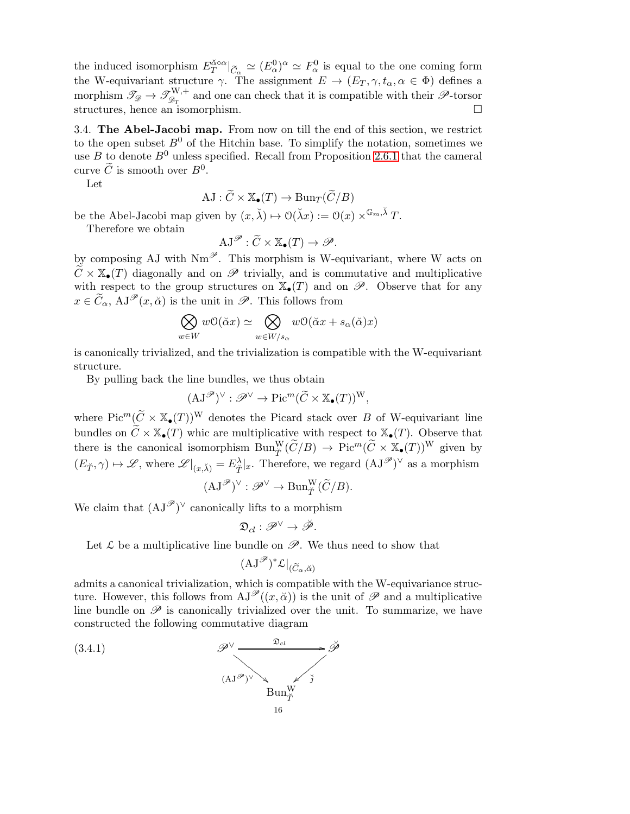the induced isomorphism  $E_T^{\alpha \circ \alpha}|_{\tilde{C}_\alpha} \simeq (E_\alpha^0)^\alpha \simeq F_\alpha^0$  is equal to the one coming form the W-equivariant structure  $\gamma$ . The assignment  $E \to (E_T, \gamma, t_\alpha, \alpha \in \Phi)$  defines a morphism  $\mathscr{T}_{\mathscr{D}} \to \mathscr{T}^{W,+}_{\mathscr{D}_T}$  and one can check that it is compatible with their  $\mathscr{P}$ -torsor structures, hence an isomorphism.

3.4. The Abel-Jacobi map. From now on till the end of this section, we restrict to the open subset  $B^0$  of the Hitchin base. To simplify the notation, sometimes we use B to denote  $B^0$  unless specified. Recall from Proposition [2.6.1](#page-8-2) that the cameral curve  $\tilde{C}$  is smooth over  $B^0$ .

Let

$$
\mathrm{AJ}: \widetilde{C} \times \mathbb{X}_{\bullet}(T) \to \mathrm{Bun}_{T}(\widetilde{C}/B)
$$

be the Abel-Jacobi map given by  $(x, \check{\lambda}) \mapsto \mathcal{O}(\check{\lambda}x) := \mathcal{O}(x) \times^{\mathbb{G}_m, \check{\lambda}} T$ .

Therefore we obtain

$$
\mathrm{AJ}^{\mathscr{P}}:\widetilde{C}\times\mathbb{X}_{\bullet}(T)\to\mathscr{P}.
$$

by composing AJ with  $Nm^{\mathscr{P}}$ . This morphism is W-equivariant, where W acts on  $\widetilde{C} \times \mathbb{X}_{\bullet}(T)$  diagonally and on  $\mathscr{P}$  trivially, and is commutative and multiplicative with respect to the group structures on  $\mathbb{X}_{\bullet}(T)$  and on  $\mathscr{P}$ . Observe that for any  $x \in \widetilde{C}_\alpha$ ,  $AJ^{\mathscr{P}}(x, \breve{\alpha})$  is the unit in  $\mathscr{P}$ . This follows from

$$
\bigotimes_{w \in W} w \mathcal{O}(\check{\alpha}x) \simeq \bigotimes_{w \in W/s_{\alpha}} w \mathcal{O}(\check{\alpha}x + s_{\alpha}(\check{\alpha})x)
$$

is canonically trivialized, and the trivialization is compatible with the W-equivariant structure.

By pulling back the line bundles, we thus obtain

$$
(\mathbf{AJ}^{\mathscr{P}})^{\vee} : \mathscr{P}^{\vee} \to \mathrm{Pic}^m(\widetilde{C} \times \mathbb{X}_{\bullet}(T))^W,
$$

where  $Pic^m(\widetilde{C} \times \mathbb{X}_{\bullet}(T))^W$  denotes the Picard stack over B of W-equivariant line bundles on  $\widetilde{C} \times \mathbb{X}_{\bullet}(T)$  whic are multiplicative with respect to  $\mathbb{X}_{\bullet}(T)$ . Observe that there is the canonical isomorphism  $\text{Bun}_{\tilde{T}}^W(\tilde{C}/B) \to \text{Pic}^m(\tilde{C} \times \mathbb{X}_{\bullet}(T))^W$  given by  $(E_{\check{T}}, \gamma) \mapsto \mathscr{L}$ , where  $\mathscr{L}|_{(x,\check{\lambda})} = E_{\check{T}}^{\lambda}|_x$ . Therefore, we regard  $(\mathrm{AJ}^{\mathscr{P}})^{\vee}$  as a morphism

$$
(\mathbf{AJ}^\mathscr{P})^\vee: \mathscr{P}^\vee \to \mathbf{Bun}^{\mathbf{W}}_{\check T}(\widetilde C/B).
$$

We claim that  $(AJ^{\mathscr{P}})^{\vee}$  canonically lifts to a morphism

$$
\mathfrak{D}_{cl}:\mathscr{P}^{\vee}\rightarrow\check{\mathscr{P}}.
$$

Let  $\mathcal L$  be a multiplicative line bundle on  $\mathscr P$ . We thus need to show that

$$
(\mathrm{AJ}^{\mathscr{P}})^{*}\mathcal{L}|_{(\widetilde{C}_{\alpha},\breve{\alpha})}
$$

admits a canonical trivialization, which is compatible with the W-equivariance structure. However, this follows from  $AJ^{\mathscr{P}}((x,\check{\alpha}))$  is the unit of  $\mathscr{P}$  and a multiplicative line bundle on  $\mathscr P$  is canonically trivialized over the unit. To summarize, we have constructed the following commutative diagram

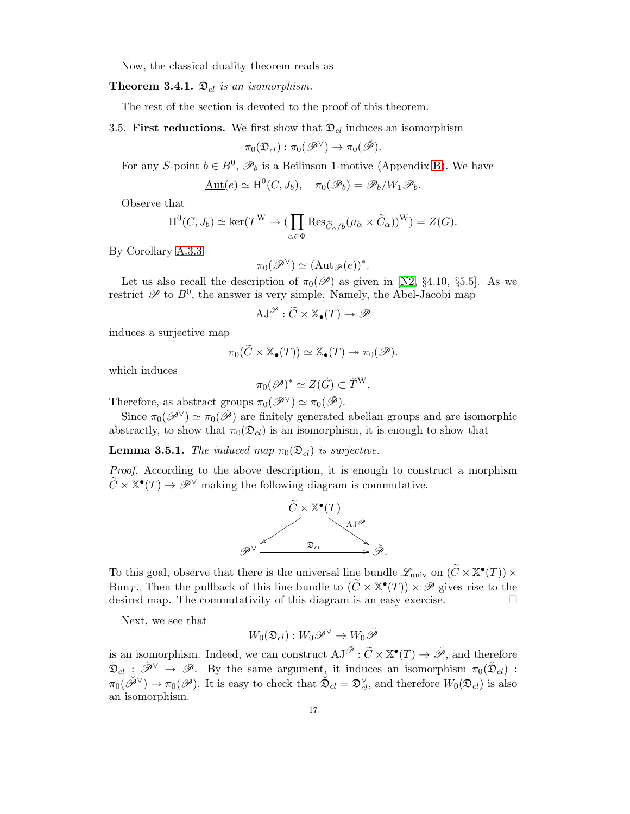Now, the classical duality theorem reads as

## **Theorem 3.4.1.**  $\mathfrak{D}_{cl}$  is an isomorphism.

<span id="page-16-0"></span>The rest of the section is devoted to the proof of this theorem.

3.5. First reductions. We first show that  $\mathcal{D}_{cl}$  induces an isomorphism

$$
\pi_0(\mathfrak{D}_{cl}): \pi_0(\mathscr{P}^{\vee}) \to \pi_0(\breve{\mathscr{P}}).
$$

For any S-point  $b \in B^0$ ,  $\mathscr{P}_b$  is a Beilinson 1-motive (Appendix [B\)](#page-42-0). We have

$$
\underline{\mathrm{Aut}}(e) \simeq \mathrm{H}^0(C, J_b), \quad \pi_0(\mathscr{P}_b) = \mathscr{P}_b/W_1 \mathscr{P}_b.
$$

Observe that

$$
\mathrm{H}^0(C, J_b) \simeq \ker(T^W \to (\prod_{\alpha \in \Phi} \mathrm{Res}_{\widetilde{C}_{\alpha}/b}(\mu_{\check{\alpha}} \times \widetilde{C}_{\alpha}))^W) = Z(G).
$$

By Corollary [A.3.3](#page-39-0)

$$
\pi_0(\mathscr{P}^{\vee}) \simeq (\mathrm{Aut}_{\mathscr{P}}(e))^*.
$$

Let us also recall the description of  $\pi_0(\mathscr{P})$  as given in [\[N2,](#page-49-1) §4.10, §5.5]. As we restrict  $\mathscr P$  to  $B^0$ , the answer is very simple. Namely, the Abel-Jacobi map

$$
\mathrm{AJ}^{\mathscr{P}}:\widetilde{C}\times\mathbb{X}_{\bullet}(T)\to\mathscr{P}
$$

induces a surjective map

$$
\pi_0(\widetilde{C} \times \mathbb{X}_{\bullet}(T)) \simeq \mathbb{X}_{\bullet}(T) \twoheadrightarrow \pi_0(\mathscr{P}).
$$

which induces

$$
\pi_0(\mathscr{P})^* \simeq Z(\breve{G}) \subset \breve{T}^W.
$$

Therefore, as abstract groups  $\pi_0(\mathscr{P}^{\vee}) \simeq \pi_0(\check{\mathscr{P}})$ .

Since  $\pi_0(\mathscr{P}^{\vee}) \simeq \pi_0(\tilde{\mathscr{P}})$  are finitely generated abelian groups and are isomorphic abstractly, to show that  $\pi_0(\mathfrak{D}_{cl})$  is an isomorphism, it is enough to show that

**Lemma 3.5.1.** The induced map  $\pi_0(\mathfrak{D}_{cl})$  is surjective.

Proof. According to the above description, it is enough to construct a morphism  $\widetilde{C} \times \mathbb{X}^{\bullet}(T) \to \mathscr{P}^{\vee}$  making the following diagram is commutative.



To this goal, observe that there is the universal line bundle  $\mathscr{L}_{\text{univ}}$  on  $(\widetilde{C} \times \mathbb{X}^{\bullet}(T)) \times$ Bun<sub>T</sub>. Then the pullback of this line bundle to  $(\widetilde{C} \times \mathbb{X}^{\bullet}(T)) \times \mathscr{P}$  gives rise to the desired map. The commutativity of this diagram is an easy exercise.

Next, we see that

$$
W_0(\mathfrak{D}_{cl}):W_0\mathscr{P}^{\vee}\to W_0\breve{\mathscr{P}}
$$

is an isomorphism. Indeed, we can construct  $AJ^{\check{\mathscr{P}}} : \widetilde{C} \times \mathbb{X}^{\bullet}(T) \to \check{\mathscr{P}}$ , and therefore  $\tilde{\mathfrak{D}}_{cl} : \check{\mathscr{P}}^{\vee} \to \mathscr{P}$ . By the same argument, it induces an isomorphism  $\pi_0(\tilde{\mathfrak{D}}_{cl})$ :  $\pi_0(\check{\mathscr{P}}^{\vee}) \to \pi_0(\mathscr{P})$ . It is easy to check that  $\check{\mathfrak{D}}_{cl} = \mathfrak{D}_{cl}^{\vee}$ , and therefore  $W_0(\mathfrak{D}_{cl})$  is also an isomorphism.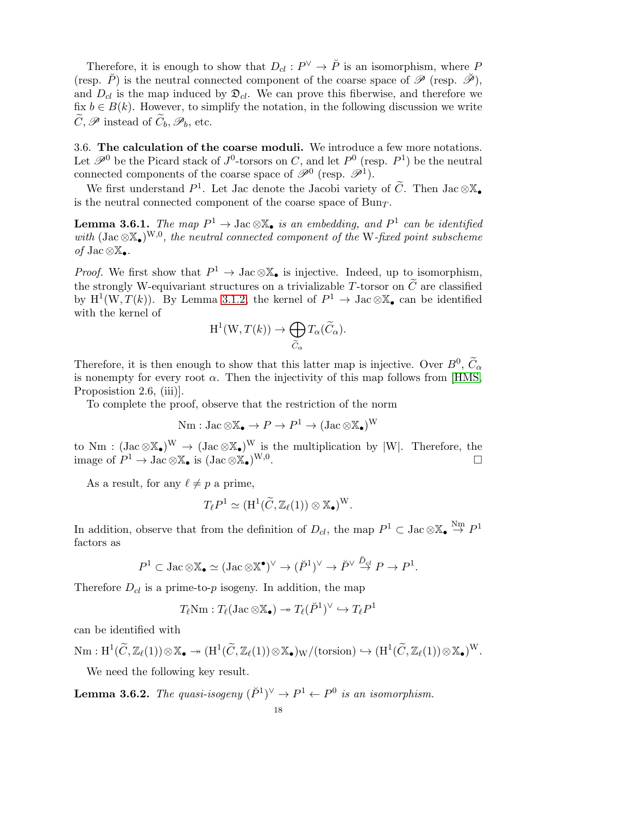Therefore, it is enough to show that  $D_{cl}: P^{\vee} \to \check{P}$  is an isomorphism, where P (resp.  $\check{P}$ ) is the neutral connected component of the coarse space of  $\mathscr{P}$  (resp.  $\check{\mathscr{P}}$ ), and  $D_{cl}$  is the map induced by  $\mathfrak{D}_{cl}$ . We can prove this fiberwise, and therefore we fix  $b \in B(k)$ . However, to simplify the notation, in the following discussion we write  $\widetilde{C}, \mathscr{P}$  instead of  $\widetilde{C}_b, \mathscr{P}_b$ , etc.

3.6. The calculation of the coarse moduli. We introduce a few more notations. Let  $\mathscr{P}^0$  be the Picard stack of  $J^0$ -torsors on C, and let  $P^0$  (resp.  $P^1$ ) be the neutral connected components of the coarse space of  $\mathscr{P}^0$  (resp.  $\mathscr{P}^1$ ).

We first understand  $P^1$ . Let Jac denote the Jacobi variety of  $\tilde{C}$ . Then Jac  $\otimes \mathbb{X}_{\bullet}$ is the neutral connected component of the coarse space of  $Bun<sub>T</sub>$ .

**Lemma 3.6.1.** The map  $P^1 \to \text{Jac}\otimes\mathbb{X}_{\bullet}$  is an embedding, and  $P^1$  can be identified with  $(\text{Jac}\otimes \mathbb{X}_{\bullet})^{W,0}$ , the neutral connected component of the W-fixed point subscheme of Jac ⊗ $\mathbb{X}_{\bullet}$ .

*Proof.* We first show that  $P^1 \to \text{Jac}\otimes\mathbb{X}_{\bullet}$  is injective. Indeed, up to isomorphism, the strongly W-equivariant structures on a trivializable T-torsor on  $\tilde{C}$  are classified by  $H^1(W, T(k))$ . By Lemma [3.1.2,](#page-12-0) the kernel of  $P^1 \to \text{Jac}\otimes \mathbb{X}_{\bullet}$  can be identified with the kernel of

$$
H^1(W, T(k)) \to \bigoplus_{\widetilde{C}_{\alpha}} T_{\alpha}(\widetilde{C}_{\alpha}).
$$

Therefore, it is then enough to show that this latter map is injective. Over  $B^0$ ,  $\widetilde{C}_{\alpha}$ is nonempty for every root  $\alpha$ . Then the injectivity of this map follows from [\[HMS,](#page-48-15) Proposistion 2.6, (iii).

To complete the proof, observe that the restriction of the norm

$$
\mathrm{Nm}: \mathrm{Jac}\otimes \mathbb{X}_{\bullet} \to P \to P^{1} \to (\mathrm{Jac}\otimes \mathbb{X}_{\bullet})^{\mathrm{W}}
$$

to Nm :  $(\text{Jac}\otimes \mathbb{X}_{\bullet})^W \to (\text{Jac}\otimes \mathbb{X}_{\bullet})^W$  is the multiplication by |W|. Therefore, the image of  $P^1 \to \text{Jac}\otimes \mathbb{X}_{\bullet}$  is  $(\text{Jac}\otimes \mathbb{X}_{\bullet})^{W,0}$ .

As a result, for any  $\ell \neq p$  a prime,

$$
T_{\ell}P^1 \simeq (\mathrm{H}^1(\widetilde{C},\mathbb{Z}_{\ell}(1)) \otimes \mathbb{X}_{\bullet})^{\mathrm{W}}.
$$

In addition, observe that from the definition of  $D_{cl}$ , the map  $P^1 \subset \text{Jac}\otimes \mathbb{X}_{\bullet} \stackrel{\text{Nm}}{\rightarrow} P^1$ factors as

$$
P^1 \subset \text{Jac}\otimes \mathbb{X}_{\bullet} \simeq (\text{Jac}\otimes \mathbb{X}^{\bullet})^{\vee} \to (\check{P}^1)^{\vee} \to \check{P}^{\vee} \stackrel{\check{D}_{\varsigma l}}{\to} P \to P^1.
$$

Therefore  $D_{cl}$  is a prime-to-p isogeny. In addition, the map

$$
T_{\ell}Nm: T_{\ell}(\operatorname{Jac} \otimes \mathbb{X}_{\bullet}) \to T_{\ell}(\check{P}^1)^{\vee} \hookrightarrow T_{\ell}P^1
$$

can be identified with

 $\mathrm{Nm}: \mathrm{H}^1(\widetilde{C},\mathbb{Z}_\ell(1))\otimes \mathbb{X}_\bullet \twoheadrightarrow (\mathrm{H}^1(\widetilde{C},\mathbb{Z}_\ell(1))\otimes \mathbb{X}_\bullet)_\mathrm{W}/(\mathrm{torsion}) \hookrightarrow (\mathrm{H}^1(\widetilde{C},\mathbb{Z}_\ell(1))\otimes \mathbb{X}_\bullet)^{\mathrm{W}}.$ 

We need the following key result.

**Lemma 3.6.2.** The quasi-isogeny  $(\check{P}^1)^\vee \to P^1 \leftarrow P^0$  is an isomorphism.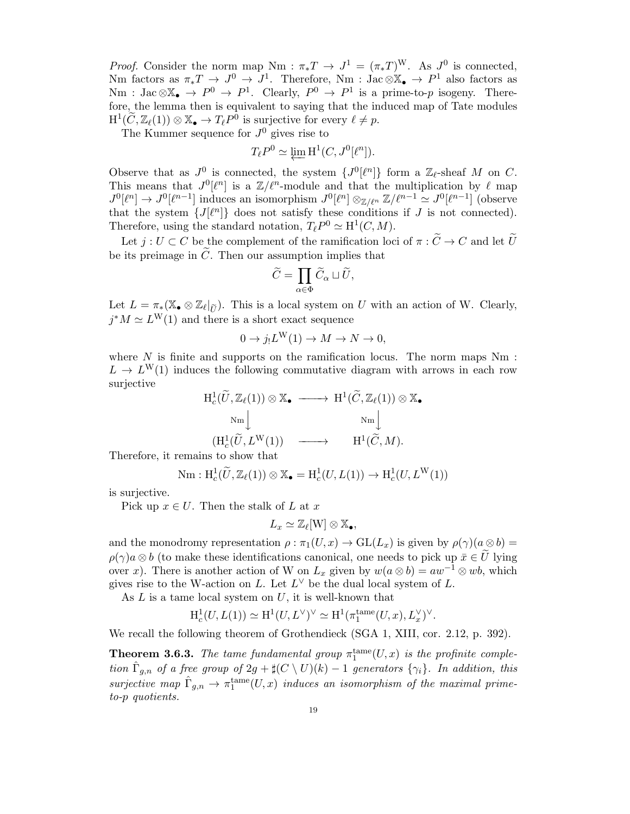*Proof.* Consider the norm map Nm :  $\pi_* T \to J^1 = (\pi_* T)^W$ . As  $J^0$  is connected, Nm factors as  $\pi_* T \to J^0 \to J^1$ . Therefore, Nm : Jac  $\otimes \mathbb{X}_{\bullet} \to P^1$  also factors as  $\text{Nm}: \text{Jac}\otimes\mathbb{X}_{\bullet}\to P^{0}\to P^{1}.$  Clearly,  $P^{0}\to P^{1}$  is a prime-to-p isogeny. Therefore, the lemma then is equivalent to saying that the induced map of Tate modules  $H^1(\widetilde{C}, \mathbb{Z}_{\ell}(1)) \otimes \mathbb{X}_{\bullet} \to T_{\ell}P^0$  is surjective for every  $\ell \neq p$ .

The Kummer sequence for  $J^0$  gives rise to

$$
T_{\ell}P^0 \simeq \varprojlim \mathrm{H}^1(C, J^0[\ell^n]).
$$

Observe that as  $J^0$  is connected, the system  $\{J^0[\ell^n]\}$  form a  $\mathbb{Z}_{\ell}$ -sheaf M on C. This means that  $J^0[\ell^n]$  is a  $\mathbb{Z}/\ell^n$ -module and that the multiplication by  $\ell$  map  $J^0[\ell^n] \to J^0[\ell^{n-1}]$  induces an isomorphism  $J^0[\ell^n] \otimes_{\mathbb{Z}/\ell^n} \mathbb{Z}/\ell^{n-1} \simeq J^0[\ell^{n-1}]$  (observe that the system  $\{J[\ell^n]\}$  does not satisfy these conditions if J is not connected). Therefore, using the standard notation,  $T_{\ell}P^0 \simeq \mathrm{H}^1(C,M)$ .

Let  $j: U \subset C$  be the complement of the ramification loci of  $\pi: \widetilde{C} \to C$  and let  $\widetilde{U}$ be its preimage in  $\tilde{C}$ . Then our assumption implies that

$$
\widetilde{C}=\prod_{\alpha\in \Phi}\widetilde{C}_\alpha\sqcup \widetilde{U},
$$

Let  $L = \pi_*(\mathbb{X}_{\bullet} \otimes \mathbb{Z}_{\ell}|_{\widetilde{U}})$ . This is a local system on U with an action of W. Clearly,  $j^*M \simeq L^{\mathcal{W}}(1)$  and there is a short exact sequence

$$
0 \to j_! L^{\mathcal{W}}(1) \to M \to N \to 0,
$$

where  $N$  is finite and supports on the ramification locus. The norm maps  $Nm$ :  $L \to L^{\mathsf{W}}(1)$  induces the following commutative diagram with arrows in each row surjective

$$
\begin{array}{ccc}\n\mathrm{H}^{1}_{c}(\widetilde{U},\mathbb{Z}_{\ell}(1))\otimes\mathbb{X}_{\bullet} & \longrightarrow & \mathrm{H}^{1}(\widetilde{C},\mathbb{Z}_{\ell}(1))\otimes\mathbb{X}_{\bullet} \\
\mathrm{Nm} \Big| & \mathrm{Nm} \Big| & \mathrm{Nm} \Big| \\
(\mathrm{H}^{1}_{c}(\widetilde{U},L^{\mathrm{W}}(1)) & \longrightarrow & \mathrm{H}^{1}(\widetilde{C},M).\n\end{array}
$$

Therefore, it remains to show that

$$
\mathrm{Nm}: \mathrm{H}^1_c(\widetilde{U}, \mathbb{Z}_\ell(1)) \otimes \mathbb{X}_{\bullet} = \mathrm{H}^1_c(U, L(1)) \to \mathrm{H}^1_c(U, L^W(1))
$$

is surjective.

Pick up  $x \in U$ . Then the stalk of L at x

$$
L_x \simeq \mathbb{Z}_{\ell}[W] \otimes \mathbb{X}_{\bullet},
$$

and the monodromy representation  $\rho : \pi_1(U, x) \to \text{GL}(L_x)$  is given by  $\rho(\gamma)(a \otimes b) =$  $\rho(\gamma)a\otimes b$  (to make these identifications canonical, one needs to pick up  $\bar{x}\in\tilde{U}$  lying over x). There is another action of W on  $L_x$  given by  $w(a \otimes b) = aw^{-1} \otimes wb$ , which gives rise to the W-action on L. Let  $L^{\vee}$  be the dual local system of L.

As  $L$  is a tame local system on  $U$ , it is well-known that

$$
\mathrm{H}^1_c(U, L(1)) \simeq \mathrm{H}^1(U, L^\vee)^\vee \simeq \mathrm{H}^1(\pi_1^{\mathrm{tame}}(U, x), L_x^\vee)^\vee.
$$

We recall the following theorem of Grothendieck (SGA 1, XIII, cor. 2.12, p. 392).

**Theorem 3.6.3.** The tame fundamental group  $\pi_1^{\text{tame}}(U,x)$  is the profinite completion  $\hat{\Gamma}_{g,n}$  of a free group of  $2g + \sharp(C \setminus U)(k) - 1$  generators  $\{\gamma_i\}$ . In addition, this surjective map  $\hat{\Gamma}_{g,n} \to \pi_1^{\text{tame}}(U,x)$  induces an isomorphism of the maximal primeto-p quotients.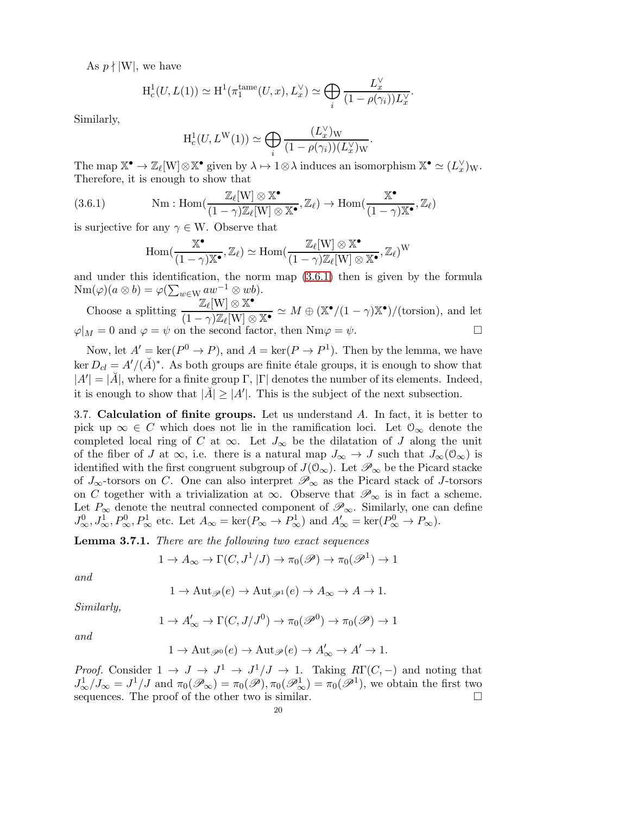As  $p \nmid |W|$ , we have

$$
\mathrm{H}^1_c(U, L(1)) \simeq \mathrm{H}^1(\pi_1^{\mathrm{tame}}(U, x), L_x^{\vee}) \simeq \bigoplus_i \frac{L_x^{\vee}}{(1 - \rho(\gamma_i))L_x^{\vee}}.
$$

Similarly,

$$
H_c^1(U, L^W(1)) \simeq \bigoplus_i \frac{(L_x^{\vee})_W}{(1 - \rho(\gamma_i))(L_x^{\vee})_W}.
$$

The map  $\mathbb{X}^{\bullet} \to \mathbb{Z}_{\ell}[W] \otimes \mathbb{X}^{\bullet}$  given by  $\lambda \mapsto 1 \otimes \lambda$  induces an isomorphism  $\mathbb{X}^{\bullet} \simeq (L_{x}^{\vee})_{W}$ . Therefore, it is enough to show that

(3.6.1) 
$$
\text{Nm}: \text{Hom}(\frac{\mathbb{Z}_{\ell}[W] \otimes \mathbb{X}^{\bullet}}{(1-\gamma)\mathbb{Z}_{\ell}[W] \otimes \mathbb{X}^{\bullet}}, \mathbb{Z}_{\ell}) \to \text{Hom}(\frac{\mathbb{X}^{\bullet}}{(1-\gamma)\mathbb{X}^{\bullet}}, \mathbb{Z}_{\ell})
$$

is surjective for any  $\gamma \in W$ . Observe that

<span id="page-19-0"></span>
$$
\mathrm{Hom}(\frac{\mathbb{X}^{\bullet}}{(1-\gamma)\mathbb{X}^{\bullet}},\mathbb{Z}_{\ell})\simeq \mathrm{Hom}(\frac{\mathbb{Z}_{\ell}[W]\otimes \mathbb{X}^{\bullet}}{(1-\gamma)\mathbb{Z}_{\ell}[W]\otimes \mathbb{X}^{\bullet}},\mathbb{Z}_{\ell})^{W}
$$

and under this identification, the norm map [\(3.6.1\)](#page-19-0) then is given by the formula  $\text{Nm}(\varphi)(a \otimes b) = \varphi(\sum_{w \in \mathcal{W}} aw^{-1} \otimes wb).$ 

Choose a splitting 
$$
\frac{\mathbb{Z}_{\ell}[W] \otimes \mathbb{X}^{\bullet}}{(1 - \gamma)\mathbb{Z}_{\ell}[W] \otimes \mathbb{X}^{\bullet}} \simeq M \oplus (\mathbb{X}^{\bullet}/(1 - \gamma)\mathbb{X}^{\bullet})/(\text{torsion})
$$
, and let  $\varphi|_{M} = 0$  and  $\varphi = \psi$  on the second factor, then  $\text{Nm}\varphi = \psi$ .

Now, let  $A' = \text{ker}(P^0 \to P)$ , and  $A = \text{ker}(P \to P^1)$ . Then by the lemma, we have ker  $D_{cl} = A' / (\check{A})^*$ . As both groups are finite étale groups, it is enough to show that  $|A'| = |\check{A}|$ , where for a finite group  $\Gamma$ ,  $|\Gamma|$  denotes the number of its elements. Indeed, it is enough to show that  $|\check{A}| \geq |A'|$ . This is the subject of the next subsection.

3.7. Calculation of finite groups. Let us understand A. In fact, it is better to pick up  $\infty \in C$  which does not lie in the ramification loci. Let  $\mathcal{O}_{\infty}$  denote the completed local ring of C at  $\infty$ . Let  $J_{\infty}$  be the dilatation of J along the unit of the fiber of J at  $\infty$ , i.e. there is a natural map  $J_{\infty} \to J$  such that  $J_{\infty}(\mathcal{O}_{\infty})$  is identified with the first congruent subgroup of  $J(\mathcal{O}_{\infty})$ . Let  $\mathscr{P}_{\infty}$  be the Picard stacke of  $J_{\infty}$ -torsors on C. One can also interpret  $\mathscr{P}_{\infty}$  as the Picard stack of J-torsors on C together with a trivialization at  $\infty$ . Observe that  $\mathscr{P}_{\infty}$  is in fact a scheme. Let  $P_{\infty}$  denote the neutral connected component of  $\mathscr{P}_{\infty}$ . Similarly, one can define  $J^0_{\infty}, J^1_{\infty}, P^0_{\infty}, P^1_{\infty}$  etc. Let  $A_{\infty} = \ker(P_{\infty} \to P^1_{\infty})$  and  $A'_{\infty} = \ker(P^0_{\infty} \to P_{\infty})$ .

Lemma 3.7.1. There are the following two exact sequences

$$
1 \to A_{\infty} \to \Gamma(C, J^1/J) \to \pi_0(\mathscr{P}) \to \pi_0(\mathscr{P}^1) \to 1
$$

and

$$
1 \to \text{Aut}_{\mathscr{P}}(e) \to \text{Aut}_{\mathscr{P}^1}(e) \to A_{\infty} \to A \to 1.
$$

Similarly,

$$
1 \to A'_{\infty} \to \Gamma(C, J/J^0) \to \pi_0(\mathcal{P}^0) \to \pi_0(\mathcal{P}) \to 1
$$

and

$$
1 \to \operatorname{Aut}_{\mathscr{P}^0}(e) \to \operatorname{Aut}_{\mathscr{P}}(e) \to A'_{\infty} \to A' \to 1.
$$

*Proof.* Consider  $1 \to J \to J^1 \to J^1/J \to 1$ . Taking  $R\Gamma(C, -)$  and noting that  $J^1_{\infty}/J_{\infty} = J^1/J$  and  $\pi_0(\mathscr{P}_{\infty}) = \pi_0(\mathscr{P}), \pi_0(\mathscr{P}_{\infty}^1) = \pi_0(\mathscr{P}^1)$ , we obtain the first two sequences. The proof of the other two is similar.  $\Box$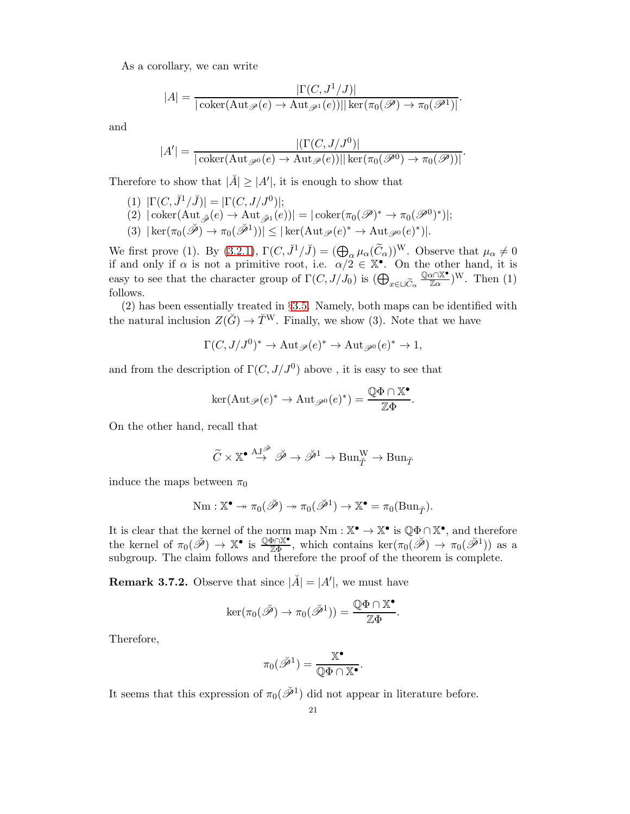As a corollary, we can write

$$
|A| = \frac{|\Gamma(C, J^1/J)|}{|\operatorname{coker}(\operatorname{Aut}_{\mathscr{P}}(e) \to \operatorname{Aut}_{\mathscr{P}^1}(e))|| \operatorname{ker}(\pi_0(\mathscr{P}) \to \pi_0(\mathscr{P}^1)|}.
$$

and

$$
|A'| = \frac{|(\Gamma(C, J/J^0)|}{|\operatorname{coker}(\operatorname{Aut}_{\mathscr{P}^0}(e) \to \operatorname{Aut}_{\mathscr{P}}(e))|| \operatorname{ker}(\pi_0(\mathscr{P}^0) \to \pi_0(\mathscr{P}))|}.
$$

Therefore to show that  $|\check{A}| \geq |A'|$ , it is enough to show that

- (1)  $|\Gamma(C, \breve{J}^1/\breve{J})| = |\Gamma(C, J/J^0)|;$
- $(2) | \mathrm{coker}(\mathrm{Aut}_{\breve{\mathscr{P}}}(e) \to \mathrm{Aut}_{\breve{\mathscr{P}}^1}(e))| = |\mathrm{coker}(\pi_0(\mathscr{P})^* \to \pi_0(\mathscr{P}^0)^*)|;$
- $(3) | \ker(\pi_0(\check{\mathscr{P}}) \to \pi_0(\check{\mathscr{P}}^1)) | \leq | \ker(\mathrm{Aut}_{\mathscr{P}}(e)^* \to \mathrm{Aut}_{\mathscr{P}^0}(e)^*) |.$

We first prove (1). By [\(3.2.1\)](#page-13-4),  $\Gamma(C, \tilde{J}^1/\tilde{J}) = (\bigoplus_{\alpha} \mu_{\alpha}(\tilde{C}_{\alpha}))^{\mathcal{W}}$ . Observe that  $\mu_{\alpha} \neq 0$ if and only if  $\alpha$  is not a primitive root, i.e.  $\alpha/2 \in \mathbb{X}^{\bullet}$ . On the other hand, it is easy to see that the character group of  $\Gamma(C, J/J_0)$  is  $\left(\bigoplus_{x \in \square \widetilde{C}_{\alpha}} \frac{\mathbb{Q}\alpha \cap \mathbb{X}^{\bullet}}{\mathbb{Z}\alpha}\right)$  $\frac{\alpha \cap \mathbb{X}^{\bullet}}{\mathbb{Z}\alpha}$  W. Then  $(1)$ follows.

(2) has been essentially treated in §[3.5.](#page-16-0) Namely, both maps can be identified with the natural inclusion  $Z(\check{G}) \to \check{T}^W$ . Finally, we show (3). Note that we have

$$
\Gamma(C, J/J^0)^* \to \text{Aut}_{\mathscr{P}}(e)^* \to \text{Aut}_{\mathscr{P}^0}(e)^* \to 1,
$$

and from the description of  $\Gamma(C, J/J^0)$  above, it is easy to see that

$$
\ker(\mathrm{Aut}_{\mathscr{P}}(e)^* \to \mathrm{Aut}_{\mathscr{P}^0}(e)^*) = \frac{\mathbb{Q}\Phi \cap \mathbb{X}^{\bullet}}{\mathbb{Z}\Phi}.
$$

On the other hand, recall that

$$
\widetilde{C} \times \mathbb{X}^{\bullet} \stackrel{\mathrm{AJ}^{\mathscr{B}}}{\rightarrow} \widetilde{\mathscr{P}} \rightarrow \widetilde{\mathscr{P}}^1 \rightarrow \mathrm{Bun}_{\widetilde{T}}^{\mathrm{W}} \rightarrow \mathrm{Bun}_{\widetilde{T}}
$$

induce the maps between  $\pi_0$ 

$$
\mathrm{Nm} : \mathbb{X}^{\bullet} \twoheadrightarrow \pi_0(\check{\mathscr{P}}) \twoheadrightarrow \pi_0(\check{\mathscr{P}}^1) \to \mathbb{X}^{\bullet} = \pi_0(\mathrm{Bun}_{\check{T}}).
$$

It is clear that the kernel of the norm map  $Nm: \mathbb{X}^{\bullet} \to \mathbb{X}^{\bullet}$  is  $\mathbb{Q}\Phi \cap \mathbb{X}^{\bullet}$ , and therefore the kernel of  $\pi_0(\tilde{\mathscr{P}}) \to \mathbb{X}^{\bullet}$  is  $\frac{\mathbb{Q}\Phi\cap \mathbb{X}^{\bullet}}{\mathbb{Z}\Phi}$ , which contains  $\ker(\pi_0(\tilde{\mathscr{P}}) \to \pi_0(\tilde{\mathscr{P}}^1))$  as a subgroup. The claim follows and therefore the proof of the theorem is complete.

**Remark 3.7.2.** Observe that since  $|\breve{A}| = |A'|$ , we must have

$$
\ker(\pi_0(\breve{\mathscr{P}})\to\pi_0(\breve{\mathscr{P}}^1))=\frac{\mathbb{Q}\Phi\cap\mathbb{X}^\bullet}{\mathbb{Z}\Phi}.
$$

Therefore,

$$
\pi_0(\check{{\mathscr P}}^1)=\frac{{\mathbb X}^{\bullet}}{{\mathbb Q}\Phi\cap {\mathbb X}^{\bullet}}.
$$

It seems that this expression of  $\pi_0(\check{\mathscr{P}}^1)$  did not appear in literature before.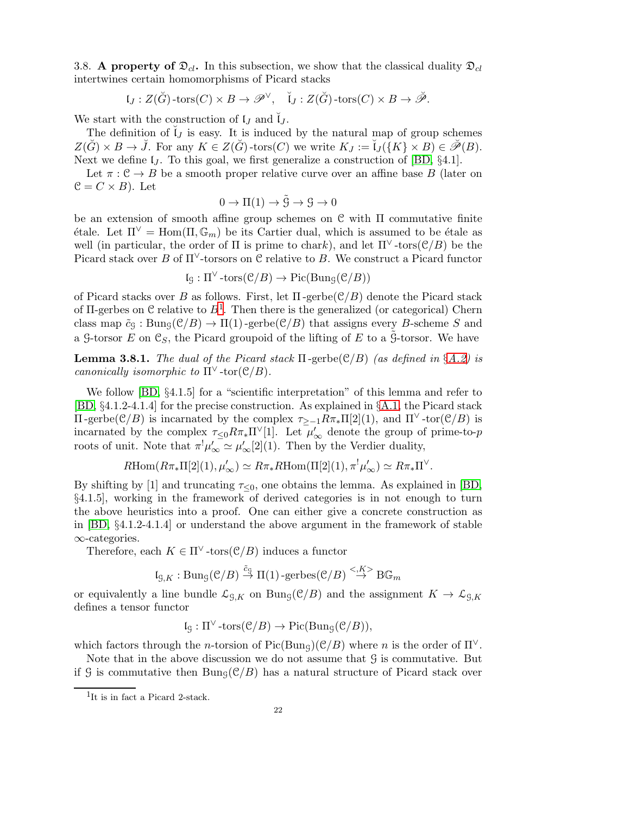<span id="page-21-0"></span>3.8. A property of  $\mathfrak{D}_{cl}$ . In this subsection, we show that the classical duality  $\mathfrak{D}_{cl}$ intertwines certain homomorphisms of Picard stacks

$$
\mathfrak{l}_J:Z(\breve{G})\text{-tors}(C)\times B\to \mathscr{P}^\vee,\quad \breve{\mathfrak{l}}_J:Z(\breve{G})\text{-tors}(C)\times B\to \breve{\mathscr{P}}.
$$

We start with the construction of  $\mathfrak{t}_J$  and  $\mathfrak{t}_J$ .

The definition of  $\check{I}_J$  is easy. It is induced by the natural map of group schemes  $Z(\breve{G}) \times B \to \breve{J}$ . For any  $K \in Z(\breve{G})$ -tors $(C)$  we write  $K_J := \breve{\mathsf{L}}_J(\lbrace K \rbrace \times B) \in \breve{\mathscr{P}}(B)$ . Next we define  $I_J$ . To this goal, we first generalize a construction of [\[BD,](#page-48-9)  $\S 4.1$ ].

Let  $\pi : \mathcal{C} \to B$  be a smooth proper relative curve over an affine base B (later on  $\mathcal{C} = C \times B$ . Let

$$
0 \to \Pi(1) \to \tilde{G} \to \mathcal{G} \to 0
$$

be an extension of smooth affine group schemes on  $\mathcal C$  with  $\Pi$  commutative finite  $\text{étale.}$  Let  $\Pi^{\vee} = \text{Hom}(\Pi, \mathbb{G}_m)$  be its Cartier dual, which is assumed to be étale as well (in particular, the order of  $\Pi$  is prime to chark), and let  $\Pi^{\vee}$ -tors( $\mathcal{C}/B$ ) be the Picard stack over B of  $\Pi^{\vee}$ -torsors on C relative to B. We construct a Picard functor

$$
\mathfrak{l}_\mathcal{G} : \Pi^\vee\operatorname{-tors}(\mathcal{C}/B) \to \mathrm{Pic}(\mathrm{Bun}_\mathcal{G}(\mathcal{C}/B))
$$

of Picard stacks over B as follows. First, let  $\Pi$ -gerbe( $\mathcal{C}/B$ ) denote the Picard stack of II-gerbes on C relative to  $B^1$  $B^1$ . Then there is the generalized (or categorical) Chern class map  $\tilde{c}_G : \text{Bung}(\mathcal{C}/B) \to \Pi(1)$ -gerbe $(\mathcal{C}/B)$  that assigns every B-scheme S and a G-torsor E on  $\mathfrak{C}_S$ , the Picard groupoid of the lifting of E to a  $\tilde{G}$ -torsor. We have

<span id="page-21-2"></span>**Lemma 3.8.1.** The dual of the Picard stack  $\Pi$ -gerbe( $\mathcal{C}/B$ ) (as defined in §[A.2\)](#page-38-0) is canonically isomorphic to  $\Pi^{\vee}$ -tor $(\mathcal{C}/B)$ .

We follow [\[BD,](#page-48-9)  $\S 4.1.5$ ] for a "scientific interpretation" of this lemma and refer to [\[BD,](#page-48-9) §4.1.2-4.1.4] for the precise construction. As explained in §[A.1,](#page-37-1) the Picard stack  $\Pi$ -gerbe(C/B) is incarnated by the complex  $τ_{\geq -1}Rπ_*\Pi[2](1)$ , and  $\Pi^{\vee}$ -tor(C/B) is incarnated by the complex  $\tau \leq 0} R \pi_* \Pi^\vee[1]$ . Let  $\mu'_\infty$  denote the group of prime-to-p roots of unit. Note that  $\pi^! \mu'_{\infty} \simeq \mu'_{\infty}[2](1)$ . Then by the Verdier duality,

$$
R\text{Hom}(R\pi_*\Pi[2](1),\mu'_\infty)\simeq R\pi_*R\text{Hom}(\Pi[2](1),\pi^!\mu'_\infty)\simeq R\pi_*\Pi^\vee.
$$

By shifting by [1] and truncating  $\tau_{\leq 0}$ , one obtains the lemma. As explained in [\[BD,](#page-48-9) §4.1.5], working in the framework of derived categories is in not enough to turn the above heuristics into a proof. One can either give a concrete construction as in [\[BD,](#page-48-9) §4.1.2-4.1.4] or understand the above argument in the framework of stable ∞-categories.

Therefore, each  $K \in \Pi^{\vee}$ -tors $(\mathcal{C}/B)$  induces a functor

$$
\mathfrak{l}_{\mathcal{G},K} : \mathrm{Bun}_{\mathcal{G}}(\mathcal{C}/B) \stackrel{\tilde{c}_{\mathcal{G}}}{\rightarrow} \Pi(1) \text{-gerbes}(\mathcal{C}/B) \stackrel{<,K>}{\rightarrow} \mathrm{B}\mathbb{G}_m
$$

or equivalently a line bundle  $\mathcal{L}_{\mathcal{G},K}$  on  $Bun_{\mathcal{G}}(\mathcal{C}/B)$  and the assignment  $K \to \mathcal{L}_{\mathcal{G},K}$ defines a tensor functor

$$
\mathfrak{l}_\mathfrak{G} : \Pi^{\vee} \text{-tors}(\mathfrak{C}/B) \to \mathrm{Pic}(\mathrm{Bun}_{\mathfrak{G}}(\mathfrak{C}/B)),
$$

which factors through the n-torsion of Pic(Bun<sub>G</sub>)(C/B) where n is the order of  $\Pi^{\vee}$ .

Note that in the above discussion we do not assume that  $\mathcal G$  is commutative. But

if G is commutative then Bun<sub>G</sub>( $\mathcal{C}/B$ ) has a natural structure of Picard stack over

<span id="page-21-1"></span><sup>1</sup> It is in fact a Picard 2-stack.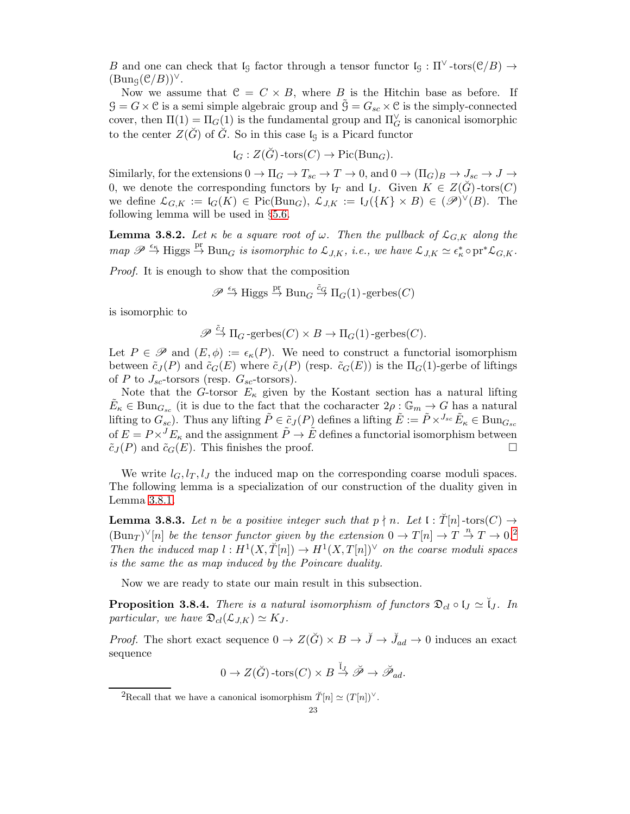B and one can check that  $\mathfrak{l}_\mathfrak{g}$  factor through a tensor functor  $\mathfrak{l}_\mathfrak{g} : \Pi^\vee\text{-tors}(\mathfrak{C}/B) \to$  $(Bung(\mathcal{C}/B))^{\vee}$ .

Now we assume that  $C = C \times B$ , where B is the Hitchin base as before. If  $\mathcal{G} = G \times \mathcal{C}$  is a semi simple algebraic group and  $\mathcal{G} = G_{sc} \times \mathcal{C}$  is the simply-connected cover, then  $\Pi(1) = \Pi_G(1)$  is the fundamental group and  $\Pi_G^{\vee}$  is canonical isomorphic to the center  $Z(\tilde{G})$  of  $\tilde{G}$ . So in this case  $I<sub>G</sub>$  is a Picard functor

$$
\mathfrak{l}_G:Z(\check{G})\text{-tors}(C)\to \mathrm{Pic}(\mathrm{Bun}_G).
$$

Similarly, for the extensions  $0 \to \Pi_G \to T_{sc} \to T \to 0$ , and  $0 \to (\Pi_G)_B \to J_{sc} \to J \to$ 0, we denote the corresponding functors by  $\mathfrak{l}_T$  and  $\mathfrak{l}_J$ . Given  $K \in Z(\tilde{G})$ -tors $(C)$ we define  $\mathcal{L}_{G,K} := \mathfrak{l}_G(K) \in \text{Pic}(\text{Bun}_G), \ \mathcal{L}_{J,K} := \mathfrak{l}_J(\lbrace K \rbrace \times B) \in (\mathscr{P})^{\vee}(B)$ . The following lemma will be used in §[5.6.](#page-34-0)

<span id="page-22-3"></span>**Lemma 3.8.2.** Let  $\kappa$  be a square root of  $\omega$ . Then the pullback of  $\mathcal{L}_{G,K}$  along the  $map \ \mathscr{P} \stackrel{\epsilon_{\kappa}}{\to} \text{Higgs} \stackrel{\text{pr}}{\to} \text{Bun}_G$  is isomorphic to  $\mathcal{L}_{J,K}$ , i.e., we have  $\mathcal{L}_{J,K} \simeq \epsilon_{\kappa}^* \circ \text{pr}^* \mathcal{L}_{G,K}$ .

Proof. It is enough to show that the composition

$$
\mathscr{P} \stackrel{\epsilon_{\kappa}}{\to} \text{Higgs} \stackrel{\text{pr}}{\to} \text{Bun}_G \stackrel{\tilde{c}_G}{\to} \Pi_G(1) \text{-gerbes}(C)
$$

is isomorphic to

$$
\mathscr{P} \stackrel{\tilde{c}_J}{\to} \Pi_G\text{-gerbes}(C) \times B \to \Pi_G(1)\text{-gerbes}(C).
$$

Let  $P \in \mathscr{P}$  and  $(E, \phi) := \epsilon_{\kappa}(P)$ . We need to construct a functorial isomorphism between  $\tilde{c}_J(P)$  and  $\tilde{c}_G(E)$  where  $\tilde{c}_J(P)$  (resp.  $\tilde{c}_G(E)$ ) is the  $\Pi_G(1)$ -gerbe of liftings of P to  $J_{sc}$ -torsors (resp.  $G_{sc}$ -torsors).

Note that the G-torsor  $E_{\kappa}$  given by the Kostant section has a natural lifting  $\tilde{E}_{\kappa} \in \text{Bun}_{G_{sc}}$  (it is due to the fact that the cocharacter  $2\rho : \mathbb{G}_m \to G$  has a natural lifting to  $G_{sc}$ ). Thus any lifting  $\tilde{P} \in \tilde{c}_J(P)$  defines a lifting  $\tilde{E} := \tilde{P} \times^{J_{sc}} \tilde{E}_{\kappa} \in \text{Bun}_{G_{sc}}$ of  $E = P \times^{J} E_{\kappa}$  and the assignment  $\tilde{P} \to \tilde{E}$  defines a functorial isomorphism between  $\tilde{c}_J(P)$  and  $\tilde{c}_G(E)$ . This finishes the proof.

We write  $l_G, l_T, l_J$  the induced map on the corresponding coarse moduli spaces. The following lemma is a specialization of our construction of the duality given in Lemma [3.8.1.](#page-21-2)

<span id="page-22-1"></span>**Lemma 3.8.3.** Let n be a positive integer such that  $p \nmid n$ . Let  $\mathfrak{l} : \check{T}[n]$ -tors $(C) \rightarrow$  $(\text{Bun}_T)^{\vee}[n]$  be the tensor functor given by the extension  $0 \to T[n] \to T \to T \to 0$ . Then the induced map  $l: H^1(X, \check{T}[n]) \to H^1(X, T[n])^{\vee}$  on the coarse moduli spaces is the same the as map induced by the Poincare duality.

Now we are ready to state our main result in this subsection.

<span id="page-22-2"></span>**Proposition 3.8.4.** There is a natural isomorphism of functors  $\mathfrak{D}_{cl} \circ \mathfrak{l}_J \simeq \mathfrak{l}_J$ . In particular, we have  $\mathfrak{D}_{cl}(\mathcal{L}_{J,K}) \simeq K_J$ .

*Proof.* The short exact sequence  $0 \to Z(\check{G}) \times B \to \check{J} \to \check{J}_{ad} \to 0$  induces an exact sequence

$$
0\to Z(\check G)\operatorname{-tors}(C)\times B\stackrel{\check{\mathfrak{l}}_J}{\to} \check{\mathscr{P}}\to \check{\mathscr{P}}_{ad}.
$$

<span id="page-22-0"></span><sup>&</sup>lt;sup>2</sup>Recall that we have a canonical isomorphism  $\check{T}[n] \simeq (T[n])^{\vee}$ .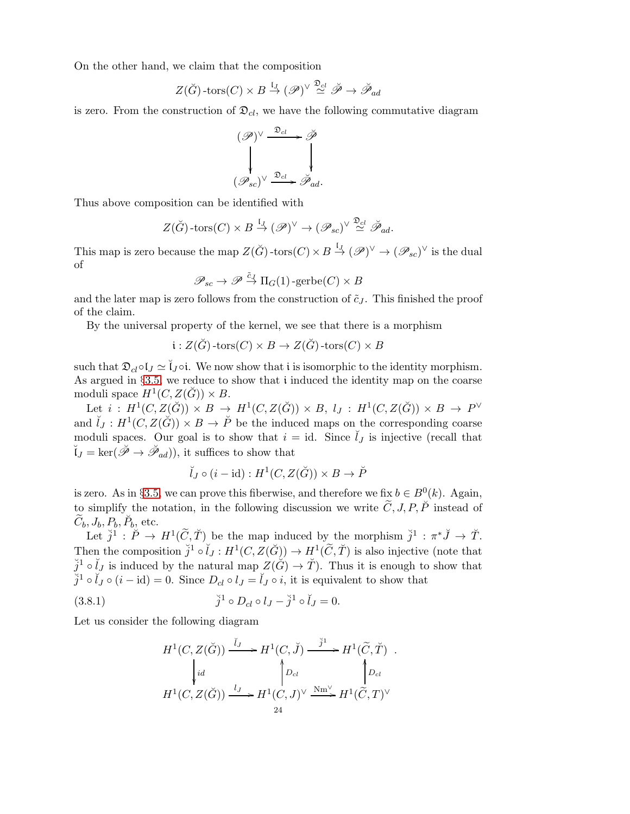On the other hand, we claim that the composition

$$
Z(\breve{G})\text{-tors}(C) \times B \stackrel{\mathfrak{l}_J}{\rightarrow} (\mathscr{P})^{\vee} \stackrel{\mathfrak{D}_{\mathcal{C}^l}}{\simeq} \breve{\mathscr{P}} \rightarrow \breve{\mathscr{P}}_{ad}
$$

is zero. From the construction of  $\mathfrak{D}_{cl}$ , we have the following commutative diagram

$$
(\mathscr{P})^{\vee} \xrightarrow{\mathfrak{D}_{cl}} \check{\mathscr{P}}
$$
  

$$
(\mathscr{P}_{sc})^{\vee} \xrightarrow{\mathfrak{D}_{cl}} \check{\mathscr{P}}_{ad}.
$$

Thus above composition can be identified with

$$
Z(\check{G})
$$
-tors $(C) \times B \stackrel{\mathfrak{l}_J}{\rightarrow} (\mathscr{P})^{\vee} \rightarrow (\mathscr{P}_{sc})^{\vee} \stackrel{\mathfrak{D}_{cl}}{\simeq} \check{\mathscr{P}}_{ad}.$ 

This map is zero because the map  $Z(\breve{G})$ -tors $(C) \times B \stackrel{\mathfrak{l}_J}{\to} (\mathscr{P})^{\vee} \to (\mathscr{P}_{sc})^{\vee}$  is the dual of

$$
\mathscr{P}_{sc} \to \mathscr{P} \stackrel{\tilde{c}_J}{\to} \Pi_G(1) \text{-gerbe}(C) \times B
$$

and the later map is zero follows from the construction of  $\tilde{c}_J$ . This finished the proof of the claim.

By the universal property of the kernel, we see that there is a morphism

$$
\mathfrak{i}:Z(\breve{G})\text{-tors}(C)\times B\to Z(\breve{G})\text{-tors}(C)\times B
$$

such that  $\mathfrak{D}_{cl} \circ \mathfrak{l}_J \simeq \check{\mathfrak{l}}_J \circ \mathfrak{i}$ . We now show that i is isomorphic to the identity morphism. As argued in §[3.5,](#page-16-0) we reduce to show that i induced the identity map on the coarse moduli space  $H^1(C, Z(\breve{G})) \times B$ .

Let  $i: H^1(C, Z(\breve{G})) \times B \to H^1(C, Z(\breve{G})) \times B$ ,  $l_J: H^1(C, Z(\breve{G})) \times B \to P^{\vee}$ and  $\tilde{I}_J: H^1(C, Z(\check{G})) \times B \to \check{P}$  be the induced maps on the corresponding coarse moduli spaces. Our goal is to show that  $i = id$ . Since  $\tilde{l}_J$  is injective (recall that  $\breve{\mathfrak{l}}_J = \ker(\breve{\mathscr{P}} \to \breve{\mathscr{P}}_{ad})$ , it suffices to show that

$$
\breve{I}_J \circ (i - \mathrm{id}) : H^1(C, Z(\breve{G})) \times B \to \breve{P}
$$

is zero. As in §[3.5,](#page-16-0) we can prove this fiberwise, and therefore we fix  $b \in B^0(k)$ . Again, to simplify the notation, in the following discussion we write  $\tilde{C}$ , J, P,  $\tilde{P}$  instead of  $\widetilde{C}_b, J_b, P_b, \breve{P}_b,$  etc.

Let  $\check{j}^1 : \check{P} \to H^1(\widetilde{C}, \check{T})$  be the map induced by the morphism  $\check{j}^1 : \pi^* \check{J} \to \check{T}$ . Then the composition  $\check{j}^1 \circ \check{l}_J : H^1(C, Z(\check{G})) \to H^1(\widetilde{C}, \check{T})$  is also injective (note that  $\check{j}^1 \circ \check{l}_J$  is induced by the natural map  $Z(\check{G}) \to \check{T}$ ). Thus it is enough to show that  $\check{j}^1 \circ \check{l}_J \circ (i - id) = 0$ . Since  $D_{cl} \circ l_J = \check{l}_J \circ i$ , it is equivalent to show that

(3.8.1) 
$$
\check{j}^1 \circ D_{cl} \circ l_J - \check{j}^1 \circ \check{l}_J = 0.
$$

Let us consider the following diagram

<span id="page-23-0"></span>
$$
H^1(C, Z(\breve{G})) \xrightarrow{\check{U}_J} H^1(C, \breve{J}) \xrightarrow{\check{j}^1} H^1(\widetilde{C}, \breve{T})
$$
  
\n
$$
\downarrow id \qquad \qquad \downarrow D_{cl}
$$
  
\n
$$
H^1(C, Z(\breve{G})) \xrightarrow{\iota_J} H^1(C, J)^\vee \xrightarrow{\text{Nm}^\vee} H^1(\widetilde{C}, T)^\vee
$$
  
\n
$$
H^1(\breve{C}, Z(\breve{G})) \xrightarrow{\iota_J} H^1(C, J)^\vee \xrightarrow{\text{Nm}^\vee} H^1(\widetilde{C}, T)^\vee
$$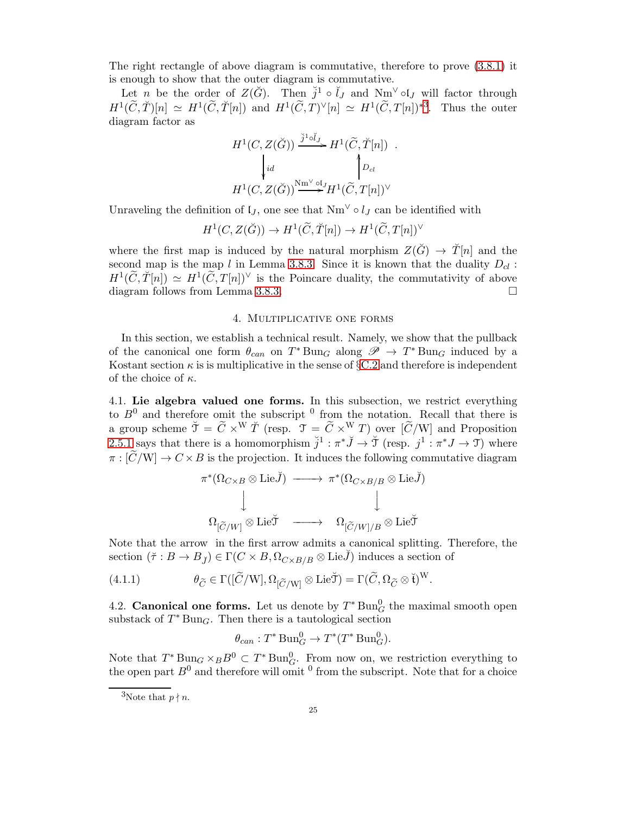The right rectangle of above diagram is commutative, therefore to prove [\(3.8.1\)](#page-23-0) it is enough to show that the outer diagram is commutative.

Let *n* be the order of  $Z(\check{G})$ . Then  $\check{j}^1 \circ \check{l}_J$  and  $Nm^{\vee} \circ l_J$  will factor through  $H^1(\widetilde{C},\widetilde{T})[n] \simeq H^1(\widetilde{C},\widetilde{T}[n])$  and  $H^1(\widetilde{C},T)^{\vee}[n] \simeq H^1(\widetilde{C},T[n])^{*3}$  $H^1(\widetilde{C},T)^{\vee}[n] \simeq H^1(\widetilde{C},T[n])^{*3}$  $H^1(\widetilde{C},T)^{\vee}[n] \simeq H^1(\widetilde{C},T[n])^{*3}$ . Thus the outer diagram factor as

$$
H^1(C, Z(\breve{G})) \xrightarrow{\breve{J}^1 \circ \breve{U}_J} H^1(\widetilde{C}, \breve{T}[n]) .
$$
  
\n
$$
\downarrow id \qquad \qquad \downarrow D_{cl}
$$
  
\n
$$
H^1(C, Z(\breve{G})) \xrightarrow{\text{Nm}^{\vee} \circ \text{L}J} H^1(\widetilde{C}, T[n])^{\vee}
$$

Unraveling the definition of  $\mathfrak{l}_J$ , one see that  $Nm^{\vee} \circ l_J$  can be identified with

$$
H^1(C, Z(\breve{G})) \to H^1(\widetilde{C}, \breve{T}[n]) \to H^1(\widetilde{C}, T[n])^\vee
$$

where the first map is induced by the natural morphism  $Z(\check{G}) \to \check{T}[n]$  and the second map is the map  $l$  in Lemma [3.8.3.](#page-22-1) Since it is known that the duality  $D_{cl}$ :  $H^1(\widetilde{C},\widetilde{T}[n]) \simeq H^1(\widetilde{C},T[n])^{\vee}$  is the Poincare duality, the commutativity of above diagram follows from Lemma [3.8.3.](#page-22-1)

#### 4. Multiplicative one forms

<span id="page-24-0"></span>In this section, we establish a technical result. Namely, we show that the pullback of the canonical one form  $\theta_{can}$  on  $T^* \text{Bun}_G$  along  $\mathscr{P} \to T^* \text{Bun}_G$  induced by a Kostant section  $\kappa$  is is multiplicative in the sense of §[C.2](#page-47-0) and therefore is independent of the choice of  $\kappa$ .

<span id="page-24-2"></span>4.1. Lie algebra valued one forms. In this subsection, we restrict everything to  $B^0$  and therefore omit the subscript  $^0$  from the notation. Recall that there is a group scheme  $\tilde{\mathcal{T}} = \tilde{C} \times^W \tilde{T}$  (resp.  $\mathcal{T} = \tilde{C} \times^W T$ ) over  $[\tilde{C}/W]$  and Proposition [2.5.1](#page-8-0) says that there is a homomorphism  $\check{j}^1 : \pi^* \check{J} \to \check{\mathcal{T}}$  (resp.  $j^1 : \pi^* J \to \mathcal{T}$ ) where  $\pi : [\widetilde{C}/W] \to C \times B$  is the projection. It induces the following commutative diagram

π ∗ (ΩC×<sup>B</sup> ⊗ LieJ˘) −−−−→ π ∗ (ΩC×B/B ⊗ LieJ˘) y y <sup>Ω</sup>[C/W<sup>e</sup> ] <sup>⊗</sup> LieT˘ −−−−→ <sup>Ω</sup>[C/W<sup>e</sup> ]/B <sup>⊗</sup> LieT˘

Note that the arrow in the first arrow admits a canonical splitting. Therefore, the section  $(\tilde{\tau}: B \to B_{\tilde{J}}) \in \Gamma(C \times B, \Omega_{C \times B/B} \otimes \text{Lie}\tilde{J})$  induces a section of

(4.1.1) 
$$
\theta_{\widetilde{C}} \in \Gamma([\widetilde{C}/W], \Omega_{[\widetilde{C}/W]} \otimes \mathrm{Lie}\widetilde{\mathcal{J}}) = \Gamma(\widetilde{C}, \Omega_{\widetilde{C}} \otimes \widetilde{\mathfrak{t}})^W.
$$

<span id="page-24-3"></span>4.2. Canonical one forms. Let us denote by  $T^* \text{Bun}_{G}^0$  the maximal smooth open substack of  $T^*$ Bun<sub>G</sub>. Then there is a tautological section

$$
\theta_{can}: T^* \operatorname{Bun}_G^0 \to T^*(T^* \operatorname{Bun}_G^0).
$$

Note that  $T^* \text{Bun}_G \times_B B^0 \subset T^* \text{Bun}_G^0$ . From now on, we restriction everything to the open part  $B^0$  and therefore will omit  $^0$  from the subscript. Note that for a choice

<span id="page-24-1"></span><sup>&</sup>lt;sup>3</sup>Note that  $p \nmid n$ .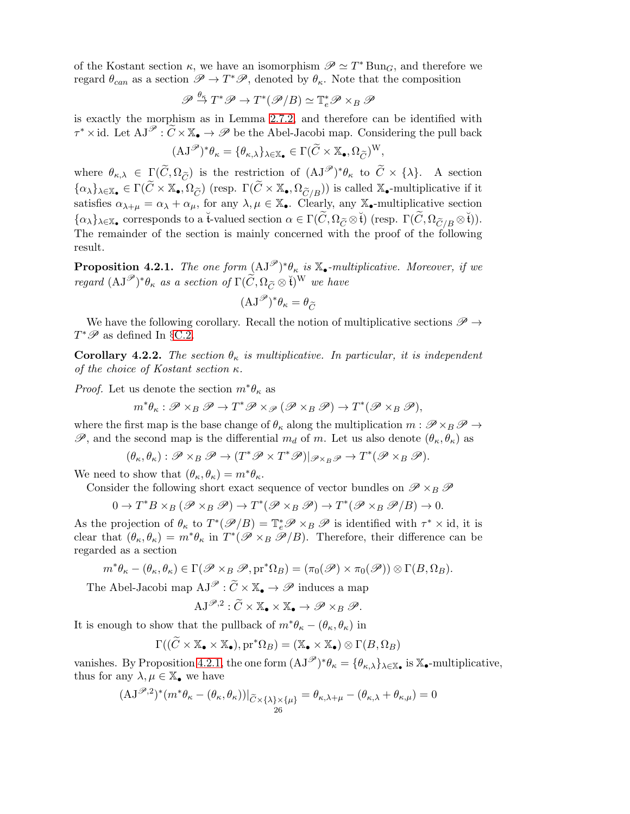of the Kostant section  $\kappa$ , we have an isomorphism  $\mathscr{P} \simeq T^*$  Bun<sub>G</sub>, and therefore we regard  $\theta_{can}$  as a section  $\mathscr{P} \to T^*\mathscr{P}$ , denoted by  $\theta_{\kappa}$ . Note that the composition

$$
\mathscr{P} \xrightarrow{\theta_{\kappa}} T^* \mathscr{P} \to T^*(\mathscr{P}/B) \simeq \mathbb{T}_e^* \mathscr{P} \times_B \mathscr{P}
$$

is exactly the morphism as in Lemma [2.7.2,](#page-10-0) and therefore can be identified with  $\tau^* \times \text{id}$ . Let  $AJ^{\mathscr{P}} : \widetilde{C} \times \mathbb{X}_{\bullet} \to \mathscr{P}$  be the Abel-Jacobi map. Considering the pull back

$$
(\mathrm{AJ}^{\mathscr{P}})^*\theta_{\kappa} = \{\theta_{\kappa,\lambda}\}_{\lambda \in \mathbb{X}_{\bullet}} \in \Gamma(\widetilde{C} \times \mathbb{X}_{\bullet}, \Omega_{\widetilde{C}})^{\mathrm{W}},
$$

where  $\theta_{\kappa,\lambda} \in \Gamma(\widetilde{C}, \Omega_{\widetilde{C}})$  is the restriction of  $(\mathrm{AJ}^{\mathscr{P}})^*\theta_{\kappa}$  to  $\widetilde{C} \times {\lambda}.$  A section  $\{\alpha_\lambda\}_{\lambda\in \mathbb{X}_\bullet}\in \Gamma(\widetilde{C}\times\mathbb{X}_\bullet,\Omega_{\widetilde{C}})\text{ (resp. }\Gamma(\widetilde{C}\times\mathbb{X}_\bullet,\Omega_{\widetilde{C}/B}))\text{ is called }\mathbb{X}_\bullet\text{-multiplicative if it}$ satisfies  $\alpha_{\lambda+\mu} = \alpha_{\lambda} + \alpha_{\mu}$ , for any  $\lambda, \mu \in \mathbb{X}_{\bullet}$ . Clearly, any  $\mathbb{X}_{\bullet}$ -multiplicative section  $\{\alpha_\lambda\}_{\lambda \in \mathbb{X}_{\bullet}}$  corresponds to a t-valued section  $\alpha \in \Gamma(\widetilde{C}, \Omega_{\widetilde{C}} \otimes \widetilde{\mathfrak{t}})$  (resp.  $\Gamma(\widetilde{C}, \Omega_{\widetilde{C}/B} \otimes \widetilde{\mathfrak{t}})$ ). The remainder of the section is mainly concerned with the proof of the following result.

<span id="page-25-0"></span>**Proposition 4.2.1.** The one form  $(AJ^{\mathscr{P}})^*\theta_{\kappa}$  is  $\mathbb{X}_{\bullet}$ -multiplicative. Moreover, if we regard  $(\mathrm{AJ}^{\mathscr{P}})^*\theta_{\kappa}$  as a section of  $\Gamma(\widetilde{C}, \Omega_{\widetilde{C}} \otimes \breve{\mathfrak{t}})^W$  we have

$$
(\mathbf{AJ}^{\mathcal{P}})^*\theta_{\kappa} = \theta_{\widetilde{C}}
$$

We have the following corollary. Recall the notion of multiplicative sections  $\mathscr{P} \rightarrow$  $T^*\mathscr{P}$  as defined In §[C.2.](#page-47-0)

<span id="page-25-1"></span>Corollary 4.2.2. The section  $\theta_{\kappa}$  is multiplicative. In particular, it is independent of the choice of Kostant section  $\kappa$ .

*Proof.* Let us denote the section  $m^*\theta_\kappa$  as

$$
m^*\theta_\kappa: \mathscr{P} \times_B \mathscr{P} \to T^*\mathscr{P} \times_{\mathscr{P}} (\mathscr{P} \times_B \mathscr{P}) \to T^*(\mathscr{P} \times_B \mathscr{P}),
$$

where the first map is the base change of  $\theta_{\kappa}$  along the multiplication  $m : \mathscr{P} \times_B \mathscr{P} \to$  $\mathscr{P}$ , and the second map is the differential  $m_d$  of m. Let us also denote  $(\theta_{\kappa}, \theta_{\kappa})$  as

$$
(\theta_\kappa,\theta_\kappa):\mathscr{P}\times_B\mathscr{P}\to(T^*\mathscr{P}\times T^*\mathscr{P})|_{\mathscr{P}\times_B\mathscr{P}}\to T^*(\mathscr{P}\times_B\mathscr{P}).
$$

We need to show that  $(\theta_{\kappa}, \theta_{\kappa}) = m^* \theta_{\kappa}$ .

Consider the following short exact sequence of vector bundles on  $\mathscr{P} \times_B \mathscr{P}$ 

$$
0 \to T^*B \times_B (\mathscr{P} \times_B \mathscr{P}) \to T^*(\mathscr{P} \times_B \mathscr{P}) \to T^*(\mathscr{P} \times_B \mathscr{P}/B) \to 0.
$$

As the projection of  $\theta_{\kappa}$  to  $T^*(\mathscr{P}/B) = \mathbb{T}_e^*\mathscr{P} \times_B \mathscr{P}$  is identified with  $\tau^* \times id$ , it is clear that  $(\theta_{\kappa}, \theta_{\kappa}) = m^* \theta_{\kappa}$  in  $T^* (\mathscr{P} \times_B \mathscr{P}/B)$ . Therefore, their difference can be regarded as a section

$$
m^*\theta_{\kappa} - (\theta_{\kappa}, \theta_{\kappa}) \in \Gamma(\mathscr{P} \times_B \mathscr{P}, \mathrm{pr}^*\Omega_B) = (\pi_0(\mathscr{P}) \times \pi_0(\mathscr{P})) \otimes \Gamma(B, \Omega_B).
$$

The Abel-Jacobi map  $AJ^{\mathscr{P}} : \widetilde{C} \times \mathbb{X}_{\bullet} \to \mathscr{P}$  induces a map

$$
AJ^{\mathscr{P},2} : \widetilde{C} \times \mathbb{X}_{\bullet} \times \mathbb{X}_{\bullet} \to \mathscr{P} \times_B \mathscr{P}.
$$

It is enough to show that the pullback of  $m^*\theta_{\kappa} - (\theta_{\kappa}, \theta_{\kappa})$  in

$$
\Gamma((\widetilde{C} \times \mathbb{X}_{\bullet} \times \mathbb{X}_{\bullet}), pr^*\Omega_B) = (\mathbb{X}_{\bullet} \times \mathbb{X}_{\bullet}) \otimes \Gamma(B, \Omega_B)
$$

vanishes. By Proposition [4.2.1,](#page-25-0) the one form  $(AJ^{\mathscr{P}})^*\theta_{\kappa} = {\theta_{\kappa,\lambda}}_{\lambda \in \mathbb{X}_{\bullet}}$  is  $\mathbb{X}_{\bullet}$ -multiplicative, thus for any  $\lambda, \mu \in \mathbb{X}_{\bullet}$  we have

$$
(\mathbf{AJ}^{\mathscr{P},2})^*(m^*\theta_\kappa-(\theta_\kappa,\theta_\kappa))|_{\widetilde{C}\times\{\lambda\}\times\{\mu\}}=\theta_{\kappa,\lambda+\mu}-(\theta_{\kappa,\lambda}+\theta_{\kappa,\mu})=0
$$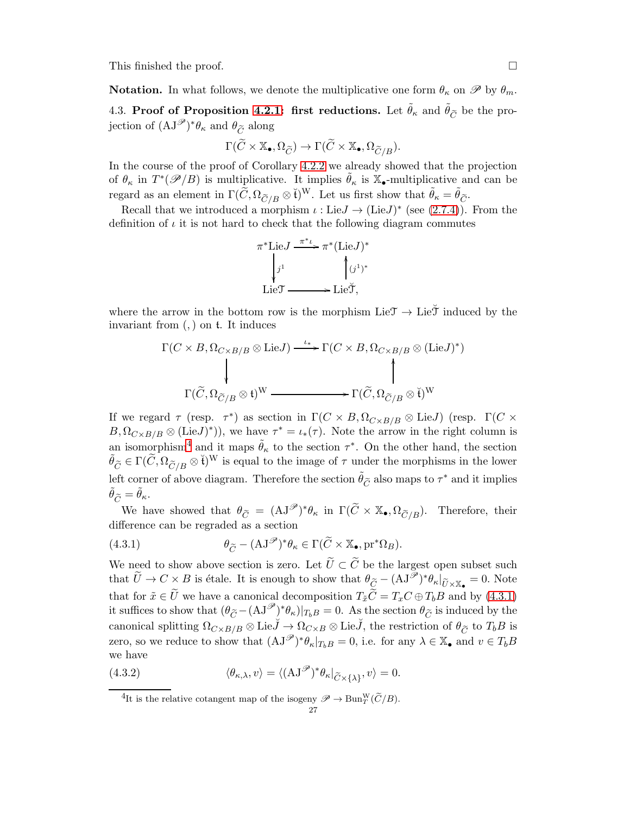This finished the proof.

**Notation.** In what follows, we denote the multiplicative one form  $\theta_{\kappa}$  on  $\mathscr{P}$  by  $\theta_{m}$ .

4.3. Proof of Proposition [4.2.1:](#page-25-0) first reductions. Let  $\tilde{\theta}_{\kappa}$  and  $\tilde{\theta}_{\tilde{C}}$  be the projection of  $(\mathrm{AJ}^{\mathscr{P}})^*\theta_{\kappa}$  and  $\theta_{\widetilde{C}}$  along

$$
\Gamma(\widetilde{C}\times\mathbb{X}_{\bullet},\Omega_{\widetilde{C}})\to \Gamma(\widetilde{C}\times\mathbb{X}_{\bullet},\Omega_{\widetilde{C}/B}).
$$

In the course of the proof of Corollary [4.2.2](#page-25-1) we already showed that the projection of  $\theta_{\kappa}$  in  $T^*(\mathscr{P}/B)$  is multiplicative. It implies  $\tilde{\theta}_{\kappa}$  is  $\mathbb{X}_{\bullet}$ -multiplicative and can be regard as an element in  $\Gamma(\widetilde{C}, \Omega_{\widetilde{C}/B} \otimes \widetilde{t})^W$ . Let us first show that  $\widetilde{\theta}_{\kappa} = \widetilde{\theta}_{\widetilde{C}}$ .

Recall that we introduced a morphism  $\iota : \text{Lie}J \to (\text{Lie}J)^*$  (see [\(2.7.4\)](#page-9-1)). From the definition of  $\iota$  it is not hard to check that the following diagram commutes

$$
\pi^* \text{Lie}J \xrightarrow{\pi^*\iota} \pi^* (\text{Lie}J)^*
$$

$$
\downarrow j^1 \qquad \qquad \downarrow (j^1)^*
$$

$$
\text{Lie} \mathfrak{T} \longrightarrow \text{Lie} \mathfrak{T},
$$

where the arrow in the bottom row is the morphism  $\text{Lie} \mathfrak{I} \to \text{Lie} \mathfrak{I}$  induced by the invariant from (,) on t. It induces

$$
\Gamma(C \times B, \Omega_{C \times B/B} \otimes \text{Lie}J) \xrightarrow{\iota_*} \Gamma(C \times B, \Omega_{C \times B/B} \otimes (\text{Lie}J)^*)
$$
  
\n
$$
\Gamma(\widetilde{C}, \Omega_{\widetilde{C}/B} \otimes \mathfrak{t})^{\mathcal{W}} \xrightarrow{\iota_*} \Gamma(\widetilde{C}, \Omega_{\widetilde{C}/B} \otimes \widetilde{\mathfrak{t}})^{\mathcal{W}}
$$

If we regard  $\tau$  (resp.  $\tau^*$ ) as section in  $\Gamma(C \times B, \Omega_{C \times B/B} \otimes \text{Lie}J)$  (resp.  $\Gamma(C \times B)$  $B, \Omega_{C\times B/B}\otimes (\text{Lie}J)^*)$ , we have  $\tau^* = \iota_*(\tau)$ . Note the arrow in the right column is an isomorphism<sup>[4](#page-26-0)</sup> and it maps  $\tilde{\theta}_{\kappa}$  to the section  $\tau^*$ . On the other hand, the section  $\tilde{\theta}_{\tilde{C}} \in \Gamma(\tilde{C}, \Omega_{\tilde{C}/B} \otimes \tilde{t})^W$  is equal to the image of  $\tau$  under the morphisms in the lower left corner of above diagram. Therefore the section  $\tilde{\theta}_{\tilde{C}}$  also maps to  $\tau^*$  and it implies  $\theta_{\widetilde{C}} = \theta_{\kappa}.$ 

We have showed that  $\theta_{\widetilde{C}} = (\mathbf{A}\mathbf{J}^{\mathscr{P}})^*\theta_{\kappa}$  in  $\Gamma(\widetilde{C} \times \mathbb{X}_{\bullet}, \Omega_{\widetilde{C}/B})$ . Therefore, their difference can be regraded as a section

<span id="page-26-1"></span>(4.3.1) 
$$
\theta_{\widetilde{C}} - (\mathbf{A}\mathbf{J}^{\mathscr{P}})^{*}\theta_{\kappa} \in \Gamma(\widetilde{C} \times \mathbb{X}_{\bullet}, \mathrm{pr}^{*}\Omega_{B}).
$$

We need to show above section is zero. Let  $\tilde{U} \subset \tilde{C}$  be the largest open subset such that  $\widetilde{U} \to C \times B$  is étale. It is enough to show that  $\theta_{\widetilde{C}} - (\mathbf{AJ}^{\overline{\mathscr{P}}})^* \theta_{\kappa}|_{\widetilde{U} \times \mathbb{X}_{\bullet}} = 0$ . Note that for  $\tilde{x} \in \tilde{U}$  we have a canonical decomposition  $T_{\tilde{x}}\tilde{C} = T_xC \oplus T_bB$  and by [\(4.3.1\)](#page-26-1) it suffices to show that  $(\theta_{\widetilde{C}} - (\mathbf{A}\mathbf{J}^{\mathscr{P}}))^*\theta_{\kappa})|_{T_bB} = 0$ . As the section  $\theta_{\widetilde{C}}$  is induced by the canonical splitting  $\Omega_{C\times B/B}\otimes \text{Lie}\check{J}\to \Omega_{C\times B}\otimes \text{Lie}\check{J}$ , the restriction of  $\theta_{\widetilde{C}}$  to  $T_bB$  is zero, so we reduce to show that  $(AJ^{\mathscr{P}})^*\theta_{\kappa}|_{T_bB} = 0$ , i.e. for any  $\lambda \in \mathbb{X}_{\bullet}$  and  $v \in T_bB$ we have

(4.3.2) 
$$
\langle \theta_{\kappa,\lambda}, v \rangle = \langle (\mathbf{A}\mathbf{J}^{\mathscr{P}})^{*} \theta_{\kappa} |_{\widetilde{C} \times \{\lambda\}}, v \rangle = 0.
$$

<span id="page-26-2"></span><span id="page-26-0"></span><sup>&</sup>lt;sup>4</sup>It is the relative cotangent map of the isogeny  $\mathscr{P} \to \text{Bun}_T^W(\widetilde{C}/B)$ .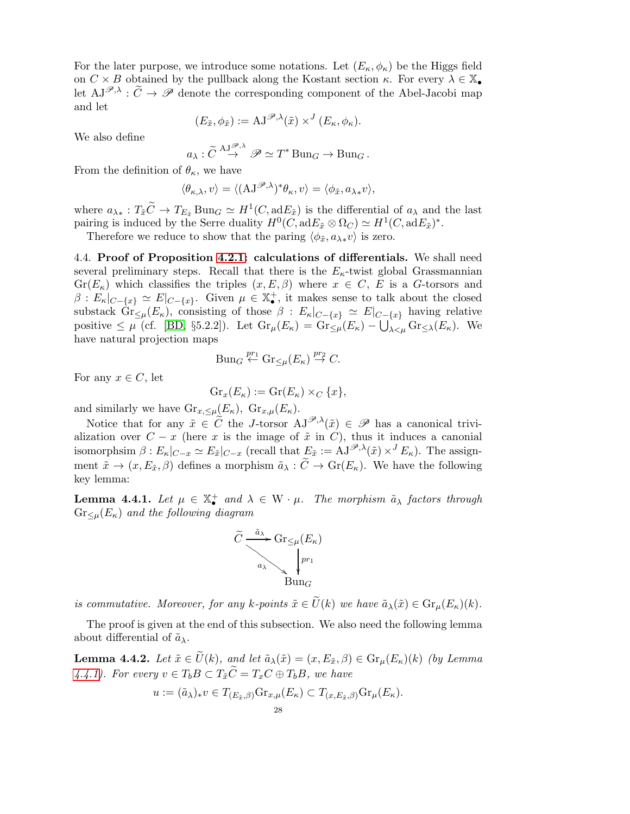For the later purpose, we introduce some notations. Let  $(E_{\kappa}, \phi_{\kappa})$  be the Higgs field on  $C \times B$  obtained by the pullback along the Kostant section  $\kappa$ . For every  $\lambda \in \mathbb{X}_{\bullet}$ let  $AJ^{\mathscr{P},\lambda}$ :  $\widetilde{C} \to \mathscr{P}$  denote the corresponding component of the Abel-Jacobi map and let

$$
(E_{\tilde{x}}, \phi_{\tilde{x}}) := \mathrm{AJ}^{\mathscr{P}, \lambda}(\tilde{x}) \times^{J} (E_{\kappa}, \phi_{\kappa}).
$$

We also define

$$
a_{\lambda}: \widetilde{C} \stackrel{\mathrm{AJ}^{\mathscr{P},\lambda}}{\rightarrow} \mathscr{P} \simeq T^* \mathrm{Bun}_G \rightarrow \mathrm{Bun}_G.
$$

From the definition of  $\theta_{\kappa}$ , we have

$$
\langle \theta_{\kappa,\lambda}, v \rangle = \langle (AJ^{\mathscr{P},\lambda})^* \theta_{\kappa}, v \rangle = \langle \phi_{\tilde{x}}, a_{\lambda *} v \rangle,
$$

where  $a_{\lambda *} : T_{\tilde{x}} C \to T_{E_{\tilde{x}}} \text{Bun}_G \simeq H^1(C, \text{ad} E_{\tilde{x}})$  is the differential of  $a_{\lambda}$  and the last pairing is induced by the Serre duality  $H^0(C, adE_{\tilde{x}} \otimes \Omega_C) \simeq H^1(C, adE_{\tilde{x}})^*$ .

Therefore we reduce to show that the paring  $\langle \phi_{\tilde{x}}, a_{\lambda *}v \rangle$  is zero.

4.4. Proof of Proposition [4.2.1:](#page-25-0) calculations of differentials. We shall need several preliminary steps. Recall that there is the  $E_{\kappa}$ -twist global Grassmannian  $Gr(E_{\kappa})$  which classifies the triples  $(x, E, \beta)$  where  $x \in C$ , E is a G-torsors and  $\beta: E_{\kappa}|_{C-\{x\}} \simeq E|_{C-\{x\}}$ . Given  $\mu \in \mathbb{X}_{\bullet}^{+}$ , it makes sense to talk about the closed substack  $\text{Gr}_{\leq \mu}(E_{\kappa})$ , consisting of those  $\beta : E_{\kappa}|_{C-\{x\}} \simeq E|_{C-\{x\}}$  having relative positive  $\leq \mu$  (cf. [\[BD,](#page-48-9) §5.2.2]). Let  $\text{Gr}_{\mu}(E_{\kappa}) = \text{Gr}_{\leq \mu}(E_{\kappa}) - \bigcup_{\lambda < \mu} \text{Gr}_{\leq \lambda}(E_{\kappa})$ . We have natural projection maps

$$
\text{Bun}_G \stackrel{pr_1}{\leftarrow} \text{Gr}_{\leq \mu}(E_{\kappa}) \stackrel{pr_2}{\rightarrow} C.
$$

For any  $x \in C$ , let

$$
\operatorname{Gr}_x(E_\kappa) := \operatorname{Gr}(E_\kappa) \times_C \{x\},\
$$

and similarly we have  $\text{Gr}_{x, \leq \mu}(E_{\kappa}), \text{ Gr}_{x, \mu}(E_{\kappa}).$ 

Notice that for any  $\tilde{x} \in \tilde{C}$  the J-torsor  $AJ^{\mathscr{P},\lambda}(\tilde{x}) \in \mathscr{P}$  has a canonical trivialization over  $C - x$  (here x is the image of  $\tilde{x}$  in C), thus it induces a canonial isomorphsim  $\beta: E_{\kappa}|_{C=x} \simeq E_{\tilde{x}}|_{C=x}$  (recall that  $E_{\tilde{x}} := AJ^{\mathscr{P},\lambda}(\tilde{x}) \times^J E_{\kappa}$ ). The assignment  $\tilde{x} \to (x, E_{\tilde{x}}, \beta)$  defines a morphism  $\tilde{a}_{\lambda} : \tilde{C} \to Gr(E_{\kappa})$ . We have the following key lemma:

<span id="page-27-0"></span>**Lemma 4.4.1.** Let  $\mu \in \mathbb{X}_{\bullet}^{+}$  and  $\lambda \in W \cdot \mu$ . The morphism  $\tilde{a}_{\lambda}$  factors through  $Gr_{\leq \mu}(E_{\kappa})$  and the following diagram



is commutative. Moreover, for any k-points  $\tilde{x} \in \tilde{U}(k)$  we have  $\tilde{a}_{\lambda}(\tilde{x}) \in \text{Gr}_{\mu}(E_{\kappa})(k)$ .

The proof is given at the end of this subsection. We also need the following lemma about differential of  $\tilde{a}_{\lambda}$ .

**Lemma 4.4.2.** Let  $\tilde{x} \in \tilde{U}(k)$ , and let  $\tilde{a}_{\lambda}(\tilde{x}) = (x, E_{\tilde{x}}, \beta) \in \text{Gr}_{\mu}(E_{\kappa})(k)$  (by Lemma [4.4.1\)](#page-27-0). For every  $v \in T_b B \subset T_{\tilde{x}} \tilde{C} = T_x C \oplus T_b B$ , we have

$$
u := (\tilde{a}_{\lambda})_* v \in T_{(E_{\tilde{x}}, \beta)} \text{Gr}_{x, \mu}(E_{\kappa}) \subset T_{(x, E_{\tilde{x}}, \beta)} \text{Gr}_{\mu}(E_{\kappa}).
$$
  
28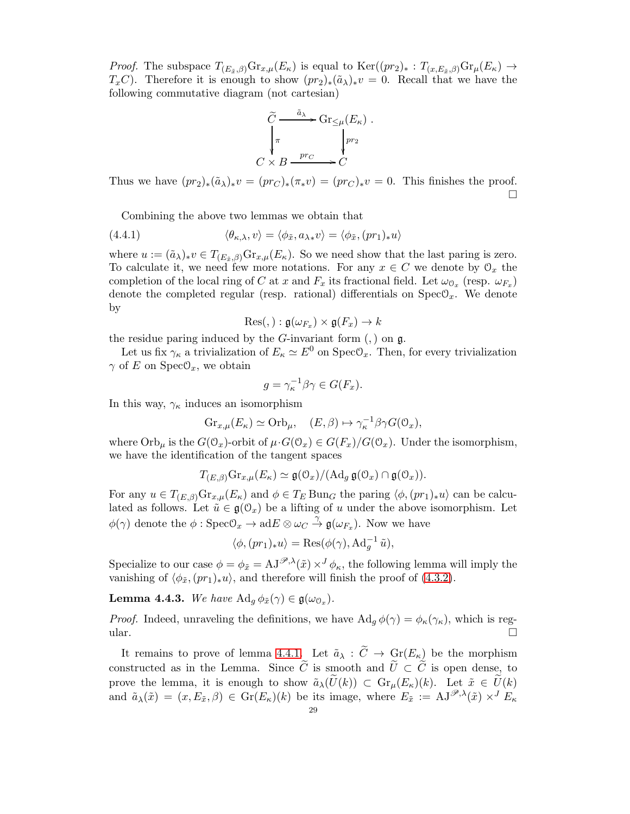*Proof.* The subspace  $T_{(E_{\tilde{x}},\beta)}\text{Gr}_{x,\mu}(E_{\kappa})$  is equal to  $\text{Ker}((pr_2)_*:T_{(x,E_{\tilde{x}},\beta)}\text{Gr}_{\mu}(E_{\kappa})\to$  $T_xC$ ). Therefore it is enough to show  $(pr_2)_*(\tilde{a}_\lambda)_*v = 0$ . Recall that we have the following commutative diagram (not cartesian)

$$
\widetilde{C} \xrightarrow{\tilde{a}_{\lambda}} \operatorname{Gr}_{\leq \mu}(E_{\kappa})
$$
\n
$$
\downarrow^{\pi} \qquad \qquad \downarrow^{pr_2}
$$
\n
$$
C \times B \xrightarrow{pr_C} C
$$

.

Thus we have  $(pr_2)_*(\tilde{a}_\lambda)_*v = (pr_C)_*(\pi_*v) = (pr_C)_*v = 0$ . This finishes the proof.  $\Box$ 

Combining the above two lemmas we obtain that

(4.4.1) 
$$
\langle \theta_{\kappa,\lambda}, v \rangle = \langle \phi_{\tilde{x}}, a_{\lambda *} v \rangle = \langle \phi_{\tilde{x}}, (pr_1)_* u \rangle
$$

where  $u := (\tilde{a}_{\lambda})_* v \in T_{(E_{\tilde{\tau}}, \beta)} \text{Gr}_{x,\mu}(E_{\kappa})$ . So we need show that the last paring is zero. To calculate it, we need few more notations. For any  $x \in C$  we denote by  $\mathcal{O}_x$  the completion of the local ring of C at x and  $F_x$  its fractional field. Let  $\omega_{\mathbb{O}_x}$  (resp.  $\omega_{F_x}$ ) denote the completed regular (resp. rational) differentials on  $Spec\mathcal{O}_x$ . We denote by

$$
\mathrm{Res}(,):\mathfrak{g}(\omega_{F_x})\times\mathfrak{g}(F_x)\to k
$$

the residue paring induced by the  $G$ -invariant form  $($ ,  $)$  on  $g$ .

Let us fix  $\gamma_{\kappa}$  a trivialization of  $E_{\kappa} \simeq E^0$  on SpecO<sub>x</sub>. Then, for every trivialization  $\gamma$  of E on Spec $\mathcal{O}_x$ , we obtain

$$
g = \gamma_{\kappa}^{-1} \beta \gamma \in G(F_x).
$$

In this way,  $\gamma_{\kappa}$  induces an isomorphism

$$
Gr_{x,\mu}(E_{\kappa}) \simeq \mathrm{Orb}_{\mu}, \quad (E,\beta) \mapsto \gamma_{\kappa}^{-1} \beta \gamma G(\mathcal{O}_x),
$$

where  $\text{Orb}_{\mu}$  is the  $G(\mathbb{O}_x)$ -orbit of  $\mu \cdot G(\mathbb{O}_x) \in G(F_x)/G(\mathbb{O}_x)$ . Under the isomorphism, we have the identification of the tangent spaces

$$
T_{(E,\beta)}\mathrm{Gr}_{x,\mu}(E_{\kappa}) \simeq \mathfrak{g}(\mathfrak{O}_x)/(\mathrm{Ad}_g\,\mathfrak{g}(\mathfrak{O}_x) \cap \mathfrak{g}(\mathfrak{O}_x)).
$$

For any  $u \in T_{(E,\beta)}\text{Gr}_{x,\mu}(E_{\kappa})$  and  $\phi \in T_E \text{Bun}_G$  the paring  $\langle \phi, (pr_1)_*u \rangle$  can be calculated as follows. Let  $\tilde{u} \in \mathfrak{g}(\mathbb{O}_x)$  be a lifting of u under the above isomorphism. Let  $\phi(\gamma)$  denote the  $\phi: \text{Spec} \mathcal{O}_x \to \text{ad}E \otimes \omega_C \overset{\gamma}{\to} \mathfrak{g}(\omega_{F_x})$ . Now we have

$$
\langle \phi, (pr_1)_* u \rangle = \text{Res}(\phi(\gamma), \text{Ad}_g^{-1} \tilde{u}),
$$

Specialize to our case  $\phi = \phi_{\tilde{x}} = AJ^{\mathscr{P},\lambda}(\tilde{x}) \times J \phi_{\kappa}$ , the following lemma will imply the vanishing of  $\langle \phi_{\tilde{x}},(pr_1)_*u\rangle$ , and therefore will finish the proof of [\(4.3.2\)](#page-26-2).

**Lemma 4.4.3.** We have  $\operatorname{Ad}_g \phi_{\tilde{x}}(\gamma) \in \mathfrak{g}(\omega_{\mathbb{O}_x})$ .

*Proof.* Indeed, unraveling the definitions, we have  $\text{Ad}_q \phi(\gamma) = \phi_\kappa(\gamma_\kappa)$ , which is regular.  $\Box$ 

It remains to prove of lemma [4.4.1.](#page-27-0) Let  $\tilde{a}_{\lambda} : \tilde{C} \to Gr(E_{\kappa})$  be the morphism constructed as in the Lemma. Since  $\tilde{C}$  is smooth and  $\tilde{U} \subset \tilde{C}$  is open dense, to prove the lemma, it is enough to show  $\tilde{a}_{\lambda}(U(k)) \subset \text{Gr}_{\mu}(E_{\kappa})(k)$ . Let  $\tilde{x} \in U(k)$ and  $\tilde{a}_{\lambda}(\tilde{x}) = (x, E_{\tilde{x}}, \beta) \in \text{Gr}(E_{\kappa})(k)$  be its image, where  $E_{\tilde{x}} := \text{AJ}^{\mathscr{P},\lambda}(\tilde{x}) \times^{J} E_{\kappa}$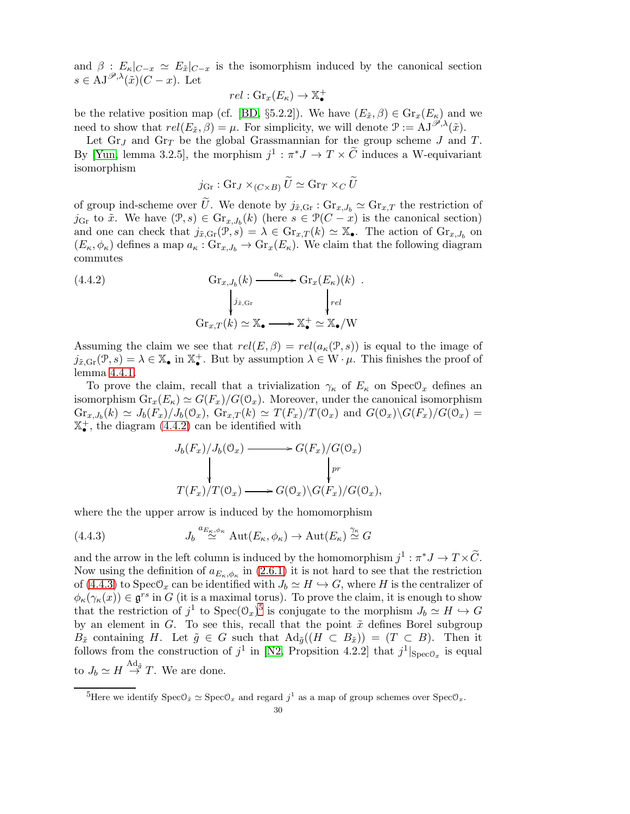and  $\beta$ :  $E_{\kappa}|_{C-x} \simeq E_{\tilde{x}}|_{C-x}$  is the isomorphism induced by the canonical section  $s \in \mathrm{AJ}^{\mathscr{P},\lambda}(\tilde{x})(C-x)$ . Let

$$
rel: \mathrm{Gr}_x(E_\kappa) \to \mathbb{X}_{\bullet}^+
$$

be the relative position map (cf. [\[BD,](#page-48-9) §5.2.2]). We have  $(E_{\tilde{x}}, \beta) \in \text{Gr}_x(E_{\kappa})$  and we need to show that  $rel(E_{\tilde{x}}, \beta) = \mu$ . For simplicity, we will denote  $\mathcal{P} := AJ^{\mathscr{P}, \lambda}(\tilde{x})$ .

Let  $\text{Gr}_J$  and  $\text{Gr}_T$  be the global Grassmannian for the group scheme J and T. By [\[Yun,](#page-49-3) lemma 3.2.5], the morphism  $j^1 : \pi^* J \to T \times \tilde{C}$  induces a W-equivariant isomorphism

<span id="page-29-0"></span>
$$
j_{\text{Gr}} : \text{Gr}_J \times_{(C \times B)} U \simeq \text{Gr}_T \times_C U
$$

of group ind-scheme over  $\tilde{U}$ . We denote by  $j_{\tilde{x}, \text{Gr}}$ :  $\text{Gr}_{x,J_b} \simeq \text{Gr}_{x,T}$  the restriction of  $j_{\text{Gr}}$  to  $\tilde{x}$ . We have  $(\mathcal{P}, s) \in \text{Gr}_{x, J_b}(k)$  (here  $s \in \mathcal{P}(C - x)$  is the canonical section) and one can check that  $j_{\tilde{x},\text{Gr}}(\mathcal{P},s) = \lambda \in \text{Gr}_{x,T}(k) \simeq \mathbb{X}_{\bullet}$ . The action of  $\text{Gr}_{x,J_b}$  on  $(E_{\kappa}, \phi_{\kappa})$  defines a map  $a_{\kappa}: \text{Gr}_{x, J_b} \to \text{Gr}_x(E_{\kappa})$ . We claim that the following diagram commutes

(4.4.2) 
$$
\operatorname{Gr}_{x,J_b}(k) \xrightarrow{a_{\kappa}} \operatorname{Gr}_x(E_{\kappa})(k) .
$$

$$
\downarrow_{j_{\tilde{x},\text{Gr}}} \qquad \qquad \downarrow_{rel}
$$

$$
\operatorname{Gr}_{x,T}(k) \simeq \mathbb{X}_{\bullet} \longrightarrow \mathbb{X}_{\bullet}^{+} \simeq \mathbb{X}_{\bullet}/W
$$

Assuming the claim we see that  $rel(E, \beta) = rel(a_{\kappa}(\mathcal{P}, s))$  is equal to the image of  $j_{\tilde{x},\text{Gr}}(\mathcal{P},s) = \lambda \in \mathbb{X}_{\bullet}$  in  $\mathbb{X}_{\bullet}^{+}$ . But by assumption  $\lambda \in W \cdot \mu$ . This finishes the proof of lemma [4.4.1.](#page-27-0)

To prove the claim, recall that a trivialization  $\gamma_{\kappa}$  of  $E_{\kappa}$  on  $Spec\mathcal{O}_x$  defines an isomorphism  $\text{Gr}_x(E_\kappa) \simeq G(F_x)/G(0_x)$ . Moreover, under the canonical isomorphism  $\text{Gr}_{x,J_b}(k) \simeq J_b(F_x)/J_b(\mathbb{O}_x)$ ,  $\text{Gr}_{x,T}(k) \simeq T(F_x)/T(\mathbb{O}_x)$  and  $G(\mathbb{O}_x)\backslash G(F_x)/G(\mathbb{O}_x) =$  $\mathbb{X}_{\bullet}^{+}$ , the diagram [\(4.4.2\)](#page-29-0) can be identified with

<span id="page-29-1"></span>
$$
J_b(F_x)/J_b(\mathcal{O}_x) \longrightarrow G(F_x)/G(\mathcal{O}_x)
$$
  
\n
$$
\downarrow_{pr}
$$
  
\n
$$
T(F_x)/T(\mathcal{O}_x) \longrightarrow G(\mathcal{O}_x)\backslash G(F_x)/G(\mathcal{O}_x),
$$

where the the upper arrow is induced by the homomorphism

(4.4.3) 
$$
J_b \stackrel{a_{E_{\kappa},\phi_{\kappa}}}{\simeq} \text{Aut}(E_{\kappa},\phi_{\kappa}) \to \text{Aut}(E_{\kappa}) \stackrel{\gamma_{\kappa}}{\simeq} G
$$

and the arrow in the left column is induced by the homomorphism  $j^1 : \pi^* J \to T \times \tilde{C}$ . Now using the definition of  $a_{E_{\kappa},\phi_{\kappa}}$  in [\(2.6.1\)](#page-8-3) it is not hard to see that the restriction of [\(4.4.3\)](#page-29-1) to Spec $\mathcal{O}_x$  can be identified with  $J_b \simeq H \hookrightarrow G$ , where H is the centralizer of  $\phi_{\kappa}(\gamma_{\kappa}(x)) \in \mathfrak{g}^{rs}$  in G (it is a maximal torus). To prove the claim, it is enough to show that the restriction of  $j^1$  to  $Spec(\mathcal{O}_x)^5$  $Spec(\mathcal{O}_x)^5$  is conjugate to the morphism  $J_b \simeq H \hookrightarrow G$ by an element in G. To see this, recall that the point  $\tilde{x}$  defines Borel subgroup  $B_{\tilde{x}}$  containing H. Let  $\tilde{g} \in G$  such that  $\text{Ad}_{\tilde{g}}((H \subset B_{\tilde{x}})) = (T \subset B)$ . Then it follows from the construction of  $j^1$  in [\[N2,](#page-49-1) Propsition 4.2.2] that  $j^1|_{Spec\mathcal{O}_x}$  is equal to  $J_b \simeq H \stackrel{\text{Ad}_{\tilde{g}}}{\rightarrow} T$ . We are done.

<span id="page-29-2"></span><sup>&</sup>lt;sup>5</sup>Here we identify  $Spec\mathcal{O}_{\tilde{x}} \simeq Spec\mathcal{O}_x$  and regard  $j^1$  as a map of group schemes over  $Spec\mathcal{O}_x$ .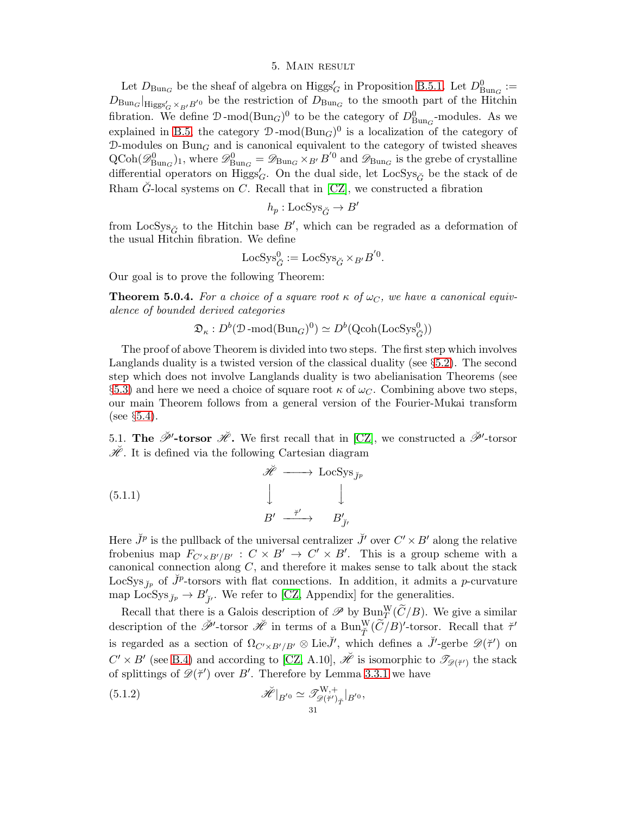#### 5. Main result

<span id="page-30-0"></span>Let  $D_{\text{Bun}_G}$  be the sheaf of algebra on  $\text{Higgs}_G'$  in Proposition [B.5.1.](#page-45-1) Let  $D^0_{\text{Bun}_G} :=$  $D_{\text{Bun}_G}|_{\text{Higgs}'_G \times_{B'} B'}$  be the restriction of  $D_{\text{Bun}_G}$  to the smooth part of the Hitchin fibration. We define  $\mathcal{D}\text{-mod}(\text{Bun}_G)^0$  to be the category of  $D^0_{\text{Bun}_G}\text{-modules}$ . As we explained in [B.5,](#page-45-2) the category  $\mathcal{D}\text{-mod}(Bun_G)^0$  is a localization of the category of  $\mathcal{D}\text{-modules on } \text{Bun}_G$  and is canonical equivalent to the category of twisted sheaves  $\text{QCoh}(\mathscr{D}_{\text{Bun}_G}^0)_1$ , where  $\mathscr{D}_{\text{Bun}_G}^0 = \mathscr{D}_{\text{Bun}_G} \times_{B'} B'^0$  and  $\mathscr{D}_{\text{Bun}_G}$  is the grebe of crystalline differential operators on  $\text{Higgs}'_G$ . On the dual side, let  $\text{LocSys}_{\check{G}}$  be the stack of de Rham  $\tilde{G}$ -local systems on C. Recall that in [\[CZ\]](#page-48-7), we constructed a fibration

$$
h_p:\mathsf{LocSys}_{\breve{G}}\rightarrow B'
$$

from  $LocSys_{\check{G}}$  to the Hitchin base  $B'$ , which can be regraded as a deformation of the usual Hitchin fibration. We define

$$
\operatorname{LocSys}_{\check{G}}^0 := \operatorname{LocSys}_{\check{G}} \times_{B'} B^{'0}.
$$

Our goal is to prove the following Theorem:

<span id="page-30-1"></span>**Theorem 5.0.4.** For a choice of a square root  $\kappa$  of  $\omega_c$ , we have a canonical equivalence of bounded derived categories

$$
\mathfrak{D}_{\kappa}: D^b(\mathcal{D}\text{-}\mathrm{mod}(\mathrm{Bun}_G)^0) \simeq D^b(\mathrm{Qcoh}(\mathrm{LocSys}_{\check{G}}^0))
$$

The proof of above Theorem is divided into two steps. The first step which involves Langlands duality is a twisted version of the classical duality (see §[5.2\)](#page-31-0). The second step which does not involve Langlands duality is two abelianisation Theorems (see §[5.3\)](#page-32-0) and here we need a choice of square root  $\kappa$  of  $\omega_C$ . Combining above two steps, our main Theorem follows from a general version of the Fourier-Mukai transform (see  $\S 5.4$ ).

5.1. The  $\check{\mathscr{P}}'$ -torsor  $\check{\mathscr{H}}$ . We first recall that in [\[CZ\]](#page-48-7), we constructed a  $\check{\mathscr{P}}'$ -torsor  $\mathscr{H}$ . It is defined via the following Cartesian diagram

(5.1.1)  

$$
\begin{array}{ccc}\n\check{\mathscr{H}} & \longrightarrow & \text{LocSys}_{\check{\jmath}_p} \\
\downarrow & & \downarrow \\
B' & \xrightarrow{\check{\tau}'} & B'_{\check{\jmath}'}\n\end{array}
$$

Here  $\check{J}^p$  is the pullback of the universal centralizer  $\check{J}'$  over  $C' \times B'$  along the relative frobenius map  $F_{C' \times B'/B'} : C \times B' \to C' \times B'$ . This is a group scheme with a canonical connection along  $C$ , and therefore it makes sense to talk about the stack LocSys<sub>Jp</sub> of  $\check{J}^p$ -torsors with flat connections. In addition, it admits a p-curvature map LocSys<sub>J'p</sub>  $\rightarrow$  B'<sub>J'</sub>. We refer to [\[CZ,](#page-48-7) Appendix] for the generalities.

Recall that there is a Galois description of  $\mathscr{P}$  by  $\text{Bun}_T^W(\widetilde{C}/B)$ . We give a similar description of the  $\check{\mathscr{P}}'$ -torsor  $\check{\mathscr{H}}$  in terms of a  $\text{Bun}_{\check{T}}^W(\widetilde{C}/B)'$ -torsor. Recall that  $\check{\tau}'$ is regarded as a section of  $\Omega_{C' \times B'/B'} \otimes \text{Lie}\check{J}'$ , which defines a  $\check{J}'$ -gerbe  $\mathscr{D}(\check{\tau}')$  on  $C' \times B'$  (see [B.4\)](#page-44-0) and according to [\[CZ,](#page-48-7) A.10],  $\breve{\mathscr{H}}$  is isomorphic to  $\mathscr{T}_{\mathscr{D}(\breve{\tau}')}$  the stack of splittings of  $\mathscr{D}(\breve{\tau}')$  over B'. Therefore by Lemma [3.3.1](#page-14-1) we have

<span id="page-30-2"></span>(5.1.2) 
$$
\mathscr{H}|_{B'0} \simeq \mathscr{T}^{W,+}_{\mathscr{D}(\tilde{\tau}')_{\tilde{T}}}|_{B'^{0}},
$$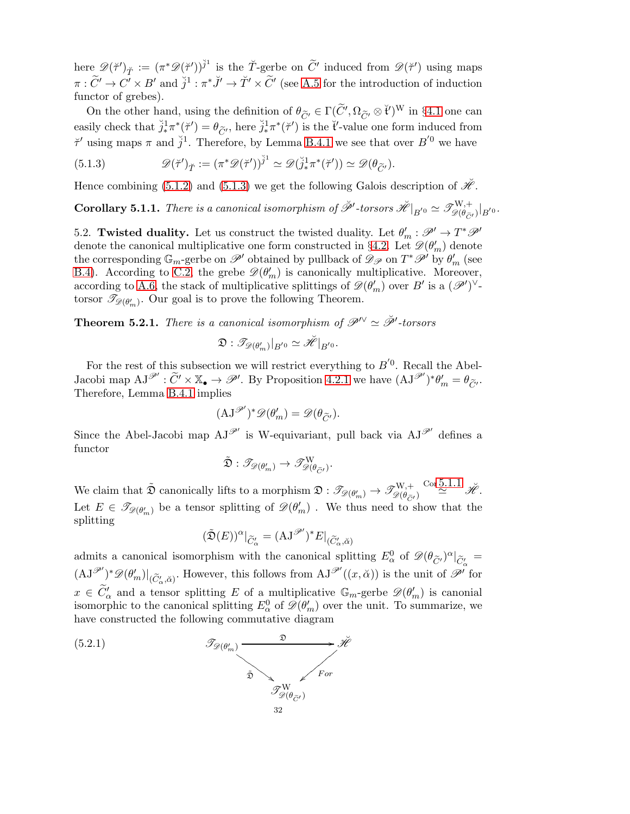here  $\mathscr{D}(\breve{\tau}')_{\breve{T}} := (\pi^* \mathscr{D}(\breve{\tau}'))^{\breve{j}^1}$  is the T-gerbe on  $\widetilde{C}'$  induced from  $\mathscr{D}(\breve{\tau}')$  using maps  $\pi: \widetilde{C}' \to C' \times B'$  and  $\breve{j}^1: \pi^* \breve{J}' \to \breve{T}' \times \widetilde{C}'$  (see [A.5](#page-41-0) for the introduction of induction functor of grebes).

On the other hand, using the definition of  $\theta_{\tilde{C'}} \in \Gamma(\tilde{C'}, \Omega_{\tilde{C'}} \otimes \tilde{t}')^W$  in §[4.1](#page-24-2) one can easily check that  $\tilde{j}_{*}^{1}\pi^{*}(\tilde{\tau}') = \theta_{\tilde{C}'}$ , here  $\tilde{j}_{*}^{1}\pi^{*}(\tilde{\tau}')$  is the  $\tilde{t}'$ -value one form induced from  $\check{\tau}'$  using maps  $\pi$  and  $\check{j}^1$ . Therefore, by Lemma [B.4.1](#page-45-3) we see that over  $B^{'0}$  we have

<span id="page-31-1"></span>(5.1.3) 
$$
\mathscr{D}(\breve{\tau}')_{\breve{T}} := (\pi^* \mathscr{D}(\breve{\tau}'))^{\breve{j}^1} \simeq \mathscr{D}(\breve{j}_*^1 \pi^* (\breve{\tau}')) \simeq \mathscr{D}(\theta_{\widetilde{C}'}).
$$

Hence combining [\(5.1.2\)](#page-30-2) and [\(5.1.3\)](#page-31-1) we get the following Galois description of  $\mathscr{H}$ .

<span id="page-31-2"></span> $\textbf{Corollary 5.1.1.}$  There is a canonical isomorphism of  $\breve{\mathscr{P}}'$ -torsors  $\breve{\mathscr{H}}|_{B^{'}0} \simeq \mathscr{T}^{W,+}_{\mathscr{D}(\theta_{\widetilde{C}'}|)B^{'}0}.$ 

<span id="page-31-0"></span>5.2. Twisted duality. Let us construct the twisted duality. Let  $\theta'_m : \mathscr{P}' \to T^* \mathscr{P}'$ denote the canonical multiplicative one form constructed in §[4.2.](#page-24-3) Let  $\mathscr{D}(\theta'_{m})$  denote the corresponding  $\mathbb{G}_m$ -gerbe on  $\mathscr{P}'$  obtained by pullback of  $\mathscr{D}_{\mathscr{P}}$  on  $T^*\mathscr{P}'$  by  $\theta'_m$  (see [B.4\)](#page-44-0). According to [C.2,](#page-47-0) the grebe  $\mathscr{D}(\theta'_{m})$  is canonically multiplicative. Moreover, according to [A.6,](#page-41-1) the stack of multiplicative splittings of  $\mathscr{D}(\theta'_{m})$  over B' is a  $(\mathscr{P}')^{\vee}$ torsor  $\mathcal{I}_{\mathscr{D}(\theta'_{m})}$ . Our goal is to prove the following Theorem.

<span id="page-31-3"></span>**Theorem 5.2.1.** There is a canonical isomorphism of  $\mathscr{P}^{\vee} \simeq \check{\mathscr{P}}'$ -torsors

$$
\mathfrak{D}: \mathscr{T}_{\mathscr{D}(\theta'_{m})}|_{B^{'0}} \simeq \check{\mathscr{H}}|_{B^{'0}}.
$$

For the rest of this subsection we will restrict everything to  $B^{'0}$ . Recall the Abel-Jacobi map  $AJ^{\mathscr{P}}: \widetilde{C}' \times \mathbb{X}_{\bullet} \to \mathscr{P}'$ . By Proposition [4.2.1](#page-25-0) we have  $(AJ^{\mathscr{P}'})^*\theta'_{m} = \theta_{\widetilde{C}'}$ . Therefore, Lemma [B.4.1](#page-45-3) implies

$$
(\mathrm{AJ}^{\mathscr{P}'})^* \mathscr{D}(\theta'_m) = \mathscr{D}(\theta_{\widetilde{C}'}).
$$

Since the Abel-Jacobi map  $AJ^{\mathscr{P}'}$  is W-equivariant, pull back via  $AJ^{\mathscr{P}'}$  defines a functor

$$
\tilde{\mathfrak{D}}:\mathscr{T}_{\mathscr{D}(\theta'_{m})}\to \mathscr{T}^{\mathrm{W}}_{\mathscr{D}(\theta_{\widetilde{C}'})}.
$$

We claim that  $\tilde{\mathfrak{D}}$  canonically lifts to a morphism  $\mathfrak{D}: \mathscr{T}_{\mathscr{D}(\theta'_{m})} \to \mathscr{T}^{W,+}_{\mathscr{D}(\theta_{\tilde{C}'})}$  $\frac{\text{Cor }5.1.1}{\cancel{\mathscr{H}}}$  $\frac{\text{Cor }5.1.1}{\cancel{\mathscr{H}}}$  $\frac{\text{Cor }5.1.1}{\cancel{\mathscr{H}}}$ . Let  $E \in \mathscr{T}_{\mathscr{D}(\theta'_{m})}$  be a tensor splitting of  $\mathscr{D}(\theta'_{m})$ . We thus need to show that the splitting

$$
(\tilde{\mathfrak{D}}(E))^{\alpha}|_{\widetilde{C}'_{\alpha}}=(\mathbf{AJ}^{\mathscr{P}'})^*E|_{(\widetilde{C}'_{\alpha},\breve{\alpha})}
$$

admits a canonical isomorphism with the canonical splitting  $E^0_\alpha$  of  $\mathscr{D}(\theta_{\widetilde{C}'}^{\alpha})^{\alpha}|_{\widetilde{C}'_{\alpha}} =$  $(\mathrm{AJ}^{\mathscr{P}'})^* \mathscr{D}(\theta'_m)|_{(\widetilde{C}'_\alpha, \breve{\alpha})}$ . However, this follows from  $\mathrm{AJ}^{\mathscr{P}'}((x, \breve{\alpha}))$  is the unit of  $\mathscr{P}'$  for  $x \in \widetilde{C}'_{\alpha}$  and a tensor splitting E of a multiplicative  $\mathbb{G}_m$ -gerbe  $\mathscr{D}(\theta'_m)$  is canonial isomorphic to the canonical splitting  $E^0_\alpha$  of  $\mathscr{D}(\theta'_m)$  over the unit. To summarize, we have constructed the following commutative diagram

(5.2.1) 
$$
\overbrace{\mathcal{I}_{\mathscr{D}(\theta'_{m})}}^{\mathfrak{D}} \xrightarrow{\mathfrak{D}}^{\mathfrak{D}} \overbrace{\mathcal{I}_{\mathscr{D}(\theta_{\widetilde{C}'} )}^{\mathfrak{P}}}^{\mathfrak{D}} F
$$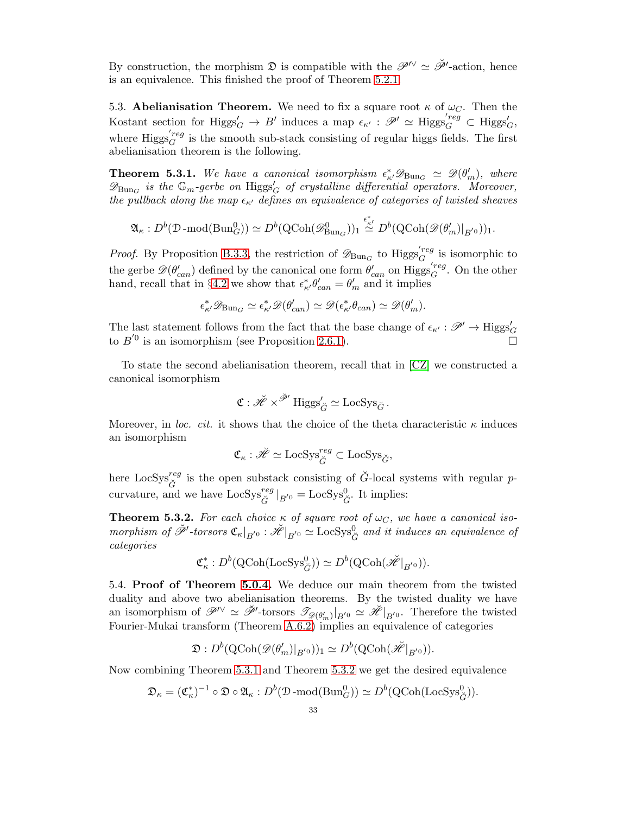By construction, the morphism  $\mathfrak{D}$  is compatible with the  $\mathscr{P}^{\prime\prime} \simeq \check{\mathscr{P}}'$ -action, hence is an equivalence. This finished the proof of Theorem [5.2.1.](#page-31-3)

<span id="page-32-0"></span>5.3. Abelianisation Theorem. We need to fix a square root  $\kappa$  of  $\omega_C$ . Then the Kostant section for  $\text{Higgs}'_G \to B'$  induces a map  $\epsilon_{\kappa'} : \mathscr{P}' \simeq \text{Higgs}'_G \subset \text{Higgs}'_G$ where  $\text{Higgs}_{G}^{'reg}$  $G<sup>reg</sup>$  is the smooth sub-stack consisting of regular higgs fields. The first abelianisation theorem is the following.

<span id="page-32-2"></span>**Theorem 5.3.1.** We have a canonical isomorphism  $\epsilon^*_{\kappa} \mathscr{D}_{Bun_G} \simeq \mathscr{D}(\theta'_m)$ , where  $\mathscr{D}_{\mathrm{Bun}_G}$  is the  $\mathbb{G}_m$ -gerbe on  $\mathrm{Higgs}_G'$  of crystalline differential operators. Moreover, the pullback along the map  $\epsilon_{\kappa'}$  defines an equivalence of categories of twisted sheaves

$$
\mathfrak{A}_{\kappa}: D^b(\mathcal{D}\text{-mod}(\text{Bun}_G^0)) \simeq D^b(\text{QCoh}(\mathscr{D}_{\text{Bun}_G}^0))_1 \stackrel{\epsilon_{\kappa'}^*}{\simeq} D^b(\text{QCoh}(\mathscr{D}(\theta_m')|_{B^{'0}}))_1.
$$

*Proof.* By Proposition [B.3.3,](#page-43-0) the restriction of  $\mathscr{D}_{Bun_G}$  to  $\text{Higgs}_G^{'reg}$  $\mathcal{F}_G^{reg}$  is isomorphic to the gerbe  $\mathscr{D}(\theta'_{can})$  defined by the canonical one form  $\theta'_{can}$  on  $\text{Higgs}_{G}^{'reg}$  $G^{reg}$ . On the other hand, recall that in §[4.2](#page-24-3) we show that  $\epsilon^*_{\kappa'} \theta'_{can} = \theta'_{m}$  and it implies

$$
\epsilon^*_{\kappa'} {\mathscr D}_{\operatorname{Bun}_G} \simeq \epsilon^*_{\kappa'} {\mathscr D}(\theta'_{can}) \simeq {\mathscr D}(\epsilon^*_{\kappa'} \theta_{can}) \simeq {\mathscr D}(\theta'_m).
$$

The last statement follows from the fact that the base change of  $\epsilon_{\kappa'} : \mathscr{P}' \to \text{Higgs}'_G$ to  $B^{'0}$  is an isomorphism (see Proposition [2.6.1\)](#page-8-2).

To state the second abelianisation theorem, recall that in [\[CZ\]](#page-48-7) we constructed a canonical isomorphism

$$
\mathfrak{C}: \check{\mathscr{H}} \times^{\check{\mathscr{P}}'} \mathrm{Higgs}_{\check{G}}' \simeq \mathrm{LocSys}_{\check{G}}.
$$

Moreover, in loc. cit. it shows that the choice of the theta characteristic  $\kappa$  induces an isomorphism

$$
\mathfrak{C}_{\kappa} : \check{\mathscr{H}} \simeq \text{LocSys}_{\check{G}}^{reg} \subset \text{LocSys}_{\check{G}},
$$

here LocSys<sup>reg</sup> is the open substack consisting of  $\check{G}$ -local systems with regular pcurvature, and we have  $\text{LocSys}_{\check{G}}^{reg} |_{B'^{0}} = \text{LocSys}_{\check{G}}^{0}$ . It implies:

<span id="page-32-3"></span>**Theorem 5.3.2.** For each choice  $\kappa$  of square root of  $\omega_C$ , we have a canonical isomorphism of  $\check{\mathscr{P}}'$ -torsors  $\mathfrak{C}_{\kappa}|_{B'^{0}} : \check{\mathscr{H}}|_{B'^{0}} \simeq \text{LocSys}^{0}_{\check{G}}$  and it induces an equivalence of categories

$$
\mathfrak{C}^*_\kappa: D^b(\text{QCoh}(\text{LocSys}_{\check{G}}^0)) \simeq D^b(\text{QCoh}(\check{\mathscr{H}}|_{B^{'0}})).
$$

<span id="page-32-1"></span>5.4. Proof of Theorem [5.0.4.](#page-30-1) We deduce our main theorem from the twisted duality and above two abelianisation theorems. By the twisted duality we have an isomorphism of  $\mathscr{P}' \simeq \check{\mathscr{P}}'$ -torsors  $\mathscr{T}_{\mathscr{D}(\theta'_{m})}|_{B'^{0}} \simeq \check{\mathscr{H}}|_{B'^{0}}$ . Therefore the twisted Fourier-Mukai transform (Theorem [A.6.2\)](#page-42-1) implies an equivalence of categories

$$
\mathfrak{D}: D^b(\text{QCoh}(\mathcal{D}(\theta'_m)|_{B^{'0}}))_1 \simeq D^b(\text{QCoh}(\breve{\mathscr{H}}|_{B^{'0}})).
$$

Now combining Theorem [5.3.1](#page-32-2) and Theorem [5.3.2](#page-32-3) we get the desired equivalence

$$
\mathfrak{D}_{\kappa} = (\mathfrak{C}_{\kappa}^*)^{-1} \circ \mathfrak{D} \circ \mathfrak{A}_{\kappa} : D^b(\mathfrak{D}\text{-mod}(\text{Bun}_{G}^0)) \simeq D^b(\text{QCoh}(\text{LocSys}_{\check{G}}^0)).
$$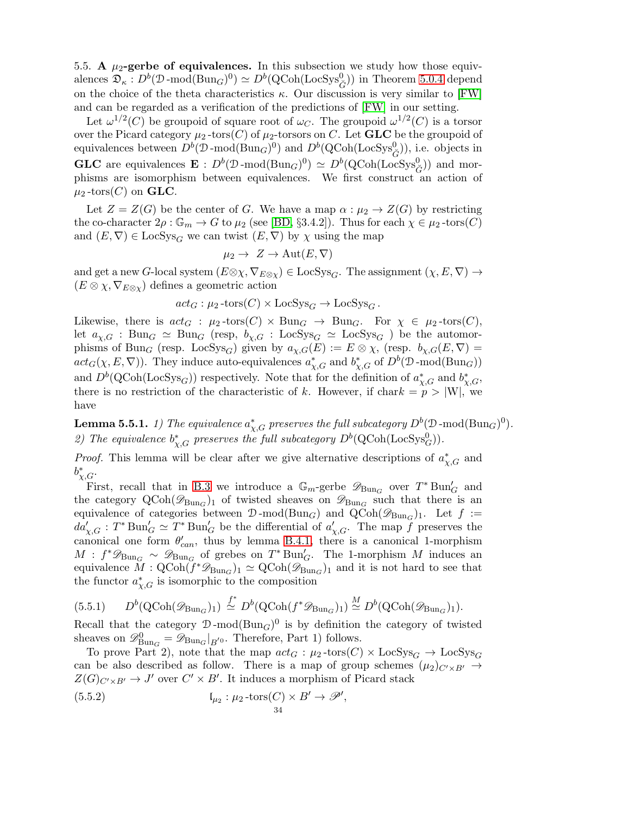<span id="page-33-0"></span>5.5. A  $\mu_2$ -gerbe of equivalences. In this subsection we study how those equivalences  $\mathfrak{D}_{\kappa}: D^b(\mathfrak{D}\text{-mod}(\text{Bun}_G)^0) \simeq D^b(\text{QCoh}(\text{LocSys}_{\check{G}}^0))$  in Theorem [5.0.4](#page-30-1) depend on the choice of the theta characteristics  $\kappa$ . Our discussion is very similar to [\[FW\]](#page-48-8) and can be regarded as a verification of the predictions of [\[FW\]](#page-48-8) in our setting.

Let  $\omega^{1/2}(C)$  be groupoid of square root of  $\omega_C$ . The groupoid  $\omega^{1/2}(C)$  is a torsor over the Picard category  $\mu_2$ -tors(C) of  $\mu_2$ -torsors on C. Let **GLC** be the groupoid of equivalences between  $D^b(\mathcal{D}\text{-mod}(\text{Bun}_G)^0)$  and  $D^b(\text{QCoh}(\text{LocSys}^0_G))$ , i.e. objects in **GLC** are equivalences  $\mathbf{E} : D^b(\mathcal{D}\text{-mod}(\text{Bun}_G)^0) \simeq D^b(\text{QCoh}(\text{LocSys}_G^0))$  and morphisms are isomorphism between equivalences. We first construct an action of  $\mu_2$ -tors $(C)$  on **GLC**.

Let  $Z = Z(G)$  be the center of G. We have a map  $\alpha : \mu_2 \to Z(G)$  by restricting the co-character  $2\rho : \mathbb{G}_m \to G$  to  $\mu_2$  (see [\[BD,](#page-48-9) §3.4.2]). Thus for each  $\chi \in \mu_2$ -tors(C) and  $(E, \nabla) \in \text{LocSys}_G$  we can twist  $(E, \nabla)$  by  $\chi$  using the map

$$
\mu_2 \to Z \to \mathrm{Aut}(E,\nabla)
$$

and get a new G-local system  $(E \otimes \chi, \nabla_{E \otimes \chi}) \in \text{LocSys}_G$ . The assignment  $(\chi, E, \nabla) \to$  $(E \otimes \chi, \nabla_{E \otimes \chi})$  defines a geometric action

 $act_G : \mu_2\text{-tors}(C) \times \text{LocSys}_G \rightarrow \text{LocSys}_G$ .

Likewise, there is  $act_G : \mu_2\text{-tors}(C) \times \text{Bun}_G \rightarrow \text{Bun}_G$ . For  $\chi \in \mu_2\text{-tors}(C)$ , let  $a_{\chi,G}$ : Bun<sub>G</sub>  $\simeq$  Bun<sub>G</sub> (resp,  $b_{\chi,G}$ : LocSys<sub>G</sub>  $\simeq$  LocSys<sub>G</sub> ) be the automorphisms of Bun<sub>G</sub> (resp. LocSys<sub>G</sub>) given by  $a_{\chi,G}(E) := E \otimes \chi$ , (resp.  $b_{\chi,G}(E,\nabla) =$  $act_G(\chi, E, \nabla)$ . They induce auto-equivalences  $a^*_{\chi, G}$  and  $b^*_{\chi, G}$  of  $D^b(\mathcal{D} \text{-mod(Bun}_G))$ and  $D^b(Q\text{Coh}(\text{LocSys}_G))$  respectively. Note that for the definition of  $a^*_{\chi,G}$  and  $b^*_{\chi,G}$ , there is no restriction of the characteristic of k. However, if chark  $= p > |W|$ , we have

**Lemma 5.5.1.** 1) The equivalence  $a^*_{\chi,G}$  preserves the full subcategory  $D^b( \mathfrak{D}\operatorname{-mod}(\operatorname{Bun}_G)^0).$ 2) The equivalence  $b_{\chi,G}^*$  preserves the full subcategory  $D^b(\text{QCoh}(\text{LocSys}_G^0)).$ 

*Proof.* This lemma will be clear after we give alternative descriptions of  $a^*_{\chi,G}$  and  $b^*_{\chi,G}$ .

First, recall that in [B.3](#page-43-1) we introduce a  $\mathbb{G}_m$ -gerbe  $\mathscr{D}_{Bun_G}$  over  $T^* Bun'_G$  and the category  $\text{QCoh}(\mathscr{D}_{\text{Bun}_G})_1$  of twisted sheaves on  $\mathscr{D}_{\text{Bun}_G}$  such that there is an equivalence of categories between  $\mathcal{D}$ -mod( $\text{Bun}_G$ ) and  $\text{QCoh}(\mathscr{D}_{\text{Bun}_G})_1$ . Let  $f :=$  $da'_{\chi,G}: T^* \text{Bun}'_G \simeq T^* \text{Bun}'_G$  be the differential of  $a'_{\chi,G}$ . The map f preserves the canonical one form  $\theta'_{can}$ , thus by lemma [B.4.1,](#page-45-3) there is a canonical 1-morphism  $M : f^* \mathscr{D}_{\text{Bun}_G} \sim \mathscr{D}_{\text{Bun}_G}$  of grebes on  $T^* \text{Bun}'_G$ . The 1-morphism M induces an equivalence  $\tilde{M}$  :  $\text{QCoh}(\tilde{f}^*\mathscr{D}_{\text{Bun}_G})_1 \simeq \text{QCoh}(\mathscr{D}_{\text{Bun}_G})_1$  and it is not hard to see that the functor  $a^*_{\chi,G}$  is isomorphic to the composition

$$
(5.5.1) \qquad D^b(\text{QCoh}(\mathscr{D}_{\text{Bun}_G})_1) \stackrel{f^*}{\simeq} D^b(\text{QCoh}(f^*\mathscr{D}_{\text{Bun}_G})_1) \stackrel{M}{\simeq} D^b(\text{QCoh}(\mathscr{D}_{\text{Bun}_G})_1).
$$

Recall that the category  $\mathcal{D}\text{-mod}(Bun_G)^0$  is by definition the category of twisted sheaves on  $\mathscr{D}_{\text{Bun}_G}^0 = \mathscr{D}_{\text{Bun}_G}|_{B^{'0}}$ . Therefore, Part 1) follows.

To prove Part 2), note that the map  $act_G : \mu_2\text{-tors}(C) \times \text{LocSys}_G \rightarrow \text{LocSys}_G$ can be also described as follow. There is a map of group schemes  $(\mu_2)_{C' \times B'} \to$  $Z(G)_{C'\times B'} \to J'$  over  $C' \times B'$ . It induces a morphism of Picard stack

<span id="page-33-1"></span>(5.5.2) 
$$
\mathfrak{l}_{\mu_2} : \mu_2 \text{-tors}(C) \times B' \to \mathscr{P}',
$$

$$
\mathfrak{z}_4
$$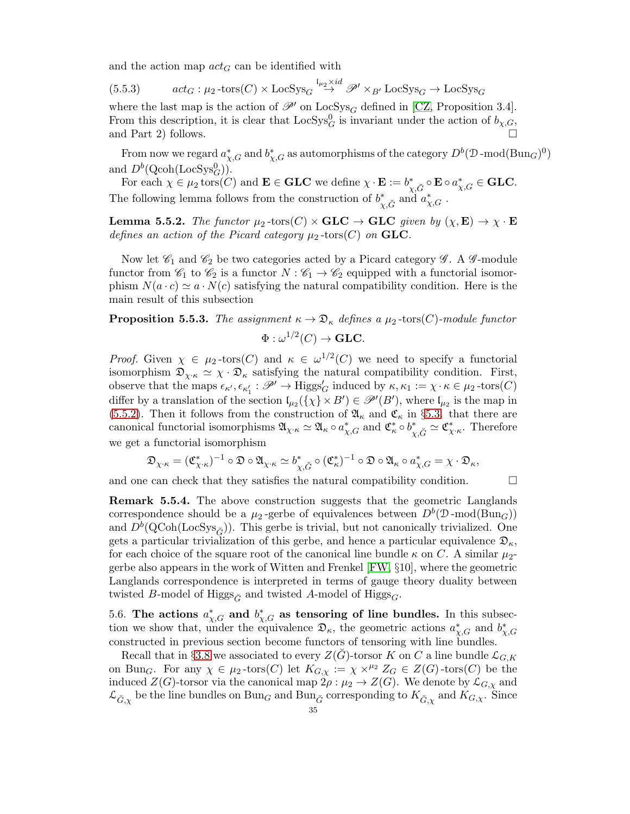and the action map  $act_G$  can be identified with

(5.5.3) 
$$
act_G: \mu_2 \text{-tors}(C) \times \text{LocSys}_G \stackrel{\mathfrak{l}_{\mu_2} \times id}{\rightarrow} \mathscr{P}' \times_{B'} \text{LocSys}_G \rightarrow \text{LocSys}_G
$$

where the last map is the action of  $\mathscr{P}'$  on LocSys<sub>G</sub> defined in [\[CZ,](#page-48-7) Proposition 3.4]. From this description, it is clear that  $\text{LocSys}_{G}^{0}$  is invariant under the action of  $b_{\chi,G}$ , and Part 2) follows.

From now we regard  $a^*_{\chi,G}$  and  $b^*_{\chi,G}$  as automorphisms of the category  $D^b(\mathcal{D}\operatorname{-mod}(\text{Bun}_G)^0)$ and  $D^b(\text{Qcoh}(\text{LocSys}_G^0)).$ 

For each  $\chi \in \mu_2 \text{tors}(C)$  and  $\mathbf{E} \in \mathbf{GLC}$  we define  $\chi \cdot \mathbf{E} := b^*_{\chi, \check{G}} \circ \mathbf{E} \circ a^*_{\chi, G} \in \mathbf{GLC}$ . The following lemma follows from the construction of  $b^*_{\chi,\check{G}}$  and  $a^*_{\chi,G}$ .

**Lemma 5.5.2.** The functor  $\mu_2$ -tors(C)  $\times$  GLC  $\to$  GLC given by  $(\chi, \mathbf{E}) \to \chi \cdot \mathbf{E}$ defines an action of the Picard category  $\mu_2$ -tors(C) on GLC.

Now let  $\mathscr{C}_1$  and  $\mathscr{C}_2$  be two categories acted by a Picard category  $\mathscr{G}$ . A  $\mathscr{G}$ -module functor from  $\mathscr{C}_1$  to  $\mathscr{C}_2$  is a functor  $N : \mathscr{C}_1 \to \mathscr{C}_2$  equipped with a functorial isomorphism  $N(a \cdot c) \simeq a \cdot N(c)$  satisfying the natural compatibility condition. Here is the main result of this subsection

# <span id="page-34-1"></span>**Proposition 5.5.3.** The assignment  $\kappa \to \mathfrak{D}_{\kappa}$  defines a  $\mu_2$ -tors(C)-module functor

$$
\Phi: \omega^{1/2}(C) \to \textbf{GLC}.
$$

*Proof.* Given  $\chi \in \mu_2$ -tors(C) and  $\kappa \in \omega^{1/2}(C)$  we need to specify a functorial isomorphism  $\mathfrak{D}_{\chi\cdot\kappa} \simeq \chi\cdot\mathfrak{D}_{\kappa}$  satisfying the natural compatibility condition. First, observe that the maps  $\epsilon_{\kappa'}, \epsilon_{\kappa_1'} : \mathscr{P}' \to \text{Higgs}_G'$  induced by  $\kappa, \kappa_1 := \chi \cdot \kappa \in \mu_2\text{-tors}(C)$ differ by a translation of the section  $\mathfrak{l}_{\mu_2}(\{\chi\}\times B')\in\mathscr{P}'(B')$ , where  $\mathfrak{l}_{\mu_2}$  is the map in [\(5.5.2\)](#page-33-1). Then it follows from the construction of  $\mathfrak{A}_{\kappa}$  and  $\mathfrak{C}_{\kappa}$  in §[5.3.](#page-32-0) that there are canonical functorial isomorphisms  $\mathfrak{A}_{\chi \cdot \kappa} \simeq \mathfrak{A}_{\kappa} \circ a^*_{\chi, G}$  and  $\mathfrak{C}^*_{\kappa} \circ b^*_{\chi, \check{G}} \simeq \mathfrak{C}^*_{\chi \cdot \kappa}$ . Therefore we get a functorial isomorphism

$$
\mathfrak{D}_{\chi\cdot\kappa}=(\mathfrak{C}^*_{\chi\cdot\kappa})^{-1}\circ\mathfrak{D}\circ\mathfrak{A}_{\chi\cdot\kappa}\simeq b^*_{\chi,\check{G}}\circ(\mathfrak{C}^*_{\kappa})^{-1}\circ\mathfrak{D}\circ\mathfrak{A}_{\kappa}\circ a^*_{\chi,G}=\chi\cdot\mathfrak{D}_{\kappa},
$$

and one can check that they satisfies the natural compatibility condition.  $\Box$ 

Remark 5.5.4. The above construction suggests that the geometric Langlands correspondence should be a  $\mu_2$ -gerbe of equivalences between  $D^b(\mathcal{D}\text{-mod}(\text{Bun}_G))$ and  $D^b(\text{QCoh}(\text{LocSys}_{\check{G}}))$ . This gerbe is trivial, but not canonically trivialized. One gets a particular trivialization of this gerbe, and hence a particular equivalence  $\mathfrak{D}_{\kappa}$ , for each choice of the square root of the canonical line bundle  $\kappa$  on C. A similar  $\mu_2$ gerbe also appears in the work of Witten and Frenkel [\[FW,](#page-48-8) §10], where the geometric Langlands correspondence is interpreted in terms of gauge theory duality between twisted B-model of Higgs<sub> $\check{G}$ </sub> and twisted A-model of Higgs<sub>G</sub>.

<span id="page-34-0"></span>5.6. The actions  $a^*_{\chi,G}$  and  $b^*_{\chi,G}$  as tensoring of line bundles. In this subsection we show that, under the equivalence  $\mathfrak{D}_{\kappa}$ , the geometric actions  $a^*_{\chi,G}$  and  $b^*_{\chi,G}$ constructed in previous section become functors of tensoring with line bundles.

Recall that in §[3.8](#page-21-0) we associated to every  $Z(\check{G})$ -torsor K on C a line bundle  $\mathcal{L}_{G,K}$ on Bun<sub>G</sub>. For any  $\chi \in \mu_2$ -tors(C) let  $K_{G,\chi} := \chi \times^{\mu_2} Z_G \in Z(G)$ -tors(C) be the induced  $Z(G)$ -torsor via the canonical map  $2\rho : \mu_2 \to Z(G)$ . We denote by  $\mathcal{L}_{G,\chi}$  and  $\mathcal{L}_{\check{G},\chi}$  be the line bundles on  $Bun_G$  and  $Bun_{\check{G}}$  corresponding to  $K_{\check{G},\chi}$  and  $K_{G,\chi}$ . Since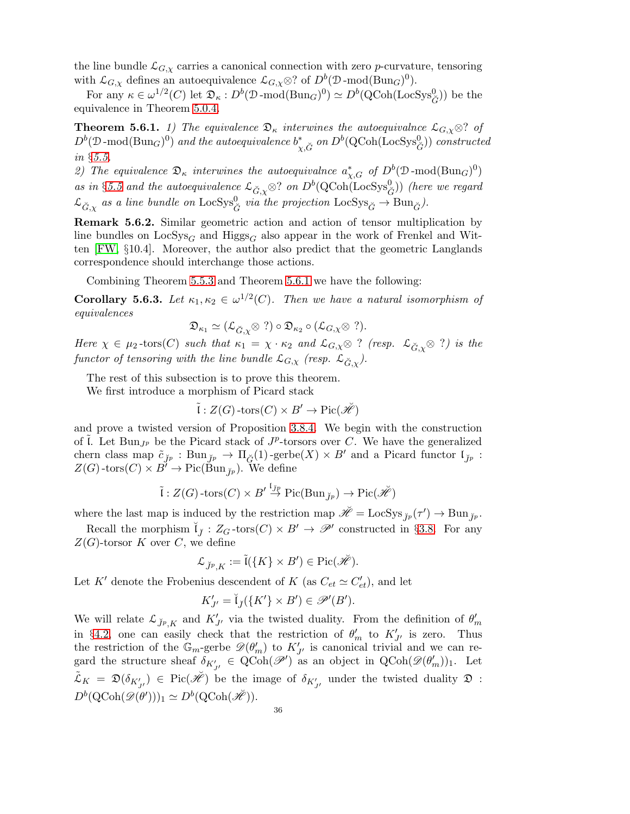the line bundle  $\mathcal{L}_{G,\chi}$  carries a canonical connection with zero p-curvature, tensoring with  $\mathcal{L}_{G,\chi}$  defines an autoequivalence  $\mathcal{L}_{G,\chi}\otimes$ ? of  $D^b(\mathcal{D}\text{-mod}(\text{Bun}_G)^0)$ .

For any  $\kappa \in \omega^{1/2}(C)$  let  $\mathfrak{D}_{\kappa}: D^b(\mathfrak{D}\text{-mod}(\text{Bun}_G)^0) \simeq D^b(\text{QCoh}(\text{LocSys}_{\check{G}}^0))$  be the equivalence in Theorem [5.0.4.](#page-30-1)

<span id="page-35-0"></span>**Theorem 5.6.1.** 1) The equivalence  $\mathfrak{D}_{\kappa}$  interwines the autoequivalnce  $\mathcal{L}_{G,\chi}\otimes$ ? of  $D^b(\mathcal{D}\text{-mod}(\text{Bun}_G)^0)$  and the autoequivalence  $b^*_{\chi,\breve{G}}$  on  $D^b(\text{QCoh}(\text{LocSys}^0_G))$  constructed in §[5.5.](#page-33-0)

2) The equivalence  $\mathfrak{D}_{\kappa}$  interwines the autoequivalnce  $a^*_{\chi,G}$  of  $D^b(\mathfrak{D}\text{-mod}(\text{Bun}_G)^0)$ as in §[5.5](#page-33-0) and the autoequivalence  $\mathcal{L}_{\breve{G},\chi} \otimes ?$  on  $D^b(\text{QCoh}(\text{LocSys}^0_{\breve{G}}))$  (here we regard  $\mathcal{L}_{\breve{G},\chi}$  as a line bundle on  $\text{LocSys}^0_{\breve{G}}$  via the projection  $\text{LocSys}_{\breve{G}} \to \text{Bun}_{\breve{G}}$ ).

Remark 5.6.2. Similar geometric action and action of tensor multiplication by line bundles on  $LocSys_G$  and  $Higgs_G$  also appear in the work of Frenkel and Witten [\[FW,](#page-48-8) §10.4]. Moreover, the author also predict that the geometric Langlands correspondence should interchange those actions.

Combining Theorem [5.5.3](#page-34-1) and Theorem [5.6.1](#page-35-0) we have the following:

**Corollary 5.6.3.** Let  $\kappa_1, \kappa_2 \in \omega^{1/2}(C)$ . Then we have a natural isomorphism of equivalences

$$
\mathfrak{D}_{\kappa_1} \simeq (\mathcal{L}_{\breve{G}, \chi} \otimes ?) \circ \mathfrak{D}_{\kappa_2} \circ (\mathcal{L}_{G, \chi} \otimes ?).
$$

Here  $\chi \in \mu_2$ -tors(C) such that  $\kappa_1 = \chi \cdot \kappa_2$  and  $\mathcal{L}_{G,\chi} \otimes ?$  (resp.  $\mathcal{L}_{\check{G},\chi} \otimes ?$ ) is the functor of tensoring with the line bundle  $\mathcal{L}_{G,\chi}$  (resp.  $\mathcal{L}_{\check{G},\chi}$ ).

The rest of this subsection is to prove this theorem.

We first introduce a morphism of Picard stack

$$
\tilde{\iota}: Z(G)\text{-tors}(C)\times B'\to \mathrm{Pic}(\mathscr{H})
$$

and prove a twisted version of Proposition [3.8.4.](#page-22-2) We begin with the construction of  $\tilde{l}$ . Let Bun<sub>J</sub><sup>p</sup> be the Picard stack of  $J^p$ -torsors over C. We have the generalized chern class map  $\tilde{c}_{\check{J}^p}$ : Bun $_{\check{J}^p} \to \Pi_{\check{G}}(1)$ -gerbe $(X) \times B'$  and a Picard functor  $\mathfrak{l}_{\check{J}^p}$ :  $Z(G)$ -tors $(C) \times B^7 \to Pic(\text{Bun}_{r_p})$ . We define

$$
\tilde{\iota}: Z(G)\text{-tors}(C) \times B' \overset{\mathfrak{l}_{\mathit{jp}}}{\rightarrow} Pic(Bun_{\mathit{jp}}) \rightarrow Pic(\mathcal{H})
$$

where the last map is induced by the restriction map  $\breve{\mathscr{H}} = \text{LocSys}_{\breve{J}^p}(\tau') \to \text{Bun}_{\breve{J}^p}$ .

Recall the morphism  $\check{\mathfrak{l}}_j : Z_G\text{-tors}(C) \times B' \to \mathscr{P}'$  constructed in §[3.8.](#page-21-0) For any  $Z(G)$ -torsor K over C, we define

$$
\mathcal{L}_{\breve{J}^p,K}:=\widetilde{\mathfrak{l}}(\{K\}\times B')\in \mathrm{Pic}(\breve{\mathscr{H}}).
$$

Let K' denote the Frobenius descendent of K (as  $C_{et} \simeq C'_{et}$ ), and let

$$
K'_{J'} = \check{\mathfrak{l}}_{\check{J}}(\lbrace K' \rbrace \times B') \in \mathscr{P}'(B').
$$

We will relate  $\mathcal{L}_{\check{J}^p,K}$  and  $K'_{J'}$  via the twisted duality. From the definition of  $\theta'_m$ in §[4.2,](#page-24-3) one can easily check that the restriction of  $\theta'_{m}$  to  $K'_{J'}$  is zero. Thus the restriction of the  $\mathbb{G}_m$ -gerbe  $\mathscr{D}(\theta'_m)$  to  $K'_{J'}$  is canonical trivial and we can regard the structure sheaf  $\delta_{K'_{J'}} \in \text{QCoh}(\mathscr{P}')$  as an object in  $\text{QCoh}(\mathscr{D}(\theta'_m))_1$ . Let  $\tilde{\mathcal{L}}_K = \mathfrak{D}(\delta_{K'_{J'}}) \in \text{Pic}(\check{\mathscr{H}})$  be the image of  $\delta_{K'_{J'}}$  under the twisted duality  $\mathfrak{D}$ :  $D^b(\text{QCoh}(\mathscr{D}(\theta')))_1 \simeq D^b(\text{QCoh}(\check{\mathscr{H}})).$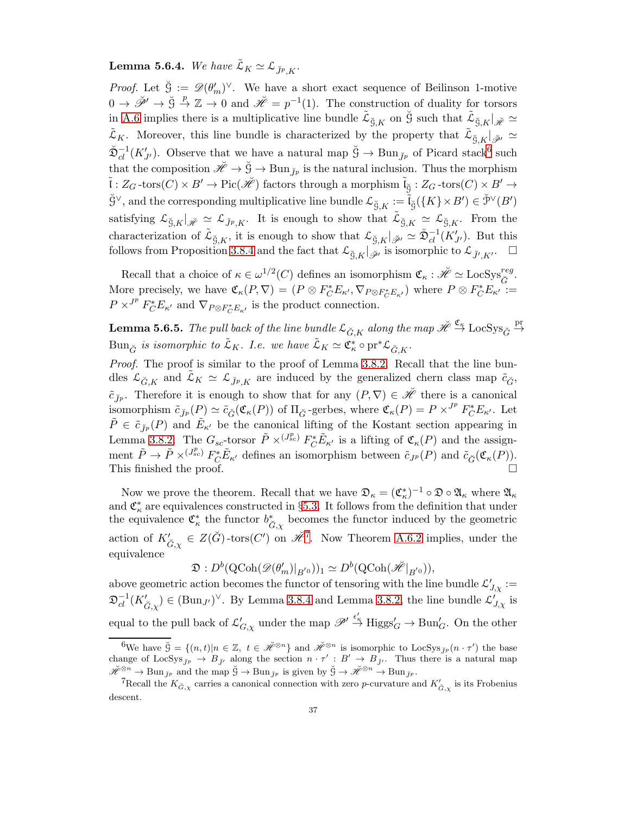# <span id="page-36-2"></span>**Lemma 5.6.4.** We have  $\tilde{\mathcal{L}}_K \simeq \mathcal{L}_{\check{\mathcal{V}}_p}$ .

*Proof.* Let  $\check{g} := \mathscr{D}(\theta'_m)^{\vee}$ . We have a short exact sequence of Beilinson 1-motive  $0 \to \check{\mathscr{P}}' \to \check{\mathcal{G}} \stackrel{p}{\to} \mathbb{Z} \to 0$  and  $\check{\mathscr{H}} = p^{-1}(1)$ . The construction of duality for torsors in [A.6](#page-41-1) implies there is a multiplicative line bundle  $\tilde{\mathcal{L}}_{\breve{S},K}$  on  $\breve{S}$  such that  $\tilde{\mathcal{L}}_{\breve{S},K}|_{\breve{\mathscr{H}}} \simeq$  $\tilde{\mathcal{L}}_K$ . Moreover, this line bundle is characterized by the property that  $\tilde{\mathcal{L}}_{\breve{S},K}|_{\breve{\mathscr{P}}'} \simeq$  $\breve{\mathfrak{D}}_{cl}^{-1}(K'_{J'})$ . Observe that we have a natural map  $\breve{S} \to \text{Bun}_{\breve{J}p}$  of Picard stack<sup>[6](#page-36-0)</sup> such that the composition  $\check{\mathscr{H}} \to \check{G} \to \text{Bun}_{\check{\mathscr{J}}p}$  is the natural inclusion. Thus the morphism  $\tilde{\mathfrak{l}}:Z_G\operatorname{-tors}(C)\times B'\to \operatorname{Pic}(\check{\mathscr{H}})$  factors through a morphism  $\tilde{\mathfrak{l}}_{\check{\mathfrak{G}}}:Z_G\operatorname{-tors}(C)\times B'\to B'$  $\check{\mathrm{G}}^\vee$ , and the corresponding multiplicative line bundle  $\mathcal{L}_{\breve{\mathrm{G}},K} := \tilde{\mathfrak{l}}_{\breve{\mathrm{G}}}( \{K\} \times B') \in \breve{\mathcal{P}}^\vee(B')$ satisfying  $\mathcal{L}_{\breve{S},K}|_{\breve{\mathscr{H}}} \simeq \mathcal{L}_{\breve{J}^p,K}$ . It is enough to show that  $\tilde{\mathcal{L}}_{\breve{S},K} \simeq \mathcal{L}_{\breve{S},K}$ . From the characterization of  $\tilde{\mathcal{L}}_{\breve{S},K}$ , it is enough to show that  $\mathcal{L}_{\breve{S},K}|_{\breve{\mathscr{P}}'} \simeq \breve{\mathfrak{D}}_{cl}^{-1}(K'_{J'})$ . But this follows from Proposition [3.8.4](#page-22-2) and the fact that  $\mathcal{L}_{\breve{S},K}|_{\breve{\mathscr{B}}'}$  is isomorphic to  $\mathcal{L}_{\breve{J}',K'}$ .

Recall that a choice of  $\kappa \in \omega^{1/2}(C)$  defines an isomorphism  $\mathfrak{C}_{\kappa} : \check{\mathscr{H}} \simeq \text{LocSys}_{\check{G}}^{reg}$ . More precisely, we have  $\mathfrak{C}_{\kappa}(P,\nabla)=(P\otimes F_C^*E_{\kappa'},\nabla_{P\otimes F_C^*E_{\kappa'}})$  where  $P\otimes F_C^*E_{\kappa'}:=$  $P \times^{J^p} F_C^* E_{\kappa'}$  and  $\nabla_{P \otimes F_C^* E_{\kappa'}}$  is the product connection.

<span id="page-36-3"></span>**Lemma 5.6.5.** The pull back of the line bundle  $\mathcal{L}_{\breve{G},K}$  along the map  $\breve{\mathscr{H}} \stackrel{\mathfrak{C}_\kappa}{\to} \text{LocSys}_{\breve{G}} \stackrel{\text{pr}}{\to}$  $\operatorname{Bun}_{\breve{G}}$  is isomorphic to  $\tilde{\mathcal{L}}_K$ . I.e. we have  $\tilde{\mathcal{L}}_K \simeq \mathfrak{C}_\kappa^* \circ \operatorname{pr}^* \mathcal{L}_{\breve{G},K}$ .

Proof. The proof is similar to the proof of Lemma [3.8.2.](#page-22-3) Recall that the line bundles  $\mathcal{L}_{\check{G},K}$  and  $\mathcal{L}_{K} \simeq \mathcal{L}_{\check{J}^p,K}$  are induced by the generalized chern class map  $\tilde{c}_{\check{G}}$ ,  $\tilde{c}_{j_p}$ . Therefore it is enough to show that for any  $(P, \nabla) \in \mathscr{H}$  there is a canonical isomorphism  $\tilde{c}_{jp}(P) \simeq \tilde{c}_{\tilde{G}}(\mathfrak{C}_{\kappa}(P))$  of  $\Pi_{\tilde{G}}$ -gerbes, where  $\mathfrak{C}_{\kappa}(P) = P \times^{J^p} F_C^* E_{\kappa'}$ . Let  $\tilde{P} \in \tilde{c}_{j_p}(P)$  and  $\tilde{E}_{\kappa'}$  be the canonical lifting of the Kostant section appearing in Lemma [3.8.2.](#page-22-3) The  $G_{sc}$ -torsor  $\tilde{P} \times^{(J_{sc}^p)} F_C^* \tilde{E}_{\kappa'}$  is a lifting of  $\mathfrak{C}_{\kappa}(P)$  and the assignment  $\tilde{P} \to \tilde{P} \times^{(J_{sc}^p)} F_{\tilde{C}}^* \tilde{E}_{\kappa'}$  defines an isomorphism between  $\tilde{c}_{J^p}(P)$  and  $\tilde{c}_{\tilde{G}}(\mathfrak{C}_{\kappa}(P)).$ This finished the proof.

Now we prove the theorem. Recall that we have  $\mathfrak{D}_\kappa = (\mathfrak{C}_\kappa^*)^{-1} \circ \mathfrak{D} \circ \mathfrak{A}_\kappa$  where  $\mathfrak{A}_\kappa$ and  $\mathfrak{C}_{\kappa}^*$  are equivalences constructed in §[5.3.](#page-32-0) It follows from the definition that under the equivalence  $\mathfrak{C}^*_{\kappa}$  the functor  $b^*_{\check{G},\chi}$  becomes the functor induced by the geometric action of  $K'_{\check{G},\chi} \in Z(\check{G})$ -tors $(C')$  on  $\check{\mathscr{H}}^7$  $\check{\mathscr{H}}^7$ . Now Theorem [A.6.2](#page-42-1) implies, under the equivalence

$$
\mathfrak{D}: D^b(\text{QCoh}(\mathscr{D}(\theta'_m)|_{B'^0}))_1 \simeq D^b(\text{QCoh}(\breve{\mathscr{H}}|_{B'^0})),
$$

above geometric action becomes the functor of tensoring with the line bundle  $\mathcal{L}'_{J,\chi}:=$  $\mathfrak{D}_{cl}^{-1}(K'_{\check{G},\chi}) \in (\text{Bun}_{J'})^{\vee}$ . By Lemma [3.8.4](#page-22-2) and Lemma [3.8.2,](#page-22-3) the line bundle  $\mathcal{L}'_{J,\chi}$  is equal to the pull back of  $\mathcal{L}'_{G,\chi}$  under the map  $\mathscr{P}' \stackrel{\epsilon'_\kappa}{\to} \text{Higgs}'_G \to \text{Bun}'_G$ . On the other

<span id="page-36-0"></span><sup>&</sup>lt;sup>6</sup>We have  $\check{G} = \{(n, t) | n \in \mathbb{Z}, t \in \check{\mathcal{H}}^{\otimes n}\}\$  and  $\check{\mathcal{H}}^{\otimes n}$  is isomorphic to LocSys<sub>Jp</sub> $(n \cdot \tau')$  the base change of LocSys<sub>J'p</sub>  $\rightarrow$  B<sub>J'</sub>' along the section  $n \cdot \tau' : B' \rightarrow B_{J'}$ . Thus there is a natural map  $\check{\mathscr{H}}^{\otimes n} \to \text{Bun}_{\check{J}p}$  and the map  $\check{\mathcal{G}} \to \text{Bun}_{\check{J}p}$  is given by  $\check{\mathcal{G}} \to \check{\mathscr{H}}^{\otimes n} \to \text{Bun}_{\check{J}p}$ .

<span id="page-36-1"></span><sup>&</sup>lt;sup>7</sup>Recall the  $K_{\check{G},\chi}$  carries a canonical connection with zero *p*-curvature and  $K'_{\check{G},\chi}$  is its Frobenius descent.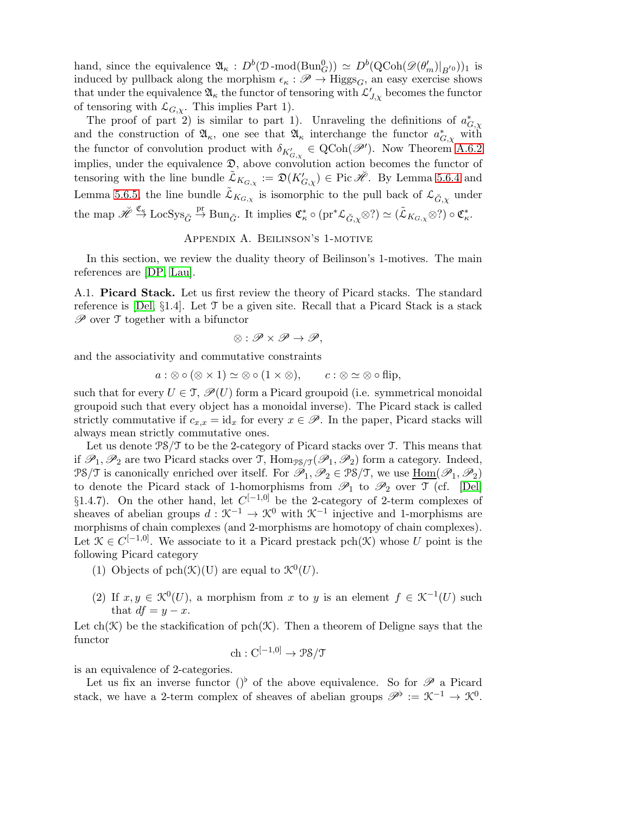hand, since the equivalence  $\mathfrak{A}_{\kappa}: D^b(\mathcal{D}\text{-mod}(\text{Bun}_G^0)) \simeq D^b(\text{QCoh}(\mathscr{D}( \theta'_m)|_{B^{'0}}))_1$  is induced by pullback along the morphism  $\epsilon_{\kappa} : \mathscr{P} \to \text{Higgs}_G$ , an easy exercise shows that under the equivalence  $\mathfrak{A}_{\kappa}$  the functor of tensoring with  $\mathcal{L}'_{J,\chi}$  becomes the functor of tensoring with  $\mathcal{L}_{G,\chi}$ . This implies Part 1).

The proof of part 2) is similar to part 1). Unraveling the definitions of  $a_{G,\chi}^*$ and the construction of  $\mathfrak{A}_{\kappa}$ , one see that  $\mathfrak{A}_{\kappa}$  interchange the functor  $a_{G,\chi}^*$  with the functor of convolution product with  $\delta_{K'_{G,\chi}} \in \text{QCoh}(\mathscr{P}')$ . Now Theorem [A.6.2](#page-42-1) implies, under the equivalence  $\mathfrak{D}$ , above convolution action becomes the functor of tensoring with the line bundle  $\tilde{\mathcal{L}}_{K_{G,\chi}} := \mathfrak{D}(K'_{G,\chi}) \in \text{Pic } \breve{\mathscr{H}}$ . By Lemma [5.6.4](#page-36-2) and Lemma [5.6.5,](#page-36-3) the line bundle  $\tilde{\mathcal{L}}_{K_{G,\chi}}$  is isomorphic to the pull back of  $\mathcal{L}_{\check{G},\chi}$  under the map  $\check{\mathscr{H}} \stackrel{\mathfrak{C}_{\kappa}}{\to} \mathrm{Loc} {\mathrm{Sys}}_{\check{G}} \stackrel{\mathrm{pr}}{\to} \mathrm{Bun}_{\check{G}}.$  It implies  $\mathfrak{C}_{\kappa}^* \circ (\mathrm{pr}^* \mathcal{L}_{\check{G}, \chi} \otimes ?) \simeq (\tilde{\mathcal{L}}_{K_{G, \chi}} \otimes ?) \circ \mathfrak{C}_{\kappa}^*.$ 

## Appendix A. Beilinson's 1-motive

<span id="page-37-0"></span>In this section, we review the duality theory of Beilinson's 1-motives. The main references are [\[DP,](#page-48-3) [Lau\]](#page-48-16).

<span id="page-37-1"></span>A.1. Picard Stack. Let us first review the theory of Picard stacks. The standard reference is [\[Del,](#page-48-17)  $\S1.4$ ]. Let T be a given site. Recall that a Picard Stack is a stack  $\mathscr P$  over  $\mathfrak T$  together with a bifunctor

$$
\otimes: \mathscr{P} \times \mathscr{P} \to \mathscr{P},
$$

and the associativity and commutative constraints

$$
a:\otimes \circ (\otimes \times 1) \simeq \otimes \circ (1 \times \otimes), \qquad c:\otimes \simeq \otimes \circ \text{flip},
$$

such that for every  $U \in \mathcal{T}$ ,  $\mathscr{P}(U)$  form a Picard groupoid (i.e. symmetrical monoidal groupoid such that every object has a monoidal inverse). The Picard stack is called strictly commutative if  $c_{x,x} = id_x$  for every  $x \in \mathscr{P}$ . In the paper, Picard stacks will always mean strictly commutative ones.

Let us denote  $\frac{PS}{T}$  to be the 2-category of Picard stacks over  $T$ . This means that if  $\mathscr{P}_1,\mathscr{P}_2$  are two Picard stacks over T,  $\text{Hom}_{\mathcal{PS}/\mathcal{T}}(\mathscr{P}_1,\mathscr{P}_2)$  form a category. Indeed,  $\mathcal{PS}/\mathcal{T}$  is canonically enriched over itself. For  $\mathscr{P}_1, \mathscr{P}_2 \in \mathcal{PS}/\mathcal{T}$ , we use  $\underline{\text{Hom}}(\mathscr{P}_1, \mathscr{P}_2)$ to denote the Picard stack of 1-homorphisms from  $\mathscr{P}_1$  to  $\mathscr{P}_2$  over  $\mathfrak{T}$  (cf. [\[Del\]](#page-48-17) §1.4.7). On the other hand, let  $C^{[-1,0]}$  be the 2-category of 2-term complexes of sheaves of abelian groups  $d: \mathcal{K}^{-1} \to \mathcal{K}^0$  with  $\mathcal{K}^{-1}$  injective and 1-morphisms are morphisms of chain complexes (and 2-morphisms are homotopy of chain complexes). Let  $\mathcal{K} \in C^{[-1,0]}$ . We associate to it a Picard prestack pch( $\mathcal{K}$ ) whose U point is the following Picard category

- (1) Objects of pch $(\mathcal{K})(U)$  are equal to  $\mathcal{K}^0(U)$ .
- (2) If  $x, y \in \mathcal{K}^0(U)$ , a morphism from x to y is an element  $f \in \mathcal{K}^{-1}(U)$  such that  $df = y - x$ .

Let ch(K) be the stackification of pch(K). Then a theorem of Deligne says that the functor

$$
ch: C^{[-1,0]} \to \mathcal{PS}/\mathcal{T}
$$

is an equivalence of 2-categories.

Let us fix an inverse functor ()<sup>b</sup> of the above equivalence. So for  $\mathscr P$  a Picard stack, we have a 2-term complex of sheaves of abelian groups  $\mathscr{P}^{\flat} := \mathcal{K}^{-1} \to \mathcal{K}^{0}$ .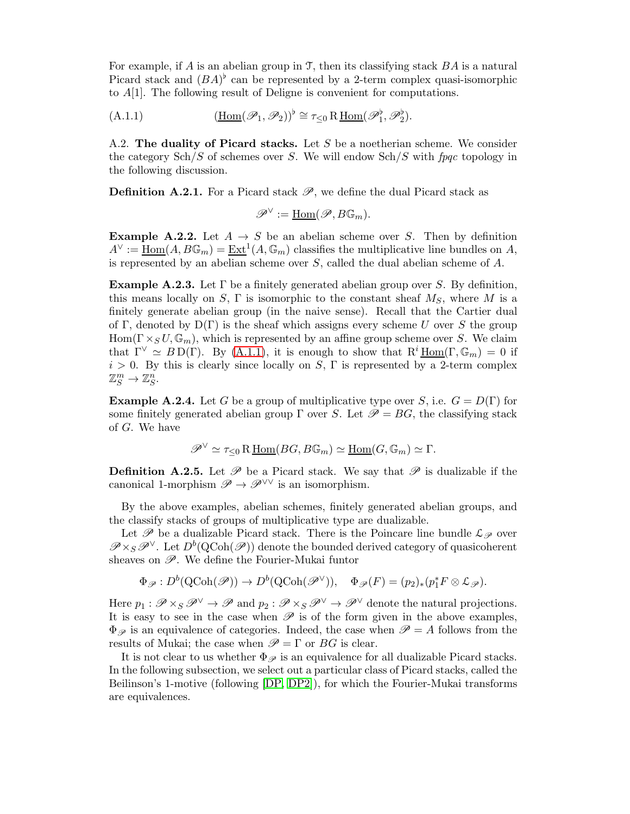For example, if A is an abelian group in T, then its classifying stack  $BA$  is a natural Picard stack and  $(BA)^{\flat}$  can be represented by a 2-term complex quasi-isomorphic to A[1]. The following result of Deligne is convenient for computations.

<span id="page-38-1"></span>(A.1.1) 
$$
(\underline{\text{Hom}}(\mathscr{P}_1, \mathscr{P}_2))^{\flat} \cong \tau_{\leq 0} R \underline{\text{Hom}}(\mathscr{P}_1^{\flat}, \mathscr{P}_2^{\flat}).
$$

<span id="page-38-0"></span>A.2. The duality of Picard stacks. Let S be a noetherian scheme. We consider the category  $\text{Sch}/S$  of schemes over S. We will endow  $\text{Sch}/S$  with fpqc topology in the following discussion.

**Definition A.2.1.** For a Picard stack  $\mathscr{P}$ , we define the dual Picard stack as

 $\mathscr{P}^{\vee} := \underline{\mathrm{Hom}}(\mathscr{P}, B\mathbb{G}_m).$ 

**Example A.2.2.** Let  $A \rightarrow S$  be an abelian scheme over S. Then by definition  $A^{\vee} := \underline{\text{Hom}}(A, B\mathbb{G}_m) = \underline{\text{Ext}}^1(A, \mathbb{G}_m)$  classifies the multiplicative line bundles on A, is represented by an abelian scheme over  $S$ , called the dual abelian scheme of  $A$ .

<span id="page-38-3"></span>**Example A.2.3.** Let  $\Gamma$  be a finitely generated abelian group over S. By definition, this means locally on S,  $\Gamma$  is isomorphic to the constant sheaf  $M_S$ , where M is a finitely generate abelian group (in the naive sense). Recall that the Cartier dual of Γ, denoted by  $D(\Gamma)$  is the sheaf which assigns every scheme U over S the group  $Hom(\Gamma \times_S U, \mathbb{G}_m)$ , which is represented by an affine group scheme over S. We claim that  $\Gamma^{\vee} \simeq BD(\Gamma)$ . By [\(A.1.1\)](#page-38-1), it is enough to show that  $R^i \underline{Hom}(\Gamma, \mathbb{G}_m) = 0$  if  $i > 0$ . By this is clearly since locally on S,  $\Gamma$  is represented by a 2-term complex  $\mathbb{Z}_S^m \to \mathbb{Z}_S^n$ .

<span id="page-38-2"></span>**Example A.2.4.** Let G be a group of multiplicative type over S, i.e.  $G = D(\Gamma)$  for some finitely generated abelian group Γ over S. Let  $\mathscr{P} = BG$ , the classifying stack of G. We have

$$
\mathscr{P}^{\vee} \simeq \tau_{\leq 0} \operatorname{R\underline{Hom}}(BG, B\mathbb{G}_m) \simeq \underline{\operatorname{Hom}}(G, \mathbb{G}_m) \simeq \Gamma.
$$

**Definition A.2.5.** Let  $\mathscr P$  be a Picard stack. We say that  $\mathscr P$  is dualizable if the canonical 1-morphism  $\mathscr{P} \to \mathscr{P}^{\vee\vee}$  is an isomorphism.

By the above examples, abelian schemes, finitely generated abelian groups, and the classify stacks of groups of multiplicative type are dualizable.

Let  $\mathscr P$  be a dualizable Picard stack. There is the Poincare line bundle  $\mathcal L_{\mathscr P}$  over  $\mathscr{P} \times_S \mathscr{P}^{\vee}$ . Let  $D^b(QCoh(\mathscr{P}))$  denote the bounded derived category of quasicoherent sheaves on  $\mathscr{P}$ . We define the Fourier-Mukai funtor

$$
\Phi_{\mathscr{P}}: D^b(\text{QCoh}(\mathscr{P})) \to D^b(\text{QCoh}(\mathscr{P}^\vee)), \quad \Phi_{\mathscr{P}}(F) = (p_2)_*(p_1^* F \otimes \mathcal{L}_{\mathscr{P}}).
$$

Here  $p_1 : \mathscr{P} \times_S \mathscr{P}^{\vee} \to \mathscr{P}$  and  $p_2 : \mathscr{P} \times_S \mathscr{P}^{\vee} \to \mathscr{P}^{\vee}$  denote the natural projections. It is easy to see in the case when  $\mathscr P$  is of the form given in the above examples,  $\Phi_{\mathscr{P}}$  is an equivalence of categories. Indeed, the case when  $\mathscr{P} = A$  follows from the results of Mukai; the case when  $\mathscr{P} = \Gamma$  or BG is clear.

It is not clear to us whether  $\Phi_{\mathscr{P}}$  is an equivalence for all dualizable Picard stacks. In the following subsection, we select out a particular class of Picard stacks, called the Beilinson's 1-motive (following [\[DP,](#page-48-3) [DP2\]](#page-48-18)), for which the Fourier-Mukai transforms are equivalences.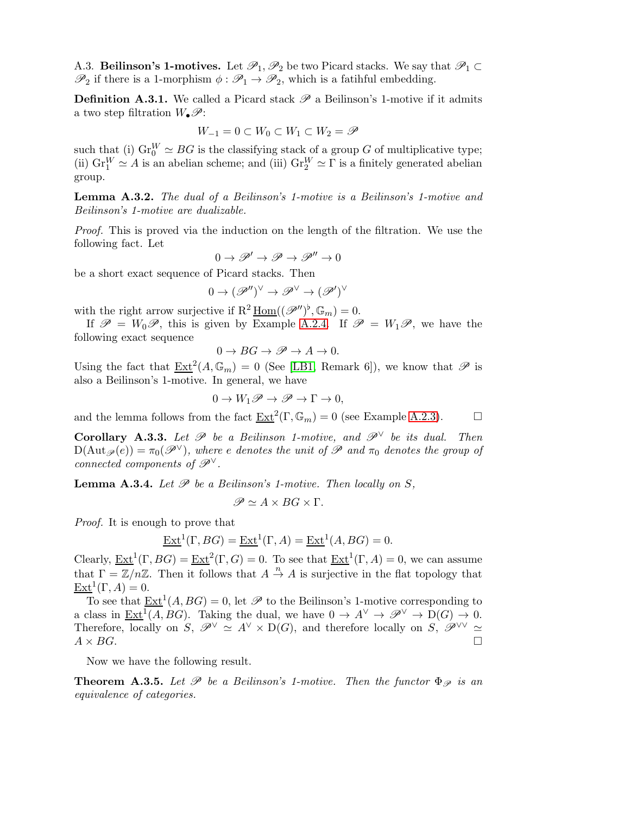A.3. Beilinson's 1-motives. Let  $\mathscr{P}_1, \mathscr{P}_2$  be two Picard stacks. We say that  $\mathscr{P}_1 \subset$  $\mathscr{P}_2$  if there is a 1-morphism  $\phi : \mathscr{P}_1 \to \mathscr{P}_2$ , which is a fatihful embedding.

**Definition A.3.1.** We called a Picard stack  $\mathscr P$  a Beilinson's 1-motive if it admits a two step filtration  $W_{\bullet}\mathscr{P}$ :

$$
W_{-1} = 0 \subset W_0 \subset W_1 \subset W_2 = \mathscr{P}
$$

such that (i)  $\text{Gr}_{0}^{W} \simeq BG$  is the classifying stack of a group G of multiplicative type; (ii)  $\text{Gr}_{1}^{W} \simeq A$  is an abelian scheme; and (iii)  $\text{Gr}_{2}^{W} \simeq \Gamma$  is a finitely generated abelian group.

Lemma A.3.2. The dual of a Beilinson's 1-motive is a Beilinson's 1-motive and Beilinson's 1-motive are dualizable.

Proof. This is proved via the induction on the length of the filtration. We use the following fact. Let

$$
0\to \mathscr{P}'\to \mathscr{P}\to \mathscr{P}''\to 0
$$

be a short exact sequence of Picard stacks. Then

$$
0 \to (\mathscr{P}'')^\vee \to \mathscr{P}^\vee \to (\mathscr{P}')^\vee
$$

with the right arrow surjective if  $R^2 \underline{\text{Hom}}((\mathscr{P}'')^{\flat}, \mathbb{G}_m) = 0$ .

If  $\mathscr{P} = W_0 \mathscr{P}$ , this is given by Example [A.2.4.](#page-38-2) If  $\mathscr{P} = W_1 \mathscr{P}$ , we have the following exact sequence

$$
0 \to BG \to \mathscr{P} \to A \to 0.
$$

Using the fact that  $\underline{\text{Ext}}^2(A,\mathbb{G}_m) = 0$  (See [\[LB1,](#page-48-19) Remark 6]), we know that  $\mathscr P$  is also a Beilinson's 1-motive. In general, we have

$$
0 \to W_1 \mathscr{P} \to \mathscr{P} \to \Gamma \to 0,
$$

and the lemma follows from the fact  $\underline{\text{Ext}}^2(\Gamma,\mathbb{G}_m) = 0$  (see Example [A.2.3\)](#page-38-3).

<span id="page-39-0"></span>Corollary A.3.3. Let  $\mathscr P$  be a Beilinson 1-motive, and  $\mathscr P^{\vee}$  be its dual. Then  $D(\text{Aut}_{\mathscr{P}}(e)) = \pi_0(\mathscr{P}^{\vee})$ , where e denotes the unit of P and  $\pi_0$  denotes the group of connected components of  $\mathscr{P}^{\vee}$ .

<span id="page-39-1"></span>**Lemma A.3.4.** Let  $\mathcal P$  be a Beilinson's 1-motive. Then locally on S,

$$
\mathscr{P}\simeq A\times BG\times \Gamma.
$$

Proof. It is enough to prove that

$$
\underline{\operatorname{Ext}}^1(\Gamma, BG) = \underline{\operatorname{Ext}}^1(\Gamma, A) = \underline{\operatorname{Ext}}^1(A, BG) = 0.
$$

Clearly,  $\underline{\operatorname{Ext}}^1(\Gamma, BG) = \underline{\operatorname{Ext}}^2(\Gamma, G) = 0$ . To see that  $\underline{\operatorname{Ext}}^1(\Gamma, A) = 0$ , we can assume that  $\Gamma = \mathbb{Z}/n\mathbb{Z}$ . Then it follows that  $A \stackrel{n}{\to} A$  is surjective in the flat topology that  $\underline{\operatorname{Ext}}^1(\Gamma,A)=0.$ 

To see that  $\underline{\operatorname{Ext}}^1(A, BG) = 0$ , let  $\mathscr P$  to the Beilinson's 1-motive corresponding to a class in  $\underline{\text{Ext}}^1(A, BG)$ . Taking the dual, we have  $0 \to A^{\vee} \to \mathcal{P}^{\vee} \to D(G) \to 0$ . Therefore, locally on S,  $\mathscr{P}^{\vee} \cong A^{\vee} \times D(G)$ , and therefore locally on S,  $\mathscr{P}^{\vee} \cong$  $A \times BG$ .

Now we have the following result.

**Theorem A.3.5.** Let  $\mathcal{P}$  be a Beilinson's 1-motive. Then the functor  $\Phi_{\mathcal{P}}$  is an equivalence of categories.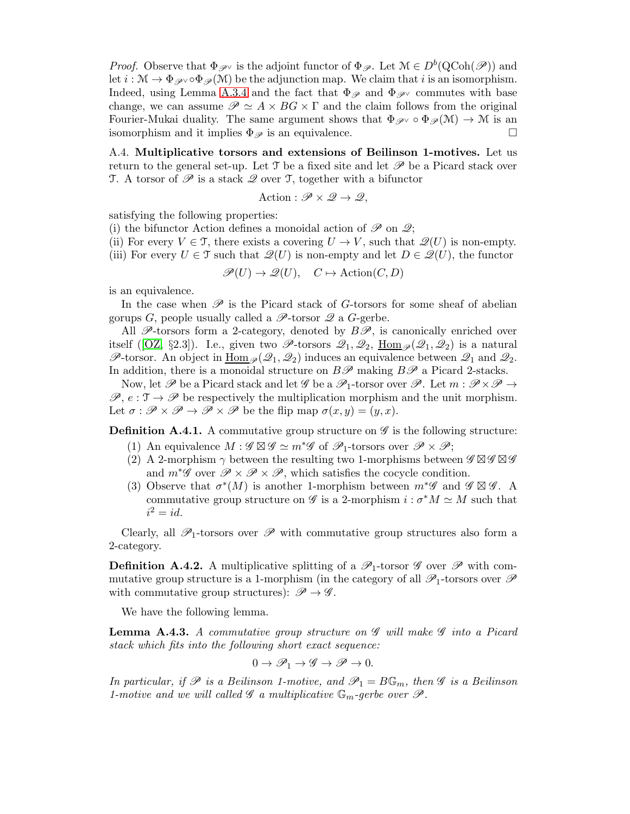*Proof.* Observe that  $\Phi_{\mathscr{P}}$  is the adjoint functor of  $\Phi_{\mathscr{P}}$ . Let  $\mathcal{M} \in D^b(QCoh(\mathscr{P}))$  and let  $i : \mathcal{M} \to \Phi_{\mathscr{P}} \circ \Phi_{\mathscr{P}}(\mathcal{M})$  be the adjunction map. We claim that i is an isomorphism. Indeed, using Lemma [A.3.4](#page-39-1) and the fact that  $\Phi_{\mathscr{P}}$  and  $\Phi_{\mathscr{P}}$  commutes with base change, we can assume  $\mathscr{P} \simeq A \times BG \times \Gamma$  and the claim follows from the original Fourier-Mukai duality. The same argument shows that  $\Phi_{\mathscr{P}} \circ \Phi_{\mathscr{P}}(\mathcal{M}) \to \mathcal{M}$  is an isomorphism and it implies  $\Phi_{\mathscr{P}}$  is an equivalence.

<span id="page-40-0"></span>A.4. Multiplicative torsors and extensions of Beilinson 1-motives. Let us return to the general set-up. Let  $\mathcal T$  be a fixed site and let  $\mathcal P$  be a Picard stack over T. A torsor of  $\mathscr P$  is a stack  $\mathscr Q$  over T, together with a bifunctor

Action : 
$$
\mathscr{P} \times \mathscr{Q} \rightarrow \mathscr{Q}
$$
,

satisfying the following properties:

(i) the bifunctor Action defines a monoidal action of  $\mathscr P$  on  $\mathscr Q$ ;

- (ii) For every  $V \in \mathcal{T}$ , there exists a covering  $U \to V$ , such that  $\mathscr{Q}(U)$  is non-empty.
- (iii) For every  $U \in \mathcal{T}$  such that  $\mathscr{Q}(U)$  is non-empty and let  $D \in \mathscr{Q}(U)$ , the functor

 $\mathscr{P}(U) \to \mathscr{Q}(U)$ ,  $C \mapsto \text{Action}(C, D)$ 

is an equivalence.

In the case when  $\mathscr P$  is the Picard stack of G-torsors for some sheaf of abelian gorups G, people usually called a  $\mathscr{P}\text{-torsor }\mathscr{Q}$  a G-gerbe.

All  $\mathscr{P}$ -torsors form a 2-category, denoted by  $B\mathscr{P}$ , is canonically enriched over itself([\[OZ,](#page-49-4) §2.3]). I.e., given two  $\mathscr{P}\text{-torsors }\mathscr{Q}_1,\mathscr{Q}_2$ ,  $\underline{\text{Hom}}_{\mathscr{P}}(\mathscr{Q}_1,\mathscr{Q}_2)$  is a natural  $\mathscr{P}$ -torsor. An object in  $\underline{\text{Hom}}_{\mathscr{P}}(\mathscr{Q}_1, \mathscr{Q}_2)$  induces an equivalence between  $\mathscr{Q}_1$  and  $\mathscr{Q}_2$ . In addition, there is a monoidal structure on  $B\mathscr{P}$  making  $B\mathscr{P}$  a Picard 2-stacks.

Now, let  $\mathscr P$  be a Picard stack and let  $\mathscr G$  be a  $\mathscr P_1$ -torsor over  $\mathscr P$ . Let  $m: \mathscr P \times \mathscr P \to$  $\mathscr{P}, e: \mathcal{T} \to \mathscr{P}$  be respectively the multiplication morphism and the unit morphism. Let  $\sigma : \mathscr{P} \times \mathscr{P} \to \mathscr{P} \times \mathscr{P}$  be the flip map  $\sigma(x, y) = (y, x)$ .

<span id="page-40-3"></span>**Definition A.4.1.** A commutative group structure on  $\mathscr G$  is the following structure:

- (1) An equivalence  $M : \mathscr{G} \boxtimes \mathscr{G} \simeq m^*\mathscr{G}$  of  $\mathscr{P}_1$ -torsors over  $\mathscr{P} \times \mathscr{P}$ ;
- (2) A 2-morphism  $\gamma$  between the resulting two 1-morphisms between  $\mathscr{G} \boxtimes \mathscr{G}$ and  $m^*\mathscr{G}$  over  $\mathscr{P} \times \mathscr{P} \times \mathscr{P}$ , which satisfies the cocycle condition.
- (3) Observe that  $\sigma^*(M)$  is another 1-morphism between  $m^*\mathscr{G}$  and  $\mathscr{G} \boxtimes \mathscr{G}$ . A commutative group structure on  $\mathscr G$  is a 2-morphism  $i : \sigma^* M \simeq M$  such that  $i^2 = id$ .

Clearly, all  $\mathscr{P}_1$ -torsors over  $\mathscr{P}$  with commutative group structures also form a 2-category.

<span id="page-40-2"></span>**Definition A.4.2.** A multiplicative splitting of a  $\mathscr{P}_1$ -torsor  $\mathscr{G}$  over  $\mathscr{P}$  with commutative group structure is a 1-morphism (in the category of all  $\mathscr{P}_1$ -torsors over  $\mathscr{P}$ with commutative group structures):  $\mathscr{P} \to \mathscr{G}$ .

We have the following lemma.

<span id="page-40-1"></span>**Lemma A.4.3.** A commutative group structure on  $\mathscr G$  will make  $\mathscr G$  into a Picard stack which fits into the following short exact sequence:

$$
0\to \mathscr{P}_1\to \mathscr{G}\to \mathscr{P}\to 0.
$$

In particular, if  $\mathscr P$  is a Beilinson 1-motive, and  $\mathscr P_1 = B\mathbb G_m$ , then  $\mathscr G$  is a Beilinson 1-motive and we will called  $\mathscr G$  a multiplicative  $\mathbb G_m$ -gerbe over  $\mathscr P$ .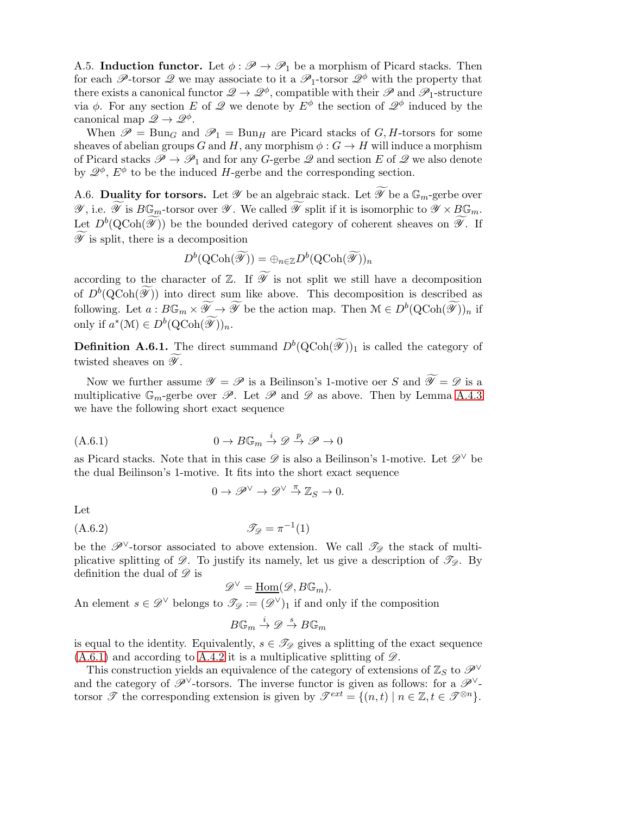<span id="page-41-0"></span>A.5. Induction functor. Let  $\phi : \mathscr{P} \to \mathscr{P}_1$  be a morphism of Picard stacks. Then for each P-torsor Q we may associate to it a  $\mathscr{P}_1$ -torsor  $\mathscr{Q}^{\phi}$  with the property that there exists a canonical functor  $\mathscr{Q} \to \mathscr{Q}^{\phi}$ , compatible with their  $\mathscr{P}$  and  $\mathscr{P}_1$ -structure via  $\phi$ . For any section E of  $\mathscr Q$  we denote by  $E^{\phi}$  the section of  $\mathscr Q^{\phi}$  induced by the canonical map  $\mathscr{Q} \to \mathscr{Q}^{\phi}$ .

When  $\mathscr{P} = \text{Bun}_G$  and  $\mathscr{P}_1 = \text{Bun}_H$  are Picard stacks of G, H-torsors for some sheaves of abelian groups G and H, any morphism  $\phi : G \to H$  will induce a morphism of Picard stacks  $\mathscr{P} \to \mathscr{P}_1$  and for any G-gerbe  $\mathscr{Q}$  and section E of  $\mathscr{Q}$  we also denote by  $\mathscr{Q}^{\phi}$ ,  $E^{\phi}$  to be the induced H-gerbe and the corresponding section.

<span id="page-41-1"></span>A.6. Duality for torsors. Let  $\mathscr Y$  be an algebraic stack. Let  $\widetilde{\mathscr Y}$  be a  $\mathbb{G}_m$ -gerbe over  $\mathscr{Y}$ , i.e.  $\widetilde{\mathscr{Y}}$  is  $B\mathbb{G}_m$ -torsor over  $\mathscr{Y}$ . We called  $\widetilde{\mathscr{Y}}$  split if it is isomorphic to  $\mathscr{Y} \times B\mathbb{G}_m$ . Let  $D^b(Q\text{Coh}(\widetilde{\mathscr{Y}}))$  be the bounded derived category of coherent sheaves on  $\widetilde{\mathscr{Y}}$ . If  $\widetilde{\mathscr{Y}}$  is split, there is a decomposition

$$
D^b(\text{QCoh}(\widetilde{\mathscr{Y}})) = \oplus_{n \in \mathbb{Z}} D^b(\text{QCoh}(\widetilde{\mathscr{Y}}))_n
$$

according to the character of  $\mathbb{Z}$ . If  $\widetilde{\mathscr{Y}}$  is not split we still have a decomposition of  $D^b(Q\text{Coh}(\widetilde{\mathscr{Y}}))$  into direct sum like above. This decomposition is described as following. Let  $a: B\mathbb{G}_m \times \widetilde{\mathscr{Y}} \to \widetilde{\mathscr{Y}}$  be the action map. Then  $\mathcal{M} \in D^b(\mathrm{QCoh}(\widetilde{\mathscr{Y}}))_n$  if only if  $a^*(\mathcal{M}) \in D^b(\mathrm{QCoh}(\widetilde{\mathscr{Y}}))_n$ .

**Definition A.6.1.** The direct summand  $D^b(QCoh(\widetilde{\mathscr{Y}}))_1$  is called the category of twisted sheaves on  $\widetilde{\mathscr{Y}}$ .

Now we further assume  $\mathscr{Y} = \mathscr{P}$  is a Beilinson's 1-motive oer S and  $\widetilde{\mathscr{Y}} = \mathscr{D}$  is a multiplicative  $\mathbb{G}_m$ -gerbe over  $\mathscr{P}$ . Let  $\mathscr{P}$  and  $\mathscr{D}$  as above. Then by Lemma [A.4.3](#page-40-1) we have the following short exact sequence

$$
(A.6.1) \t\t 0 \to B\mathbb{G}_m \stackrel{i}{\to} \mathscr{D} \stackrel{p}{\to} \mathscr{P} \to 0
$$

as Picard stacks. Note that in this case  $\mathscr D$  is also a Beilinson's 1-motive. Let  $\mathscr D^{\vee}$  be the dual Beilinson's 1-motive. It fits into the short exact sequence

<span id="page-41-2"></span>
$$
0 \to \mathscr{P}^{\vee} \to \mathscr{D}^{\vee} \stackrel{\pi}{\to} \mathbb{Z}_S \to 0.
$$

Let

$$
\mathcal{I}_{\mathcal{D}} = \pi^{-1}(1)
$$

be the  $\mathscr{P}^{\vee}$ -torsor associated to above extension. We call  $\mathscr{T}_{\mathscr{D}}$  the stack of multiplicative splitting of  $\mathscr{D}$ . To justify its namely, let us give a description of  $\mathscr{T}_{\mathscr{D}}$ . By definition the dual of  $\mathscr D$  is

$$
\mathscr{D}^{\vee} = \underline{\text{Hom}}(\mathscr{D}, B\mathbb{G}_m).
$$
  
An element  $s \in \mathscr{D}^{\vee}$  belongs to  $\mathscr{T}_{\mathscr{D}} := (\mathscr{D}^{\vee})_1$  if and only if the composition

$$
B\mathbb{G}_m \xrightarrow{i} \mathscr{D} \xrightarrow{s} B\mathbb{G}_m
$$

is equal to the identity. Equivalently,  $s \in \mathcal{T}_{\mathscr{D}}$  gives a splitting of the exact sequence  $(A.6.1)$  and according to [A.4.2](#page-40-2) it is a multiplicative splitting of  $\mathscr{D}$ .

This construction yields an equivalence of the category of extensions of  $\mathbb{Z}_S$  to  $\mathscr{P}^{\vee}$ and the category of  $\mathscr{P}^{\vee}$ -torsors. The inverse functor is given as follows: for a  $\mathscr{P}^{\vee}$ torsor  $\mathscr{T}$  the corresponding extension is given by  $\mathscr{T}^{ext} = \{(n,t) \mid n \in \mathbb{Z}, t \in \mathscr{T}^{\otimes n}\}.$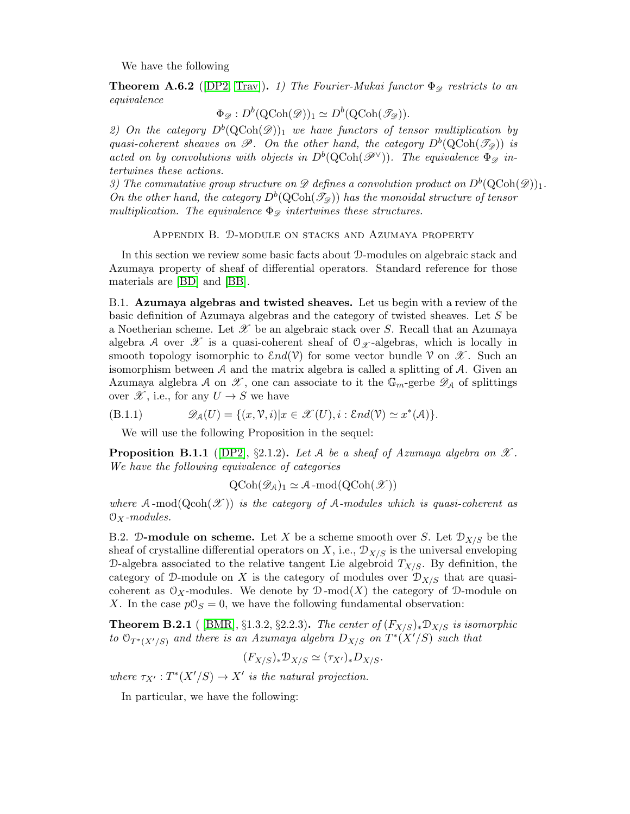We have the following

<span id="page-42-1"></span>**Theorem A.6.2** ([\[DP2,](#page-48-18) [Trav\]](#page-49-0)). 1) The Fourier-Mukai functor  $\Phi_{\mathscr{D}}$  restricts to an equivalence

$$
\Phi_{\mathscr{D}}: D^b(\text{QCoh}(\mathscr{D}))_1 \simeq D^b(\text{QCoh}(\mathscr{T}_{\mathscr{D}})).
$$

2) On the category  $D^b(Q\text{Coh}(\mathscr{D}))_1$  we have functors of tensor multiplication by quasi-coherent sheaves on  $\mathscr{P}$ . On the other hand, the category  $D^b(QCoh(\mathscr{T}_{\mathscr{D}}))$  is acted on by convolutions with objects in  $D^b(Q\text{Coh}(\mathscr{P}^{\vee}))$ . The equivalence  $\Phi_{\mathscr{D}}$  intertwines these actions.

3) The commutative group structure on  $\mathscr D$  defines a convolution product on  $D^b(\text{QCoh}(\mathscr D))_1$ . On the other hand, the category  $D^b(Q\text{Coh}(\mathcal{T}_{\mathcal{D}}))$  has the monoidal structure of tensor multiplication. The equivalence  $\Phi_{\mathcal{D}}$  intertwines these structures.

Appendix B. D-module on stacks and Azumaya property

<span id="page-42-0"></span>In this section we review some basic facts about D-modules on algebraic stack and Azumaya property of sheaf of differential operators. Standard reference for those materials are [\[BD\]](#page-48-9) and [\[BB\]](#page-48-4).

B.1. Azumaya algebras and twisted sheaves. Let us begin with a review of the basic definition of Azumaya algebras and the category of twisted sheaves. Let S be a Noetherian scheme. Let  $\mathscr X$  be an algebraic stack over S. Recall that an Azumaya algebra A over  $\mathscr X$  is a quasi-coherent sheaf of  $\mathcal O_{\mathscr X}$ -algebras, which is locally in smooth topology isomorphic to  $\mathcal{E}nd(\mathcal{V})$  for some vector bundle  $\mathcal{V}$  on  $\mathcal{X}$ . Such an isomorphism between  $A$  and the matrix algebra is called a splitting of  $A$ . Given an Azumaya alglebra A on  $\mathscr X$ , one can associate to it the  $\mathbb{G}_m$ -gerbe  $\mathscr D_A$  of splittings over  $\mathscr{X}$ , i.e., for any  $U \to S$  we have

(B.1.1) 
$$
\mathscr{D}_{\mathcal{A}}(U) = \{(x, \mathcal{V}, i)|x \in \mathscr{X}(U), i : \mathcal{E}nd(\mathcal{V}) \simeq x^*(\mathcal{A})\}.
$$

<span id="page-42-3"></span>We will use the following Proposition in the sequel:

**Proposition B.1.1** ([\[DP2\]](#page-48-18), §2.1.2). Let A be a sheaf of Azumaya algebra on  $\mathscr{X}$ . We have the following equivalence of categories

 $\mathrm{QCoh}(\mathscr{D}_4)_1 \simeq \mathcal{A} \text{-mod}(\mathrm{QCoh}(\mathscr{X}))$ 

where  $A$ -mod $(Qcoh(\mathscr{X}))$  is the category of A-modules which is quasi-coherent as  $\mathcal{O}_X$ -modules.

B.2. D-module on scheme. Let X be a scheme smooth over S. Let  $\mathcal{D}_{X/S}$  be the sheaf of crystalline differential operators on X, i.e.,  $\mathcal{D}_{X/S}$  is the universal enveloping D-algebra associated to the relative tangent Lie algebroid  $T_{X/S}$ . By definition, the category of D-module on X is the category of modules over  $\mathcal{D}_{X/S}$  that are quasicoherent as  $\mathfrak{O}_X$ -modules. We denote by  $\mathfrak{D}\text{-mod}(X)$  the category of  $\mathfrak{D}\text{-module on}$ X. In the case  $p\mathcal{O}_S = 0$ , we have the following fundamental observation:

<span id="page-42-2"></span>**Theorem B.2.1** ( [\[BMR\]](#page-48-12), §1.3.2, §2.2.3). The center of  $(F_{X/S})_*\mathcal{D}_{X/S}$  is isomorphic to  $\mathcal{O}_{T^*(X'/S)}$  and there is an Azumaya algebra  $D_{X/S}$  on  $T^*(X'/S)$  such that

$$
(F_{X/S})_*\mathcal{D}_{X/S} \simeq (\tau_{X'})_*D_{X/S}.
$$

where  $\tau_{X'} : T^*(X'/S) \to X'$  is the natural projection.

In particular, we have the following: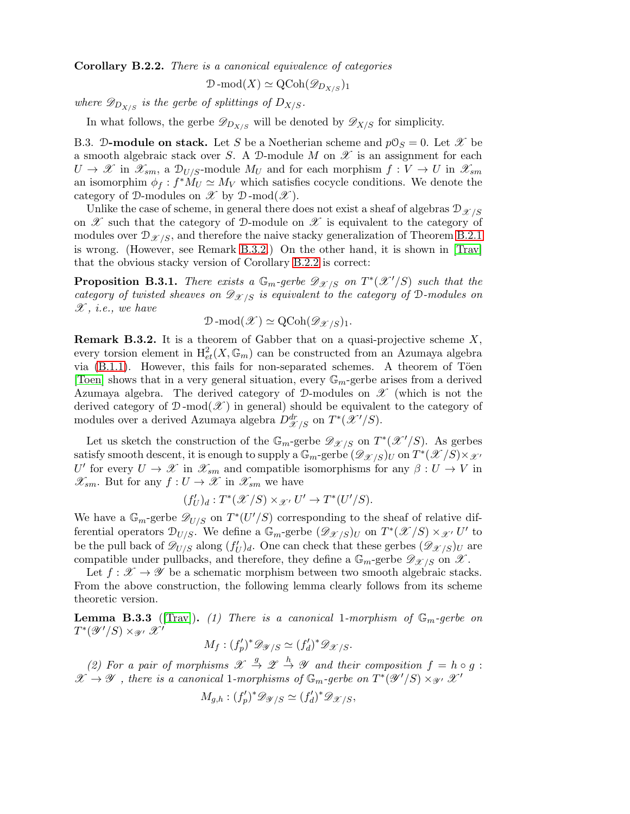<span id="page-43-3"></span>Corollary B.2.2. There is a canonical equivalence of categories

$$
\mathcal{D}\text{-mod}(X) \simeq \text{QCoh}(\mathscr{D}_{D_{X/S}})_1
$$

where  $\mathscr{D}_{D_{X/S}}$  is the gerbe of splittings of  $D_{X/S}$ .

In what follows, the gerbe  $\mathscr{D}_{D_{X/S}}$  will be denoted by  $\mathscr{D}_{X/S}$  for simplicity.

<span id="page-43-1"></span>B.3. D-module on stack. Let S be a Noetherian scheme and  $pO_S = 0$ . Let X be a smooth algebraic stack over S. A D-module M on  $\mathscr X$  is an assignment for each  $U \to \mathscr{X}$  in  $\mathscr{X}_{sm}$ , a  $\mathscr{D}_{U/S}$ -module  $M_U$  and for each morphism  $f: V \to U$  in  $\mathscr{X}_{sm}$ an isomorphim  $\phi_f : f^* M_U \simeq M_V$  which satisfies cocycle conditions. We denote the category of D-modules on  $\mathscr X$  by D-mod $(\mathscr X)$ .

Unlike the case of scheme, in general there does not exist a sheaf of algebras  $\mathcal{D}_{\mathcal{X}/S}$ on  $\mathscr X$  such that the category of D-module on  $\mathscr X$  is equivalent to the category of modules over  $\mathcal{D}_{\mathcal{X}/S}$ , and therefore the naive stacky generalization of Theorem [B.2.1](#page-42-2) is wrong. (However, see Remark [B.3.2.](#page-43-2)) On the other hand, it is shown in [\[Trav\]](#page-49-0) that the obvious stacky version of Corollary [B.2.2](#page-43-3) is correct:

<span id="page-43-4"></span>**Proposition B.3.1.** There exists a  $\mathbb{G}_m$ -gerbe  $\mathscr{D}_{\mathscr{X}/S}$  on  $T^*(\mathscr{X}'/S)$  such that the category of twisted sheaves on  $\mathscr{D}_{\mathscr{X}/S}$  is equivalent to the category of D-modules on  $\mathscr{X},$  i.e., we have

$$
\mathcal{D}\text{-mod}(\mathscr{X})\simeq \text{QCoh}(\mathscr{D}_{\mathscr{X}/S})_1.
$$

<span id="page-43-2"></span>**Remark B.3.2.** It is a theorem of Gabber that on a quasi-projective scheme  $X$ , every torsion element in  $\mathrm{H}^2_{et}(X,\mathbb{G}_m)$  can be constructed from an Azumaya algebra via  $(B.1.1)$ . However, this fails for non-separated schemes. A theorem of Töen [\[Toen\]](#page-49-5) shows that in a very general situation, every  $\mathbb{G}_m$ -gerbe arises from a derived Azumaya algebra. The derived category of D-modules on  $\mathscr X$  (which is not the derived category of  $\mathcal{D}\text{-mod}(\mathscr{X})$  in general) should be equivalent to the category of modules over a derived Azumaya algebra  $D^{dr}_{\mathscr{X}/S}$  on  $T^*(\mathscr{X}'/S)$ .

Let us sketch the construction of the  $\mathbb{G}_m$ -gerbe  $\mathscr{D}_{\mathscr{X}/S}$  on  $T^*(\mathscr{X}'/S)$ . As gerbes satisfy smooth descent, it is enough to supply a  $\mathbb{G}_m$ -gerbe  $(\mathscr{D}_{\mathscr{X}/S})_U$  on  $T^*(\mathscr{X}/S)\times_{\mathscr{X}'}$ U' for every  $U \to \mathscr{X}$  in  $\mathscr{X}_{sm}$  and compatible isomorphisms for any  $\beta: U \to V$  in  $\mathscr{X}_{sm}$ . But for any  $f: U \to \mathscr{X}$  in  $\mathscr{X}_{sm}$  we have

$$
(f'_U)_d: T^*(\mathcal{X}/S) \times \mathcal{X}' \cup' \to T^*(U'/S).
$$

We have a  $\mathbb{G}_m$ -gerbe  $\mathscr{D}_{U/S}$  on  $T^*(U'/S)$  corresponding to the sheaf of relative differential operators  $\mathcal{D}_{U/S}$ . We define a  $\mathbb{G}_m$ -gerbe  $(\mathscr{D}_{\mathscr{X}/S})_U$  on  $T^*(\mathscr{X}/S) \times_{\mathscr{X}'} U'$  to be the pull back of  $\mathscr{D}_{U/S}$  along  $(f'_U)_d$ . One can check that these gerbes  $(\mathscr{D}_{\mathscr{X}/S})_U$  are compatible under pullbacks, and therefore, they define a  $\mathbb{G}_m$ -gerbe  $\mathscr{D}_{\mathscr{X}/S}$  on  $\mathscr{X}$ .

Let  $f : \mathcal{X} \to \mathcal{Y}$  be a schematic morphism between two smooth algebraic stacks. From the above construction, the following lemma clearly follows from its scheme theoretic version.

<span id="page-43-0"></span>**Lemma B.3.3** ([\[Trav\]](#page-49-0)). (1) There is a canonical 1-morphism of  $\mathbb{G}_m$ -gerbe on  $T^*(\mathscr{Y}'/S)\times_{\mathscr{Y}'} \mathscr{X}'$ 

$$
M_f: (f'_p)^* \mathscr{D}_{\mathscr{Y}/S} \simeq (f'_d)^* \mathscr{D}_{\mathscr{X}/S}.
$$

(2) For a pair of morphisms  $\mathscr{X} \stackrel{g}{\to} \mathscr{Z} \stackrel{h}{\to} \mathscr{Y}$  and their composition  $f = h \circ g$ :  $\mathscr{X} \to \mathscr{Y}$ , there is a canonical 1-morphisms of  $\mathbb{G}_m$ -gerbe on  $T^*(\mathscr{Y}'/S) \times_{\mathscr{Y}'} \mathscr{X}'$ 

$$
M_{g,h} : (f_p')^* \mathscr{D}_{\mathscr{Y}/S} \simeq (f_d')^* \mathscr{D}_{\mathscr{X}/S},
$$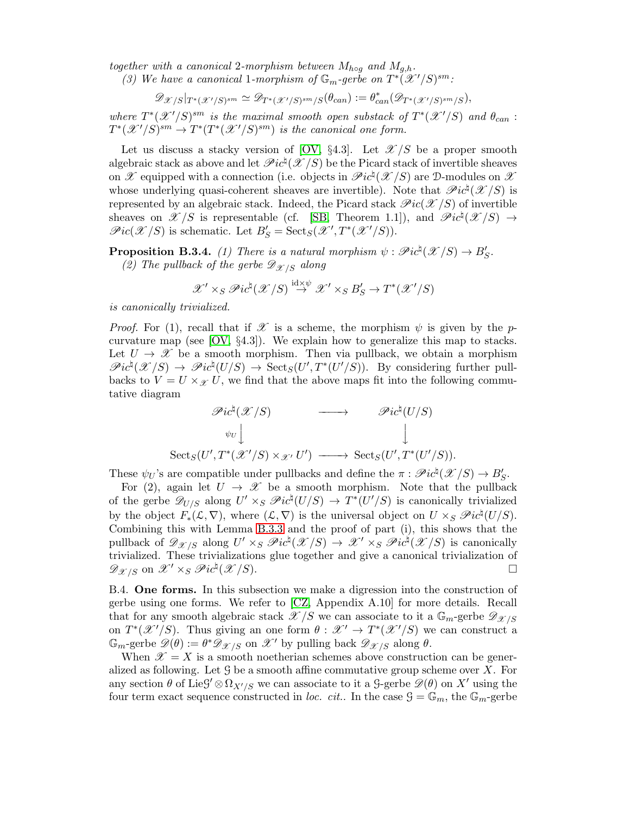together with a canonical 2-morphism between  $M_{h \circ q}$  and  $M_{q,h}$ .

(3) We have a canonical 1-morphism of  $\mathbb{G}_m$ -gerbe on  $T^*(X'/S)^{sm}$ .

$$
\mathscr{D}_{\mathscr{X}/S}|_{T^*(\mathscr{X}'/S)^{sm}} \simeq \mathscr{D}_{T^*(\mathscr{X}'/S)^{sm}/S}(\theta_{can}) := \theta_{can}^*(\mathscr{D}_{T^*(\mathscr{X}'/S)^{sm}/S}),
$$

where  $T^*(\mathscr{X}'/S)^{sm}$  is the maximal smooth open substack of  $T^*(\mathscr{X}'/S)$  and  $\theta_{can}$ :  $T^*(\mathscr{X}'/S)^{sm} \to T^*(T^*(\mathscr{X}'/S)^{sm})$  is the canonical one form.

Let us discuss a stacky version of [\[OV,](#page-49-2) §4.3]. Let  $\mathscr{X}/S$  be a proper smooth algebraic stack as above and let  $\mathscr{P}ic^{\natural}(\mathscr{X}/S)$  be the Picard stack of invertible sheaves on  $\mathscr X$  equipped with a connection (i.e. objects in  $\mathscr Pic^{\natural}(\mathscr X/S)$  are D-modules on  $\mathscr X$ whose underlying quasi-coherent sheaves are invertible). Note that  $\mathscr{P}ic^{\natural}(\mathscr{X}/S)$  is represented by an algebraic stack. Indeed, the Picard stack  $\mathcal{P}ic(\mathcal{X}/S)$  of invertible sheaves on  $\mathscr{X}/S$  is representable (cf. [\[SB,](#page-49-6) Theorem 1.1]), and  $\mathscr{P}ic^{\natural}(\mathscr{X}/S) \rightarrow$  $\mathscr{P}ic(\mathscr{X}/S)$  is schematic. Let  $B'_{S} = \mathrm{Sect}_{S}(\mathscr{X}', T^{*}(\mathscr{X}'/S)).$ 

<span id="page-44-1"></span>**Proposition B.3.4.** (1) There is a natural morphism  $\psi : \mathscr{P}ic^{\natural}(\mathscr{X}/S) \to B'_{S}$ . (2) The pullback of the gerbe  $\mathscr{D}_{\mathscr{X}/S}$  along

$$
\mathscr{X}' \times_S \mathscr{P}ic^{\natural}(\mathscr{X}/S) \stackrel{\mathrm{id} \times \psi}{\rightarrow} \mathscr{X}' \times_S B'_S \rightarrow T^*(\mathscr{X}'/S)
$$

is canonically trivialized.

*Proof.* For (1), recall that if  $\mathscr X$  is a scheme, the morphism  $\psi$  is given by the pcurvature map (see [\[OV,](#page-49-2) §4.3]). We explain how to generalize this map to stacks. Let  $U \to \mathscr{X}$  be a smooth morphism. Then via pullback, we obtain a morphism  $\mathscr{P}ic^{\natural}(\mathscr{X}/S) \to \mathscr{P}ic^{\natural}(U/S) \to \text{Sect}_{S}(U',T^{*}(U'/S)).$  By considering further pullbacks to  $V = U \times_{\mathcal{X}} U$ , we find that the above maps fit into the following commutative diagram

$$
\mathscr{P}ic^{\natural}(\mathscr{X}/S) \longrightarrow \mathscr{P}ic^{\natural}(U/S)
$$
  
\n
$$
\psi_{U} \downarrow \qquad \qquad \downarrow
$$
  
\n
$$
\mathrm{Sect}_{S}(U',T^{*}(\mathscr{X}'/S) \times_{\mathscr{X}'} U') \longrightarrow \mathrm{Sect}_{S}(U',T^{*}(U'/S)).
$$

These  $\psi_U$ 's are compatible under pullbacks and define the  $\pi : \mathscr{P}ic^{\natural}(\mathscr{X}/S) \to B'_{S}$ .

For (2), again let  $U \to \mathcal{X}$  be a smooth morphism. Note that the pullback of the gerbe  $\mathscr{D}_{U/S}$  along  $U' \times_S \mathscr{P}ic^{\natural}(U/S) \to T^*(U'/S)$  is canonically trivialized by the object  $F_*(\mathcal{L}, \nabla)$ , where  $(\mathcal{L}, \nabla)$  is the universal object on  $U \times_S \mathscr{P}ic^{\natural}(U/S)$ . Combining this with Lemma [B.3.3](#page-43-0) and the proof of part (i), this shows that the pullback of  $\mathscr{D}_{\mathscr{X}/S}$  along  $U' \times_S \mathscr{P}ic^{\natural}(\mathscr{X}/S) \to \mathscr{X}' \times_S \mathscr{P}ic^{\natural}(\mathscr{X}/S)$  is canonically trivialized. These trivializations glue together and give a canonical trivialization of  $\mathscr{D}_{\mathscr{X}/S}$  on  $\mathscr{X}' \times_S \mathscr{P}ic^{\natural}(\mathscr{X}/S)$ .

<span id="page-44-0"></span>B.4. One forms. In this subsection we make a digression into the construction of gerbe using one forms. We refer to [\[CZ,](#page-48-7) Appendix A.10] for more details. Recall that for any smooth algebraic stack  $\mathscr{X}/S$  we can associate to it a  $\mathbb{G}_m$ -gerbe  $\mathscr{D}_{\mathscr{X}/S}$ on  $T^*(\mathscr{X}'/S)$ . Thus giving an one form  $\theta : \mathscr{X}' \to T^*(\mathscr{X}'/S)$  we can construct a  $\mathbb{G}_m$ -gerbe  $\mathscr{D}(\theta) := \theta^* \mathscr{D}_{\mathscr{X}/S}$  on  $\mathscr{X}'$  by pulling back  $\mathscr{D}_{\mathscr{X}/S}$  along  $\theta$ .

When  $\mathscr{X} = X$  is a smooth noetherian schemes above construction can be generalized as following. Let  $\mathcal G$  be a smooth affine commutative group scheme over  $X$ . For any section  $\theta$  of Lie $\mathcal{G}' \otimes \Omega_{X'/S}$  we can associate to it a  $\mathcal{G}\text{-gerbe }\mathscr{D}(\theta)$  on  $X'$  using the four term exact sequence constructed in loc. cit.. In the case  $\mathcal{G} = \mathbb{G}_m$ , the  $\mathbb{G}_m$ -gerbe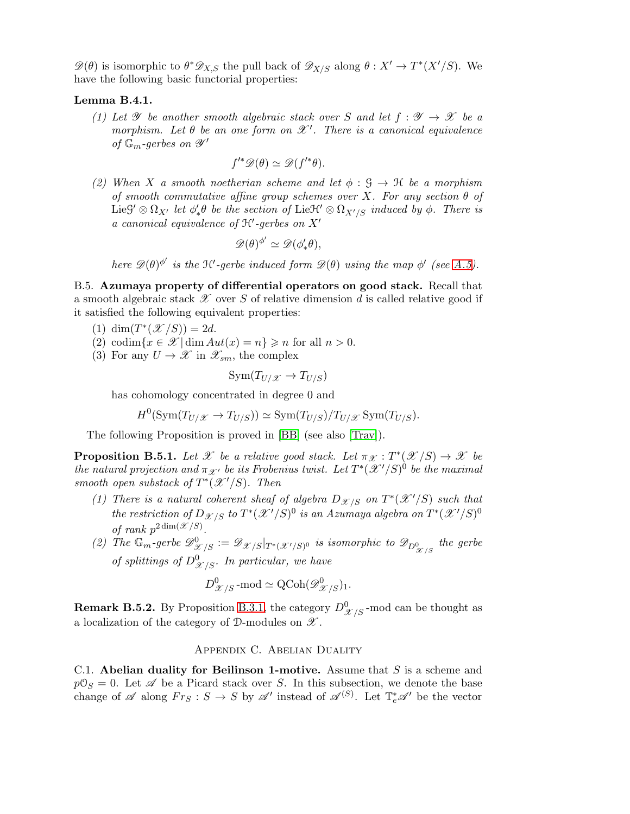$\mathscr{D}(\theta)$  is isomorphic to  $\theta^* \mathscr{D}_{X,S}$  the pull back of  $\mathscr{D}_{X/S}$  along  $\theta : X' \to T^*(X'/S)$ . We have the following basic functorial properties:

# <span id="page-45-3"></span>Lemma B.4.1.

(1) Let  $\mathscr Y$  be another smooth algebraic stack over S and let  $f : \mathscr Y \to \mathscr X$  be a morphism. Let  $\theta$  be an one form on  $\mathscr{X}'$ . There is a canonical equivalence of  $\mathbb{G}_m$ -gerbes on  $\mathscr{Y}'$ 

$$
f'^{*}\mathscr{D}(\theta) \simeq \mathscr{D}(f'^{*}\theta).
$$

(2) When X a smooth noetherian scheme and let  $\phi : \mathcal{G} \to \mathcal{H}$  be a morphism of smooth commutative affine group schemes over X. For any section  $\theta$  of Lie  $G' \otimes \Omega_{X'}$  let  $\phi'_*\theta$  be the section of Lie  $\mathcal{H}' \otimes \Omega_{X'/S}$  induced by  $\phi$ . There is a canonical equivalence of H′ -gerbes on X′

$$
\mathscr{D}(\theta)^{\phi'} \simeq \mathscr{D}(\phi'_*\theta),
$$

here  $\mathscr{D}(\theta)^{\phi'}$  is the K'-gerbe induced form  $\mathscr{D}(\theta)$  using the map  $\phi'$  (see [A.5\)](#page-41-0).

<span id="page-45-2"></span>B.5. Azumaya property of differential operators on good stack. Recall that a smooth algebraic stack  $\mathscr X$  over S of relative dimension d is called relative good if it satisfied the following equivalent properties:

- (1)  $\dim(T^*(\mathscr{X}/S)) = 2d$ .
- (2) codim $\{x \in \mathcal{X} \mid \dim Aut(x) = n\} \geq n$  for all  $n > 0$ .
- (3) For any  $U \to \mathscr{X}$  in  $\mathscr{X}_{sm}$ , the complex

$$
Sym(T_{U/\mathscr{X}} \to T_{U/S})
$$

has cohomology concentrated in degree 0 and

$$
H^0(\text{Sym}(T_{U/\mathscr{X}} \to T_{U/S})) \simeq \text{Sym}(T_{U/S})/T_{U/\mathscr{X}} \text{Sym}(T_{U/S}).
$$

The following Proposition is proved in [\[BB\]](#page-48-4) (see also [\[Trav\]](#page-49-0)).

<span id="page-45-1"></span>**Proposition B.5.1.** Let X be a relative good stack. Let  $\pi_{\mathcal{X}} : T^*(\mathcal{X}/S) \to \mathcal{X}$  be the natural projection and  $\pi_{\mathscr{X}'}$  be its Frobenius twist. Let  $T^*(\mathscr{X}'/S)^0$  be the maximal smooth open substack of  $T^*(\mathcal{X}'/S)$ . Then

- (1) There is a natural coherent sheaf of algebra  $D_{\mathscr{X}/S}$  on  $T^*(\mathscr{X}'/S)$  such that the restriction of  $D_{\mathscr{X}/S}$  to  $T^*(\mathscr{X}'/S)^0$  is an Azumaya algebra on  $T^*(\mathscr{X}'/S)^0$ of rank  $p^{2\dim(\mathscr{X}/S)}$ .
- (2) The  $\mathbb{G}_m$ -gerbe  $\mathscr{D}_{\mathscr{X}/S}^0 := \mathscr{D}_{\mathscr{X}/S} |_{T^*(\mathscr{X}'/S)^0}$  is isomorphic to  $\mathscr{D}_{D_{\mathscr{X}/S}^0}$  the gerbe of splittings of  $D^0_{\mathscr{X}/S}$ . In particular, we have

$$
D^0_{\mathscr{X}/S} \text{-mod} \simeq \text{QCoh}(\mathscr{D}^0_{\mathscr{X}/S})_1.
$$

<span id="page-45-0"></span>**Remark B.5.2.** By Proposition [B.3.1,](#page-43-4) the category  $D_{\mathscr{X}/S}^0$ -mod can be thought as a localization of the category of  $\mathcal{D}\text{-modules on }\mathscr{X}.$ 

# Appendix C. Abelian Duality

C.1. Abelian duality for Beilinson 1-motive. Assume that  $S$  is a scheme and  $p\mathcal{O}_S = 0$ . Let  $\mathscr A$  be a Picard stack over S. In this subsection, we denote the base change of  $\mathscr A$  along  $Fr_S : S \to S$  by  $\mathscr A'$  instead of  $\mathscr A^{(S)}$ . Let  $\mathbb T_e^*\mathscr A'$  be the vector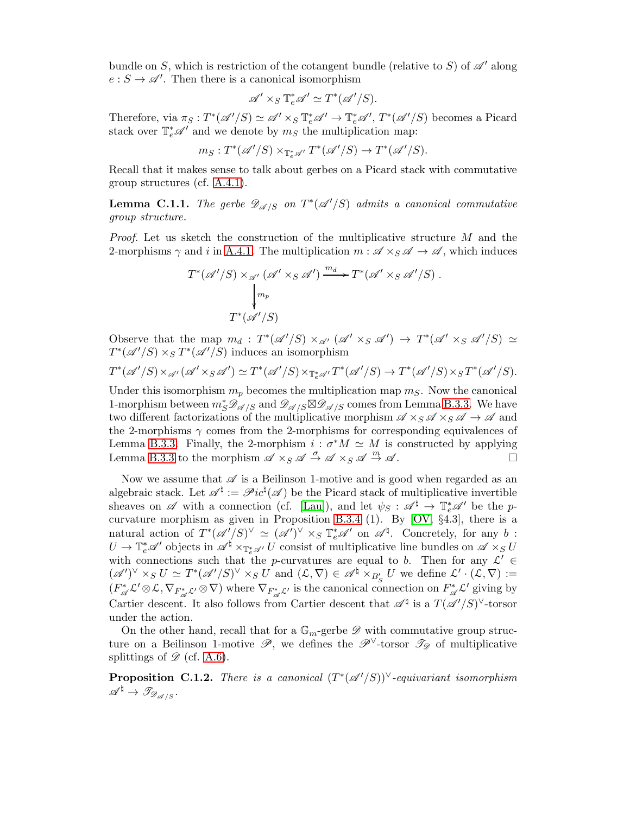bundle on S, which is restriction of the cotangent bundle (relative to S) of  $\mathscr{A}'$  along  $e: S \to \mathscr{A}'$ . Then there is a canonical isomorphism

$$
\mathscr{A}' \times_S \mathbb{T}^*_e \mathscr{A}' \simeq T^*(\mathscr{A}'/S).
$$

Therefore, via  $\pi_S: T^*(\mathscr{A}'/S) \simeq \mathscr{A}' \times_S \mathbb{T}^*_e \mathscr{A}' \to \mathbb{T}^*_e \mathscr{A}', T^*(\mathscr{A}'/S)$  becomes a Picard stack over  $\mathbb{T}_{e}^{*}\mathscr{A}'$  and we denote by  $m_{S}$  the multiplication map:

$$
m_S: T^*(\mathscr{A}'/S) \times_{\mathbb{T}_e^*\mathscr{A}'} T^*(\mathscr{A}'/S) \to T^*(\mathscr{A}'/S).
$$

Recall that it makes sense to talk about gerbes on a Picard stack with commutative group structures (cf. [A.4.1\)](#page-40-3).

<span id="page-46-0"></span>**Lemma C.1.1.** The gerbe  $\mathscr{D}_{\mathscr{A}/S}$  on  $T^*(\mathscr{A}'/S)$  admits a canonical commutative group structure.

*Proof.* Let us sketch the construction of the multiplicative structure  $M$  and the 2-morphisms  $\gamma$  and i in [A.4.1.](#page-40-3) The multiplication  $m : \mathscr{A} \times_S \mathscr{A} \to \mathscr{A}$ , which induces

$$
T^*(\mathscr{A}'/S) \times_{\mathscr{A}'} (\mathscr{A}' \times_S \mathscr{A}') \xrightarrow{m_d} T^*(\mathscr{A}' \times_S \mathscr{A}'/S).
$$
  
\n
$$
\downarrow_{m_p}
$$
  
\n
$$
T^*(\mathscr{A}'/S)
$$

Observe that the map  $m_d : T^*(\mathscr{A}'/S) \times_{\mathscr{A}'} (\mathscr{A}' \times_S \mathscr{A}') \to T^*(\mathscr{A}' \times_S \mathscr{A}'/S) \simeq$  $T^*(\mathscr{A}'/S) \times_S T^*(\mathscr{A}'/S)$  induces an isomorphism

$$
T^*(\mathscr{A}'/S) \times_{\mathscr{A}'} (\mathscr{A}' \times_S \mathscr{A}') \simeq T^*(\mathscr{A}'/S) \times_{\mathbb{T}_e^* \mathscr{A}'} T^*(\mathscr{A}'/S) \to T^*(\mathscr{A}'/S) \times_S T^*(\mathscr{A}'/S).
$$

Under this isomorphism  $m_p$  becomes the multiplication map  $m_S$ . Now the canonical 1-morphism between  $m_S^* \mathscr{D}_{\mathscr{A}/S}$  and  $\mathscr{D}_{\mathscr{A}/S} \boxtimes \mathscr{D}_{\mathscr{A}/S}$  comes from Lemma [B.3.3.](#page-43-0) We have two different factorizations of the multiplicative morphism  $\mathscr{A} \times_S \mathscr{A} \times_S \mathscr{A} \to \mathscr{A}$  and the 2-morphisms  $\gamma$  comes from the 2-morphisms for corresponding equivalences of Lemma [B.3.3.](#page-43-0) Finally, the 2-morphism  $i : \sigma^* M \simeq M$  is constructed by applying Lemma [B.3.3](#page-43-0) to the morphism  $\mathscr{A} \times_S \mathscr{A} \stackrel{\sigma}{\to} \mathscr{A} \times_S \mathscr{A} \stackrel{m}{\to} \mathscr{A}$ .

Now we assume that  $\mathscr A$  is a Beilinson 1-motive and is good when regarded as an algebraic stack. Let  $\mathscr{A}^{\natural} := \mathscr{P}ic^{\natural}(\mathscr{A})$  be the Picard stack of multiplicative invertible sheaves on  $\mathscr A$  with a connection (cf. [\[Lau\]](#page-48-16)), and let  $\psi_S : \mathscr A^\natural \to \mathbb T^*_e \mathscr A'$  be the pcurvature morphism as given in Proposition [B.3.4](#page-44-1) (1). By [\[OV,](#page-49-2) §4.3], there is a natural action of  $T^*(\mathscr{A}'/S)^\vee \simeq (\mathscr{A}')^\vee \times_S \mathbb{T}^*_e \mathscr{A}'$  on  $\mathscr{A}^{\natural}$ . Concretely, for any b:  $U \to \mathbb{T}^*_e\mathscr{A}'$  objects in  $\mathscr{A}^\natural \times_{\mathbb{T}^*_e\mathscr{A}'} U$  consist of multiplicative line bundles on  $\mathscr{A} \times_S U$ with connections such that the p-curvatures are equal to b. Then for any  $\mathcal{L}' \in$  $({\mathscr A}')^\vee \times_S U \simeq T^*({\mathscr A}'/S)^\vee \times_S U$  and  $({\mathcal L}, \nabla) \in {\mathscr A}^{\natural} \times_{B'_S} U$  we define  ${\mathcal L}' \cdot ({\mathcal L}, \nabla) :=$  $(F_{\mathscr{A}}^* \mathcal{L}' \otimes \mathcal{L}, \nabla_{F_{\mathscr{A}}^* \mathcal{L}'} \otimes \nabla)$  where  $\nabla_{F_{\mathscr{A}}^* \mathcal{L}'}$  is the canonical connection on  $F_{\mathscr{A}}^* \mathcal{L}'$  giving by Cartier descent. It also follows from Cartier descent that  $\mathscr{A}^{\dagger}$  is a  $T(\mathscr{A}'/S)^{\vee}$ -torsor under the action.

On the other hand, recall that for a  $\mathbb{G}_m$ -gerbe  $\mathscr D$  with commutative group structure on a Beilinson 1-motive  $\mathscr{P}$ , we defines the  $\mathscr{P}^{\vee}$ -torsor  $\mathscr{T}_{\mathscr{P}}$  of multiplicative splittings of  $\mathscr{D}$  (cf. [A.6\)](#page-41-1).

**Proposition C.1.2.** There is a canonical  $(T^*(\mathscr{A}'/S))^{\vee}$ -equivariant isomorphism  $\mathscr{A}^{\natural} \to \mathscr{T}_{\mathscr{D}_{\mathscr{A}/S}}$ .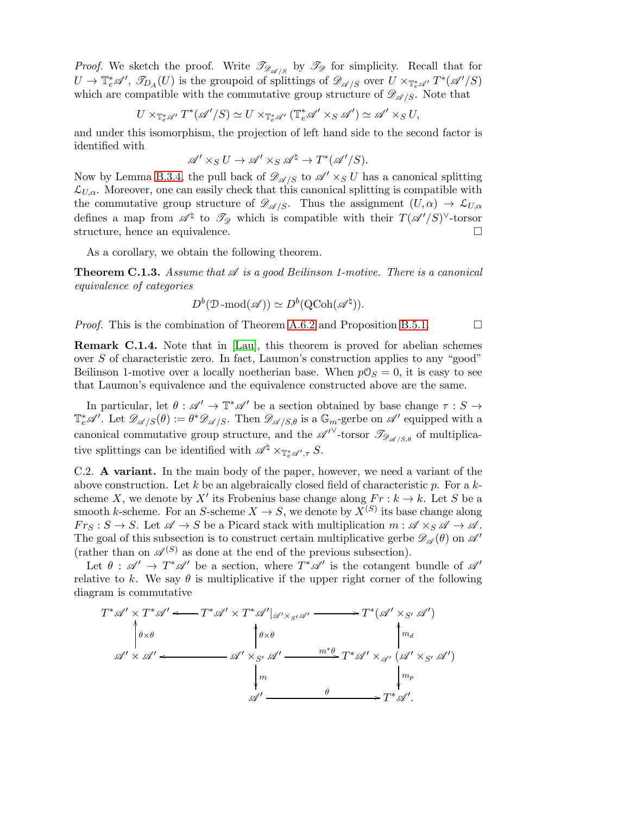*Proof.* We sketch the proof. Write  $\mathcal{T}_{\mathcal{D}_{\mathcal{A}/S}}$  by  $\mathcal{T}_{\mathcal{D}}$  for simplicity. Recall that for  $U \to \mathbb{T}_{e}^{*}\mathscr{A}', \mathscr{T}_{D_{A}}(U)$  is the groupoid of splittings of  $\mathscr{D}_{\mathscr{A}/S}$  over  $U \times_{\mathbb{T}_{e}^{*}\mathscr{A}'} T^{*}(\mathscr{A}'/S)$ which are compatible with the commutative group structure of  $\mathscr{D}_{\mathscr{A}/S}$ . Note that

$$
U \times_{\mathbb{T}_e^* \mathscr{A}'} T^*(\mathscr{A}'/S) \simeq U \times_{\mathbb{T}_e^* \mathscr{A}'} (\mathbb{T}_e^* \mathscr{A}' \times_S \mathscr{A}') \simeq \mathscr{A}' \times_S U,
$$

and under this isomorphism, the projection of left hand side to the second factor is identified with

$$
\mathscr{A}' \times_S U \to \mathscr{A}' \times_S \mathscr{A}^{\natural} \to T^*(\mathscr{A}'/S).
$$

Now by Lemma [B.3.4,](#page-44-1) the pull back of  $\mathscr{D}_{\mathscr{A}/S}$  to  $\mathscr{A}' \times_S U$  has a canonical splitting  $\mathcal{L}_{U,\alpha}$ . Moreover, one can easily check that this canonical splitting is compatible with the commutative group structure of  $\mathscr{D}_{\mathscr{A}/S}$ . Thus the assignment  $(U, \alpha) \to \mathcal{L}_{U, \alpha}$ defines a map from  $\mathscr{A}^{\natural}$  to  $\mathscr{T}_{\mathscr{D}}$  which is compatible with their  $T(\mathscr{A}'/S)^{\vee}$ -torsor structure, hence an equivalence.

As a corollary, we obtain the following theorem.

**Theorem C.1.3.** Assume that  $\mathscr A$  is a good Beilinson 1-motive. There is a canonical equivalence of categories

$$
D^b(\mathcal{D}\text{-}\mathrm{mod}(\mathscr{A})) \simeq D^b(\mathrm{QCoh}(\mathscr{A}^\natural)).
$$

*Proof.* This is the combination of Theorem [A.6.2](#page-42-1) and Proposition [B.5.1.](#page-45-1)  $\Box$ 

Remark C.1.4. Note that in [\[Lau\]](#page-48-16), this theorem is proved for abelian schemes over S of characteristic zero. In fact, Laumon's construction applies to any "good" Beilinson 1-motive over a locally noetherian base. When  $p\mathcal{O}_S = 0$ , it is easy to see that Laumon's equivalence and the equivalence constructed above are the same.

In particular, let  $\theta : \mathscr{A}' \to \mathbb{T}^*\mathscr{A}'$  be a section obtained by base change  $\tau : S \to$  $\mathbb{T}_{e}^{*}\mathscr{A}'$ . Let  $\mathscr{D}_{\mathscr{A}/S}(\theta) := \theta^{*}\mathscr{D}_{\mathscr{A}/S}$ . Then  $\mathscr{D}_{\mathscr{A}/S,\theta}$  is a  $\mathbb{G}_{m}$ -gerbe on  $\mathscr{A}'$  equipped with a canonical commutative group structure, and the  $\mathscr{A}^{\prime\vee}$ -torsor  $\mathscr{T}_{\mathscr{D}_{\mathscr{A}/S,\theta}}$  of multiplicative splittings can be identified with  $\mathscr{A}^{\natural} \times_{\mathbb{T}_{e}^{*} \mathscr{A}', \tau} S$ .

<span id="page-47-0"></span>C.2. A variant. In the main body of the paper, however, we need a variant of the above construction. Let k be an algebraically closed field of characteristic p. For a kscheme X, we denote by X' its Frobenius base change along  $Fr : k \to k$ . Let S be a smooth k-scheme. For an S-scheme  $X \to S$ , we denote by  $X^{(S)}$  its base change along  $F r_S : S \to S$ . Let  $\mathscr{A} \to S$  be a Picard stack with multiplication  $m : \mathscr{A} \times_S \mathscr{A} \to \mathscr{A}$ . The goal of this subsection is to construct certain multiplicative gerbe  $\mathscr{D}_{\mathscr{A}}(\theta)$  on  $\mathscr{A}'$ (rather than on  $\mathscr{A}^{(S)}$  as done at the end of the previous subsection).

Let  $\theta : \mathscr{A}' \to T^* \mathscr{A}'$  be a section, where  $T^* \mathscr{A}'$  is the cotangent bundle of  $\mathscr{A}'$ relative to k. We say  $\theta$  is multiplicative if the upper right corner of the following diagram is commutative

$$
T^* \mathscr{A}' \times T^* \mathscr{A}' \longleftarrow T^* \mathscr{A}' \times T^* \mathscr{A}' |_{\mathscr{A}' \times_{S'} \mathscr{A}'} \longrightarrow T^* (\mathscr{A}' \times_{S'} \mathscr{A}')
$$
  
\n
$$
\phi \times \theta \qquad \qquad \phi \times \theta \qquad \qquad \uparrow m_{d}
$$
  
\n
$$
\mathscr{A}' \times \mathscr{A}' \longleftarrow \mathscr{A}' \times_{S'} \mathscr{A}' \xrightarrow{m^* \theta} T^* \mathscr{A}' \times_{\mathscr{A}'} (\mathscr{A}' \times_{S'} \mathscr{A}')
$$
  
\n
$$
\downarrow m \qquad \qquad \downarrow m_p
$$
  
\n
$$
\mathscr{A}' \longrightarrow \mathscr{A}' \longrightarrow T^* \mathscr{A}'.
$$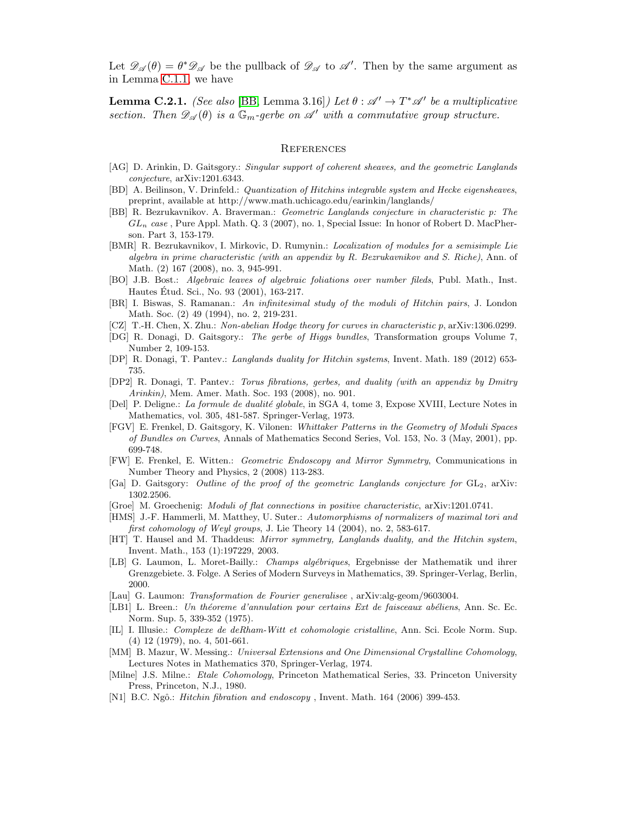Let  $\mathscr{D}_{\mathscr{A}}(\theta) = \theta^* \mathscr{D}_{\mathscr{A}}$  be the pullback of  $\mathscr{D}_{\mathscr{A}}$  to  $\mathscr{A}'$ . Then by the same argument as in Lemma [C.1.1,](#page-46-0) we have

**Lemma C.2.1.** (See also [\[BB,](#page-48-4) Lemma 3.16]) Let  $\theta : \mathscr{A}' \to T^* \mathscr{A}'$  be a multiplicative section. Then  $\mathscr{D}_{\mathscr{A}}(\theta)$  is a  $\mathbb{G}_m$ -gerbe on  $\mathscr{A}'$  with a commutative group structure.

#### <span id="page-48-0"></span>**REFERENCES**

- <span id="page-48-1"></span>[AG] D. Arinkin, D. Gaitsgory.: Singular support of coherent sheaves, and the geometric Langlands conjecture, arXiv:1201.6343.
- <span id="page-48-9"></span>[BD] A. Beilinson, V. Drinfeld.: Quantization of Hitchins integrable system and Hecke eigensheaves, preprint, available at http://www.math.uchicago.edu/earinkin/langlands/
- <span id="page-48-4"></span>[BB] R. Bezrukavnikov. A. Braverman.: Geometric Langlands conjecture in characteristic p: The  $GL_n$  case, Pure Appl. Math. Q. 3 (2007), no. 1, Special Issue: In honor of Robert D. MacPherson. Part 3, 153-179.
- <span id="page-48-12"></span>[BMR] R. Bezrukavnikov, I. Mirkovic, D. Rumynin.: Localization of modules for a semisimple Lie algebra in prime characteristic (with an appendix by R. Bezrukavnikov and S. Riche), Ann. of Math. (2) 167 (2008), no. 3, 945-991.
- [BO] J.B. Bost.: Algebraic leaves of algebraic foliations over number fileds, Publ. Math., Inst. Hautes Etud. Sci., No. 93 (2001), 163-217. ´
- [BR] I. Biswas, S. Ramanan.: An infinitesimal study of the moduli of Hitchin pairs, J. London Math. Soc. (2) 49 (1994), no. 2, 219-231.
- <span id="page-48-7"></span>[CZ] T.-H. Chen, X. Zhu.: Non-abelian Hodge theory for curves in characteristic p, arXiv:1306.0299.
- <span id="page-48-14"></span>[DG] R. Donagi, D. Gaitsgory.: The gerbe of Higgs bundles, Transformation groups Volume 7, Number 2, 109-153.
- <span id="page-48-3"></span>[DP] R. Donagi, T. Pantev.: Langlands duality for Hitchin systems, Invent. Math. 189 (2012) 653- 735.
- <span id="page-48-18"></span>[DP2] R. Donagi, T. Pantev.: Torus fibrations, gerbes, and duality (with an appendix by Dmitry Arinkin), Mem. Amer. Math. Soc. 193 (2008), no. 901.
- <span id="page-48-17"></span>[Del] P. Deligne.: La formule de dualité globale, in SGA 4, tome 3, Expose XVIII, Lecture Notes in Mathematics, vol. 305, 481-587. Springer-Verlag, 1973.
- <span id="page-48-10"></span>[FGV] E. Frenkel, D. Gaitsgory, K. Vilonen: Whittaker Patterns in the Geometry of Moduli Spaces of Bundles on Curves, Annals of Mathematics Second Series, Vol. 153, No. 3 (May, 2001), pp. 699-748.
- <span id="page-48-8"></span>[FW] E. Frenkel, E. Witten.: Geometric Endoscopy and Mirror Symmetry, Communications in Number Theory and Physics, 2 (2008) 113-283.
- <span id="page-48-2"></span>[Ga] D. Gaitsgory: *Outline of the proof of the geometric Langlands conjecture for*  $GL_2$ , arXiv: 1302.2506.
- <span id="page-48-5"></span>[Groe] M. Groechenig: Moduli of flat connections in positive characteristic, arXiv:1201.0741.
- <span id="page-48-15"></span>[HMS] J.-F. Hammerli, M. Matthey, U. Suter.: Automorphisms of normalizers of maximal tori and first cohomology of Weyl groups, J. Lie Theory 14 (2004), no. 2, 583-617.
- <span id="page-48-6"></span>[HT] T. Hausel and M. Thaddeus: Mirror symmetry, Langlands duality, and the Hitchin system, Invent. Math., 153 (1):197229, 2003.
- <span id="page-48-13"></span>[LB] G. Laumon, L. Moret-Bailly.: Champs alg´ebriques, Ergebnisse der Mathematik und ihrer Grenzgebiete. 3. Folge. A Series of Modern Surveys in Mathematics, 39. Springer-Verlag, Berlin, 2000.
- <span id="page-48-16"></span>[Lau] G. Laumon: *Transformation de Fourier generalisee*, arXiv:alg-geom/9603004.
- <span id="page-48-19"></span>[LB1] L. Breen.: Un théoreme d'annulation pour certains Ext de faisceaux abéliens, Ann. Sc. Ec. Norm. Sup. 5, 339-352 (1975).
- [IL] I. Illusie.: Complexe de deRham-Witt et cohomologie cristalline, Ann. Sci. Ecole Norm. Sup. (4) 12 (1979), no. 4, 501-661.
- [MM] B. Mazur, W. Messing.: Universal Extensions and One Dimensional Crystalline Cohomology, Lectures Notes in Mathematics 370, Springer-Verlag, 1974.
- [Milne] J.S. Milne.: Etale Cohomology, Princeton Mathematical Series, 33. Princeton University Press, Princeton, N.J., 1980.
- <span id="page-48-11"></span>[N1] B.C. Ngô.: *Hitchin fibration and endoscopy*, Invent. Math. 164 (2006) 399-453.